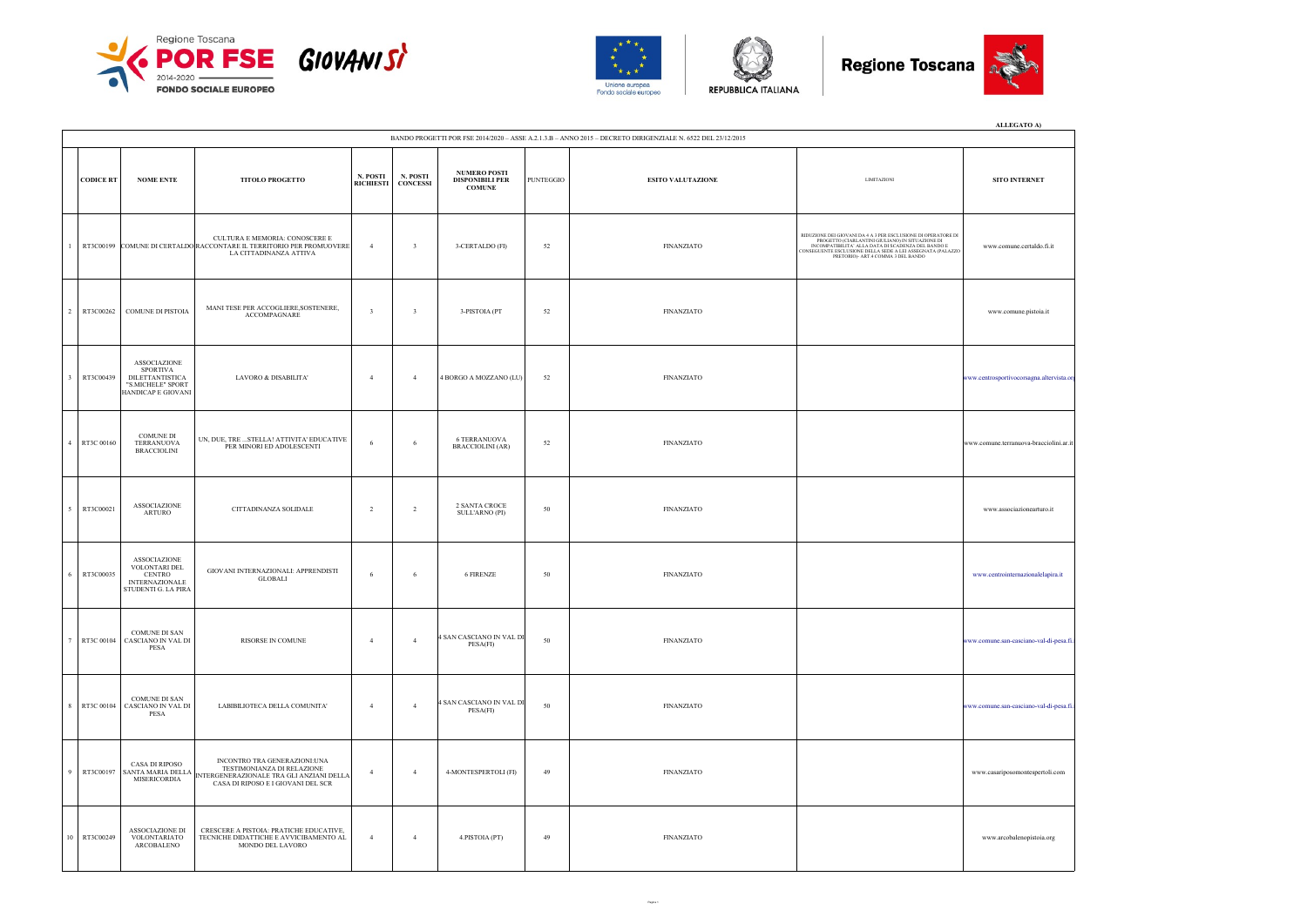





Regione Toscana

REPUBBLICA ITALIANA



| <b>ALLEGATO A)</b>                        |
|-------------------------------------------|
| <b>SITO INTERNET</b>                      |
| www.comune.certaldo.fi.it                 |
| www.comune.pistoia.it                     |
| www.centrosportivocorsagna.altervista.org |
| www.comune.terranuova-bracciolini.ar.it   |
| www.associazionearturo.it                 |
| www.centrointernazionalelapira.it         |
| www.comune.san-casciano-val-di-pesa.fi.   |
| www.comune.san-casciano-val-di-pesa.fi.   |
| www.casariposomontespertoli.com           |
| www.arcobalenopistoia.org                 |
|                                           |

|                         |                  |                                                                                                       |                                                                                                                                                                |                         |                                |                                                                |           | BANDO PROGETTI POR FSE 2014/2020 - ASSE A.2.1.3.B - ANNO 2015 - DECRETO DIRIGENZIALE N. 6522 DEL 23/12/2015 |                                                                                                                                                                                                                                                                                                                        |                                          |
|-------------------------|------------------|-------------------------------------------------------------------------------------------------------|----------------------------------------------------------------------------------------------------------------------------------------------------------------|-------------------------|--------------------------------|----------------------------------------------------------------|-----------|-------------------------------------------------------------------------------------------------------------|------------------------------------------------------------------------------------------------------------------------------------------------------------------------------------------------------------------------------------------------------------------------------------------------------------------------|------------------------------------------|
|                         | <b>CODICE RT</b> | <b>NOME ENTE</b>                                                                                      | <b>TITOLO PROGETTO</b>                                                                                                                                         | N. POSTI                | N. POSTI<br>RICHIESTI CONCESSI | <b>NUMERO POSTI</b><br><b>DISPONIBILI PER</b><br><b>COMUNE</b> | PUNTEGGIO | <b>ESITO VALUTAZIONE</b>                                                                                    | LIMITAZIONI                                                                                                                                                                                                                                                                                                            | <b>SITO INTERNET</b>                     |
|                         |                  |                                                                                                       | CULTURA E MEMORIA: CONOSCERE E<br>RT3C00199 COMUNE DI CERTALDO RACCONTARE IL TERRITORIO PER PROMUOVERE<br>LA CITTADINANZA ATTIVA                               | $\overline{4}$          | $\overline{\mathbf{3}}$        | 3-CERTALDO (FI)                                                | 52        | <b>FINANZIATO</b>                                                                                           | $\begin{array}{ll} \text{RIDUZIONE DEI GOVANI DA 4 A 3 PER ESCLUSIONE DI OPERATORE DI}\\ \text{PROGETTO (CIARLANTINI GIULIANO) IN STUAZIONE DI} \end{array}$<br>INCOMPATIBILITA' ALLA DATA DI SCADENZA DEL BANDO E<br>CONSEGUENTE ESCLUSIONE DELLA SEDE A LEI ASSEGNATA (PALAZZO<br>PRETORIO)- ART.4 COMMA 3 DEL BANDO | www.comune.certaldo.fi.it                |
| $\overline{2}$          | RT3C00262        | <b>COMUNE DI PISTOIA</b>                                                                              | MANI TESE PER ACCOGLIERE, SOSTENERE,<br>ACCOMPAGNARE                                                                                                           | $\overline{\mathbf{3}}$ | $\overline{\mathbf{3}}$        | 3-PISTOIA (PT                                                  | 52        | <b>FINANZIATO</b>                                                                                           |                                                                                                                                                                                                                                                                                                                        | www.comune.pistoia.it                    |
| $\overline{\mathbf{3}}$ | RT3C00439        | ASSOCIAZIONE<br>SPORTIVA<br>DILETTANTISTICA<br>"S.MICHELE" SPORT<br>HANDICAP E GIOVANI                | LAVORO & DISABILITA'                                                                                                                                           | $\overline{4}$          | $\overline{4}$                 | 4 BORGO A MOZZANO (LU)                                         | 52        | <b>FINANZIATO</b>                                                                                           |                                                                                                                                                                                                                                                                                                                        | www.centrosportivocorsagna.altervista.or |
| 4                       | RT3C 00160       | <b>COMUNE DI</b><br><b>TERRANUOVA</b><br><b>BRACCIOLINI</b>                                           | UN, DUE, TRE  STELLA! ATTIVITA' EDUCATIVE<br>PER MINORI ED ADOLESCENTI                                                                                         | - 6                     | 6                              | <b>6 TERRANUOVA</b><br><b>BRACCIOLINI</b> (AR)                 | 52        | <b>FINANZIATO</b>                                                                                           |                                                                                                                                                                                                                                                                                                                        | www.comune.terranuova-bracciolini.ar.it  |
| $5\overline{ }$         | RT3C00021        | ASSOCIAZIONE<br><b>ARTURO</b>                                                                         | CITTADINANZA SOLIDALE                                                                                                                                          | $\overline{2}$          | $\overline{2}$                 | 2 SANTA CROCE<br>SULL'ARNO (PI)                                | 50        | <b>FINANZIATO</b>                                                                                           |                                                                                                                                                                                                                                                                                                                        | www.associazionearturo.it                |
| 6                       | RT3C00035        | ASSOCIAZIONE<br><b>VOLONTARI DEL</b><br><b>CENTRO</b><br><b>INTERNAZIONALE</b><br>STUDENTI G. LA PIRA | GIOVANI INTERNAZIONALI: APPRENDISTI<br>GLOBALI                                                                                                                 | 6                       | -6                             | 6 FIRENZE                                                      | 50        | <b>FINANZIATO</b>                                                                                           |                                                                                                                                                                                                                                                                                                                        | www.centrointernazionalelapira.it        |
| $\overline{7}$          | RT3C 00104       | COMUNE DI SAN<br><b>CASCIANO IN VAL DI</b><br>PESA                                                    | RISORSE IN COMUNE                                                                                                                                              | $\overline{4}$          | $\overline{4}$                 | 4 SAN CASCIANO IN VAL DI<br>PESA(FI)                           | 50        | <b>FINANZIATO</b>                                                                                           |                                                                                                                                                                                                                                                                                                                        | www.comune.san-casciano-val-di-pesa.fi   |
| 8                       | RT3C 00104       | COMUNE DI SAN<br><b>CASCIANO IN VAL DI</b><br>PESA                                                    | LABIBILIOTECA DELLA COMUNITA'                                                                                                                                  | $\overline{4}$          | $\overline{4}$                 | 4 SAN CASCIANO IN VAL DI<br>PESA(FI)                           | 50        | <b>FINANZIATO</b>                                                                                           |                                                                                                                                                                                                                                                                                                                        | www.comune.san-casciano-val-di-pesa.fi   |
| 9                       | RT3C00197        | <b>CASA DI RIPOSO</b><br>MISERICORDIA                                                                 | INCONTRO TRA GENERAZIONI:UNA<br>TESTIMONIANZA DI RELAZIONE<br>SANTA MARIA DELLA INTERGENERAZIONALE TRA GLI ANZIANI DELLA<br>CASA DI RIPOSO E I GIOVANI DEL SCR | $\overline{4}$          | $\overline{4}$                 | 4-MONTESPERTOLI (FI)                                           | 49        | <b>FINANZIATO</b>                                                                                           |                                                                                                                                                                                                                                                                                                                        | www.casariposomontespertoli.com          |
| 10                      | RT3C00249        | ASSOCIAZIONE DI<br>VOLONTARIATO<br>ARCOBALENO                                                         | CRESCERE A PISTOIA: PRATICHE EDUCATIVE,<br>TECNICHE DIDATTICHE E AVVICIBAMENTO AL<br>MONDO DEL LAVORO                                                          | $\overline{4}$          | $\overline{4}$                 | 4.PISTOIA (PT)                                                 | 49        | <b>FINANZIATO</b>                                                                                           |                                                                                                                                                                                                                                                                                                                        | www.arcobalenopistoia.org                |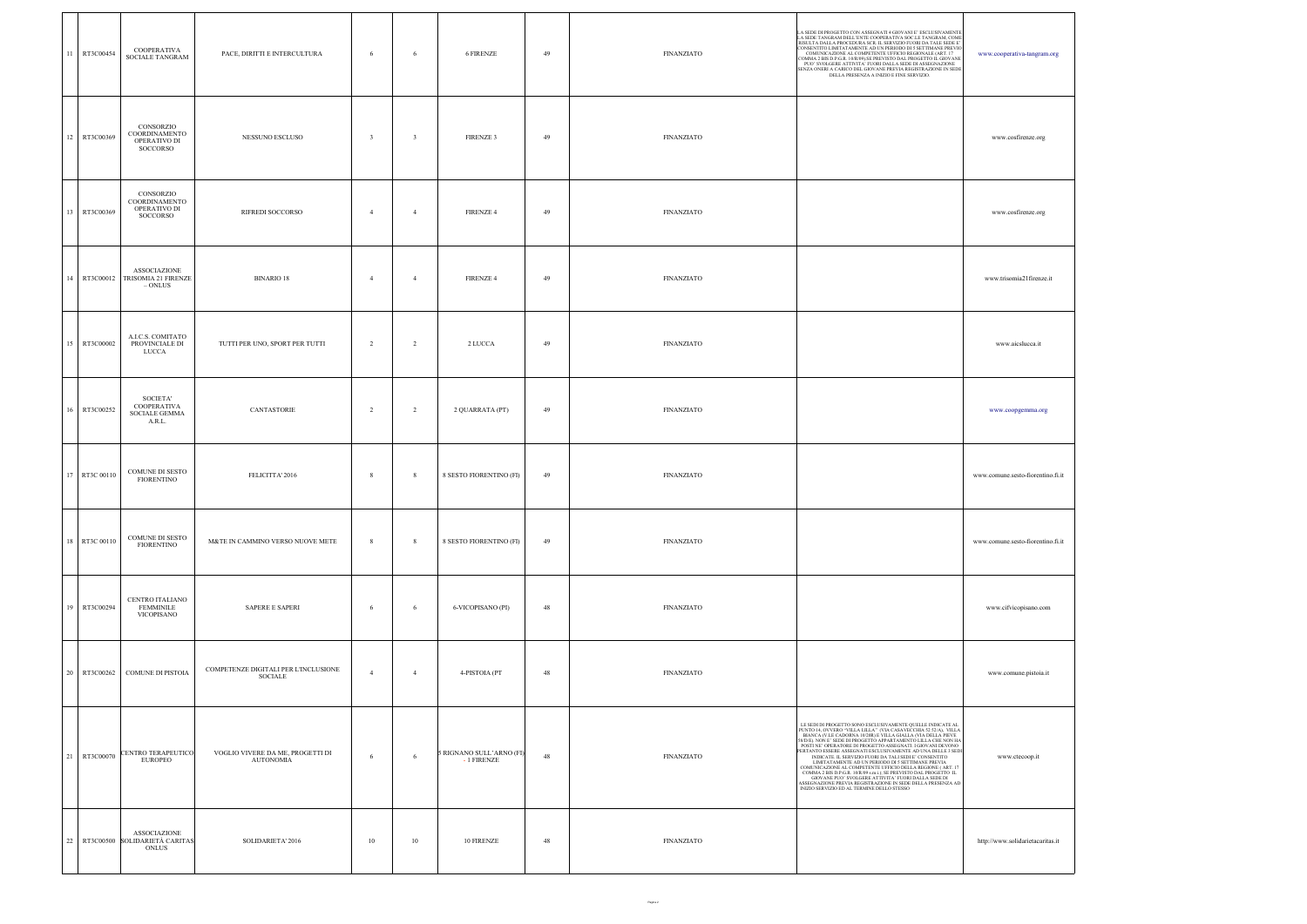| 11 RT3C00454    | COOPERATIVA<br>SOCIALE TANGRAM                                    | PACE, DIRITTI E INTERCULTURA                    | 6                       | -6                      | 6 FIRENZE                               | 49 | FINANZIATO        | ${\rm LA}$ SEDE DI PROGETTO CON ASSEGNATI 4 GIOVANI E' ESCLUSIVAMENTE LA SEDE TANGRAM DELL'ENTE COOPERATIVA SOC.LE TANGRAM, COME<br>RISULTA DALLA PROCEDURA SCR. IL SERVIZIO FUORI DA TALE SEDE E<br>CONSENTITO LIMITATAMENTE AD UN PERIODO DI 5 SETTIMANE PREVIO<br>COMUNICAZIONE AL COMPETENTE UFFICIO REGIONALE (ART. 17<br>www.cooperativa-tangram.org<br>COMMA 2 BIS D.P.G.R. 10/R/09).SE PREVISTO DAL PROGETTO IL GIOVANI<br>PUO' SVOLGERE ATTIVITA' FUORI DALLA SEDE DI ASSEGNAZIONE<br>SENZA ONERI A CARICO DEL GIOVANE PREVIA REGISTRAZIONE IN SEDE<br>DELLA PRESENZA A INIZIO E FINE SERVIZIO.                                                                                                                                                                                                                      |
|-----------------|-------------------------------------------------------------------|-------------------------------------------------|-------------------------|-------------------------|-----------------------------------------|----|-------------------|-------------------------------------------------------------------------------------------------------------------------------------------------------------------------------------------------------------------------------------------------------------------------------------------------------------------------------------------------------------------------------------------------------------------------------------------------------------------------------------------------------------------------------------------------------------------------------------------------------------------------------------------------------------------------------------------------------------------------------------------------------------------------------------------------------------------------------|
| 12 RT3C00369    | CONSORZIO<br>COORDINAMENTO<br>OPERATIVO DI<br>SOCCORSO            | NESSUNO ESCLUSO                                 | $\overline{\mathbf{3}}$ | $\overline{\mathbf{3}}$ | <b>FIRENZE 3</b>                        | 49 | <b>FINANZIATO</b> | www.cosfirenze.org                                                                                                                                                                                                                                                                                                                                                                                                                                                                                                                                                                                                                                                                                                                                                                                                            |
| 13 RT3C00369    | CONSORZIO<br>COORDINAMENTO<br>OPERATIVO DI<br>SOCCORSO            | RIFREDI SOCCORSO                                | $\overline{4}$          | $\overline{4}$          | <b>FIRENZE 4</b>                        | 49 | <b>FINANZIATO</b> | www.cosfirenze.org                                                                                                                                                                                                                                                                                                                                                                                                                                                                                                                                                                                                                                                                                                                                                                                                            |
|                 | ASSOCIAZIONE<br>14   RT3C00012   TRISOMIA 21 FIRENZE<br>$-$ ONLUS | <b>BINARIO 18</b>                               | $\overline{4}$          | $\overline{4}$          | <b>FIRENZE 4</b>                        | 49 | <b>FINANZIATO</b> | www.trisomia21firenze.it                                                                                                                                                                                                                                                                                                                                                                                                                                                                                                                                                                                                                                                                                                                                                                                                      |
| 15 RT3C00002    | A.I.C.S. COMITATO<br>PROVINCIALE DI<br>LUCCA                      | TUTTI PER UNO, SPORT PER TUTTI                  | 2                       | $\overline{2}$          | 2 LUCCA                                 | 49 | <b>FINANZIATO</b> | www.aicslucca.it                                                                                                                                                                                                                                                                                                                                                                                                                                                                                                                                                                                                                                                                                                                                                                                                              |
| 16   RT3C00252  | SOCIETA'<br>COOPERATIVA<br><b>SOCIALE GEMMA</b><br>A.R.L.         | CANTASTORIE                                     | $\overline{2}$          | $\overline{2}$          | 2 QUARRATA (PT)                         | 49 | <b>FINANZIATO</b> | www.coopgemma.org                                                                                                                                                                                                                                                                                                                                                                                                                                                                                                                                                                                                                                                                                                                                                                                                             |
| $17$ RT3C 00110 | COMUNE DI SESTO<br><b>FIORENTINO</b>                              | FELICITTA' 2016                                 | - 8                     | 8                       | 8 SESTO FIORENTINO (FI)                 | 49 | <b>FINANZIATO</b> | www.comune.sesto-fiorentino.fi.it                                                                                                                                                                                                                                                                                                                                                                                                                                                                                                                                                                                                                                                                                                                                                                                             |
| 18   RT3C 00110 | COMUNE DI SESTO<br><b>FIORENTINO</b>                              | M&TE IN CAMMINO VERSO NUOVE METE                | 8                       | 8                       | 8 SESTO FIORENTINO (FI)                 | 49 | <b>FINANZIATO</b> | www.comune.sesto-fiorentino.fi.it                                                                                                                                                                                                                                                                                                                                                                                                                                                                                                                                                                                                                                                                                                                                                                                             |
| 19 RT3C00294    | CENTRO ITALIANO<br>FEMMINILE<br>VICOPISANO                        | <b>SAPERE E SAPERI</b>                          | - 6                     | 6                       | 6-VICOPISANO (PI)                       | 48 | <b>FINANZIATO</b> | www.cifvicopisano.com                                                                                                                                                                                                                                                                                                                                                                                                                                                                                                                                                                                                                                                                                                                                                                                                         |
| 20 RT3C00262    | <b>COMUNE DI PISTOIA</b>                                          | COMPETENZE DIGITALI PER L'INCLUSIONE<br>SOCIALE | $\overline{4}$          | $\overline{4}$          | 4-PISTOIA (PT                           | 48 | <b>FINANZIATO</b> | www.comune.pistoia.it                                                                                                                                                                                                                                                                                                                                                                                                                                                                                                                                                                                                                                                                                                                                                                                                         |
| 21   RT3C00070  | CENTRO TERAPEUTICO<br><b>EUROPEO</b>                              | VOGLIO VIVERE DA ME, PROGETTI DI<br>AUTONOMIA   | 6                       | -6                      | 5 RIGNANO SULL'ARNO (FI)<br>- 1 FIRENZE | 48 | <b>FINANZIATO</b> | LE SEDI DI PROGETTO SONO ESCLUSIVAMENTE QUELLE INDICATE AL<br>PUNTO 14, OVVERO "VILLA LILLA" (VIA CASAVECCHIA 52 52/A), VILLA BIANCA (V.LE CADORNA 10/20R) E VILLA GIALLA (VIA DELLA PIEVE<br>58/D/E). NON E' SEDE DI PROGETTO APPARTAMENTO LILLA CHE NON HA<br>POSTI NE' OPERATORE DI PROGETTO ASSEGNATI. I GIOVANI DEVONO PERTANTO ESSERE ASSEGNATI ESCLUSIVAMENTE AD UNA DELLE 3 SEDI<br>INDICATE. IL SERVIZIO FUORI DA TALI SEDI E' CONSENTITO<br>www.ctecoop.it<br>LIMITATAMENTE AD UN PERIODO DI 5 SETTIMANE PREVIA<br>COMUNICAZIONE AL COMPETENTE UFFICIO DELLA REGIONE (ART. 17 COMMA 2 BIS D.P.G.R. 10/R/09 s.m.i.); SE PREVISTO DAL PROGETTO IL<br>GIOVANE PUO' SVOLGERE ATTIVITA' FUORI DALLA SEDE DI<br>ASSEGNAZIONE PREVIA REGISTRAZIONE IN SEDE DELLA PRESENZA AD<br>INIZIO SERVIZIO ED AL TERMINE DELLO STESSO |
|                 | ASSOCIAZIONE<br>22   RT3C00500 SOLIDARIETÀ CARITAS<br>ONLUS       | SOLIDARIETA' 2016                               | 10                      | 10                      | 10 FIRENZE                              | 48 | <b>FINANZIATO</b> | http://www.solidarietacaritas.it                                                                                                                                                                                                                                                                                                                                                                                                                                                                                                                                                                                                                                                                                                                                                                                              |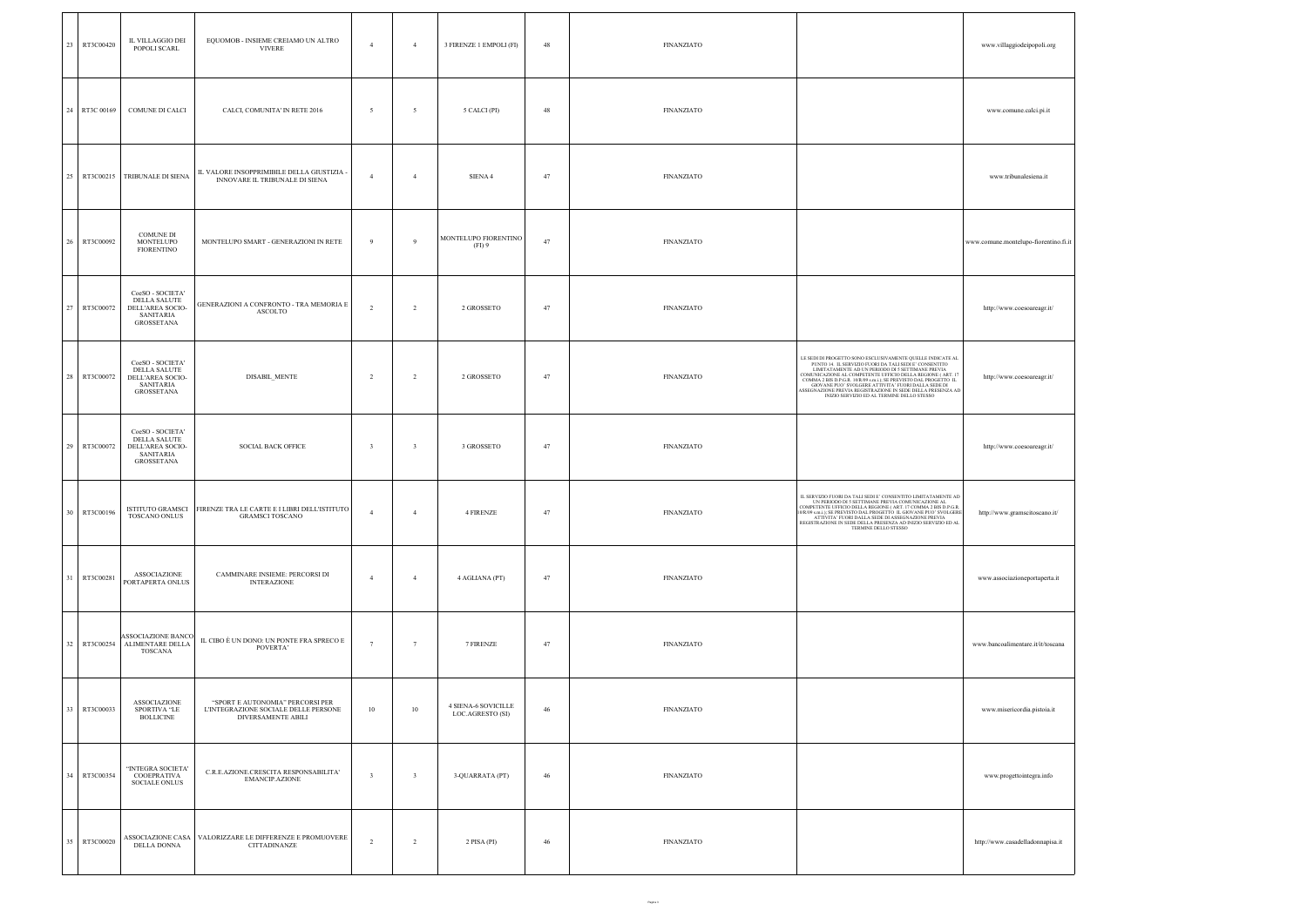| 23 RT3C00420      | IL VILLAGGIO DEI<br>POPOLI SCARL                                                       | EQUOMOB - INSIEME CREIAMO UN ALTRO<br><b>VIVERE</b>                                            | $\overline{4}$          | $\overline{4}$          | 3 FIRENZE 1 EMPOLI (FI)                        | 48 | <b>FINANZIATO</b> | www.villaggiodeipopoli.org                                                                                                                                                                                                                                                                                                                                                                                                                                                                                      |
|-------------------|----------------------------------------------------------------------------------------|------------------------------------------------------------------------------------------------|-------------------------|-------------------------|------------------------------------------------|----|-------------------|-----------------------------------------------------------------------------------------------------------------------------------------------------------------------------------------------------------------------------------------------------------------------------------------------------------------------------------------------------------------------------------------------------------------------------------------------------------------------------------------------------------------|
| $24$   RT3C 00169 | COMUNE DI CALCI                                                                        | CALCI, COMUNITA' IN RETE 2016                                                                  | 5 <sup>5</sup>          | 5                       | 5 CALCI (PI)                                   | 48 | <b>FINANZIATO</b> | www.comune.calci.pi.it                                                                                                                                                                                                                                                                                                                                                                                                                                                                                          |
|                   | 25   RT3C00215   TRIBUNALE DI SIENA                                                    | IL VALORE INSOPPRIMIBILE DELLA GIUSTIZIA -<br>INNOVARE IL TRIBUNALE DI SIENA                   | $\overline{4}$          | -4                      | SIENA 4                                        | 47 | <b>FINANZIATO</b> | www.tribunalesiena.it                                                                                                                                                                                                                                                                                                                                                                                                                                                                                           |
| 26 RT3C00092      | COMUNE DI<br>MONTELUPO<br>FIORENTINO                                                   | MONTELUPO SMART - GENERAZIONI IN RETE                                                          | -9                      | 9                       | MONTELUPO FIORENTINO<br>$(FI)$ 9               | 47 | <b>FINANZIATO</b> | www.comune.montelupo-fiorentino.fi.it                                                                                                                                                                                                                                                                                                                                                                                                                                                                           |
| 27   RT3C00072    | CoeSO - SOCIETA'<br>DELLA SALUTE<br>DELL'AREA SOCIO-<br>SANITARIA<br>GROSSETANA        | GENERAZIONI A CONFRONTO - TRA MEMORIA E<br>ASCOLTO                                             | 2                       | 2                       | 2 GROSSETO                                     | 47 | <b>FINANZIATO</b> | http://www.coesoareagr.it/                                                                                                                                                                                                                                                                                                                                                                                                                                                                                      |
| 28   RT3C00072    | CoeSO - SOCIETA'<br>DELLA SALUTE<br>DELL'AREA SOCIO-<br>SANITARIA<br>GROSSETANA        | DISABIL_MENTE                                                                                  | 2                       | 2                       | 2 GROSSETO                                     | 47 | <b>FINANZIATO</b> | LE SEDI DI PROGETTO SONO ESCLUSIVAMENTE QUELLE INDICATE AL<br>PUNTO 14. IL SERVIZIO FUORI DA TALI SEDI E' CONSENTITO<br>LIMITATAMENTE AD UN PERIODO DI 5 SETTIMANE PREVIA<br>COMUNICAZIONE AL COMPETENTE UFFICIO DELLA REGIONE ( ART. 17<br>http://www.coesoareagr.it/<br>COMMA 2 BIS D.P.G.R. 10/R/09 s.m.i.); SE PREVISTO DAL PROGETTO IL<br>GIOVANE PUO' SVOLGERE ATTIVITA' FUORI DALLA SEDE DI<br>ASSEGNAZIONE PREVIA REGISTRAZIONE IN SEDE DELLA PRESENZA AD<br>INIZIO SERVIZIO ED AL TERMINE DELLO STESSO |
| 29 RT3C00072      | CoeSO - SOCIETA'<br>DELLA SALUTE<br>DELL'AREA SOCIO-<br>SANITARIA<br><b>GROSSETANA</b> | SOCIAL BACK OFFICE                                                                             | $\overline{\mathbf{3}}$ | $\overline{\mathbf{3}}$ | 3 GROSSETO                                     | 47 | <b>FINANZIATO</b> | http://www.coesoareagr.it/                                                                                                                                                                                                                                                                                                                                                                                                                                                                                      |
| 30 RT3C00196      | TOSCANO ONLUS                                                                          | ISTITUTO GRAMSCI   FIRENZE TRA LE CARTE E I LIBRI DELL'ISTITUTO  <br><b>GRAMSCI TOSCANO</b>    | $\overline{4}$          | $\overline{4}$          | 4 FIRENZE                                      | 47 | <b>FINANZIATO</b> | IL SERVIZIO FUORI DA TALI SEDI E' CONSENTITO LIMITATAMENTE AD<br>UN PERIODO DI 5 SETTIMANE PREVIA COMUNICAZIONE AL<br>COMPETENTE UFFICIO DELLA REGIONE ( ART. 17 COMMA 2 BIS D.P.G.R.<br>10/R/09 s.m.i.); SE PREVISTO DAL PROGETTO IL GIOVANE PUO' SVOLGERE<br>http://www.gramscitoscano.it/<br>ATTIVITA' FUORI DALLA SEDE DI ASSEGNAZIONE PREVIA<br>REGISTRAZIONE IN SEDE DELLA PRESENZA AD INIZIO SERVIZIO ED AL<br>TERMINE DELLO STESSO                                                                      |
| 31   RT3C00281    | ASSOCIAZIONE<br>PORTAPERTA ONLUS                                                       | CAMMINARE INSIEME: PERCORSI DI<br><b>INTERAZIONE</b>                                           | $\overline{4}$          | $\overline{4}$          | 4 AGLIANA (PT)                                 | 47 | <b>FINANZIATO</b> | www.associazioneportaperta.it                                                                                                                                                                                                                                                                                                                                                                                                                                                                                   |
| 32   RT3C00254    | <b>ASSOCIAZIONE BANCO</b><br>ALIMENTARE DELLA<br>TOSCANA                               | IL CIBO È UN DONO: UN PONTE FRA SPRECO E<br>POVERTA'                                           | $7\phantom{.0}$         | $7\phantom{.0}$         | 7 FIRENZE                                      | 47 | <b>FINANZIATO</b> | www.bancoalimentare.it/it/toscana                                                                                                                                                                                                                                                                                                                                                                                                                                                                               |
| 33 RT3C00033      | <b>ASSOCIAZIONE</b><br>SPORTIVA "LE<br><b>BOLLICINE</b>                                | "SPORT E AUTONOMIA" PERCORSI PER<br>L'INTEGRAZIONE SOCIALE DELLE PERSONE<br>DIVERSAMENTE ABILI | 10                      | 10                      | <b>4 SIENA-6 SOVICILLE</b><br>LOC.AGRESTO (SI) | 46 | <b>FINANZIATO</b> | www.misericordia.pistoia.it                                                                                                                                                                                                                                                                                                                                                                                                                                                                                     |
| 34 RT3C00354      | "INTEGRA SOCIETA"<br>COOEPRATIVA<br><b>SOCIALE ONLUS</b>                               | C.R.E.AZIONE.CRESCITA RESPONSABILITA'<br><b>EMANCIP.AZIONE</b>                                 | $\overline{\mathbf{3}}$ | $\overline{\mathbf{3}}$ | 3-QUARRATA (PT)                                | 46 | <b>FINANZIATO</b> | www.progettointegra.info                                                                                                                                                                                                                                                                                                                                                                                                                                                                                        |
| 35   RT3C00020    | DELLA DONNA                                                                            | ASSOCIAZIONE CASA   VALORIZZARE LE DIFFERENZE E PROMUOVERE<br>CITTADINANZE                     | $\overline{2}$          | $\overline{2}$          | 2 PISA (PI)                                    | 46 | <b>FINANZIATO</b> | http://www.casadelladonnapisa.it                                                                                                                                                                                                                                                                                                                                                                                                                                                                                |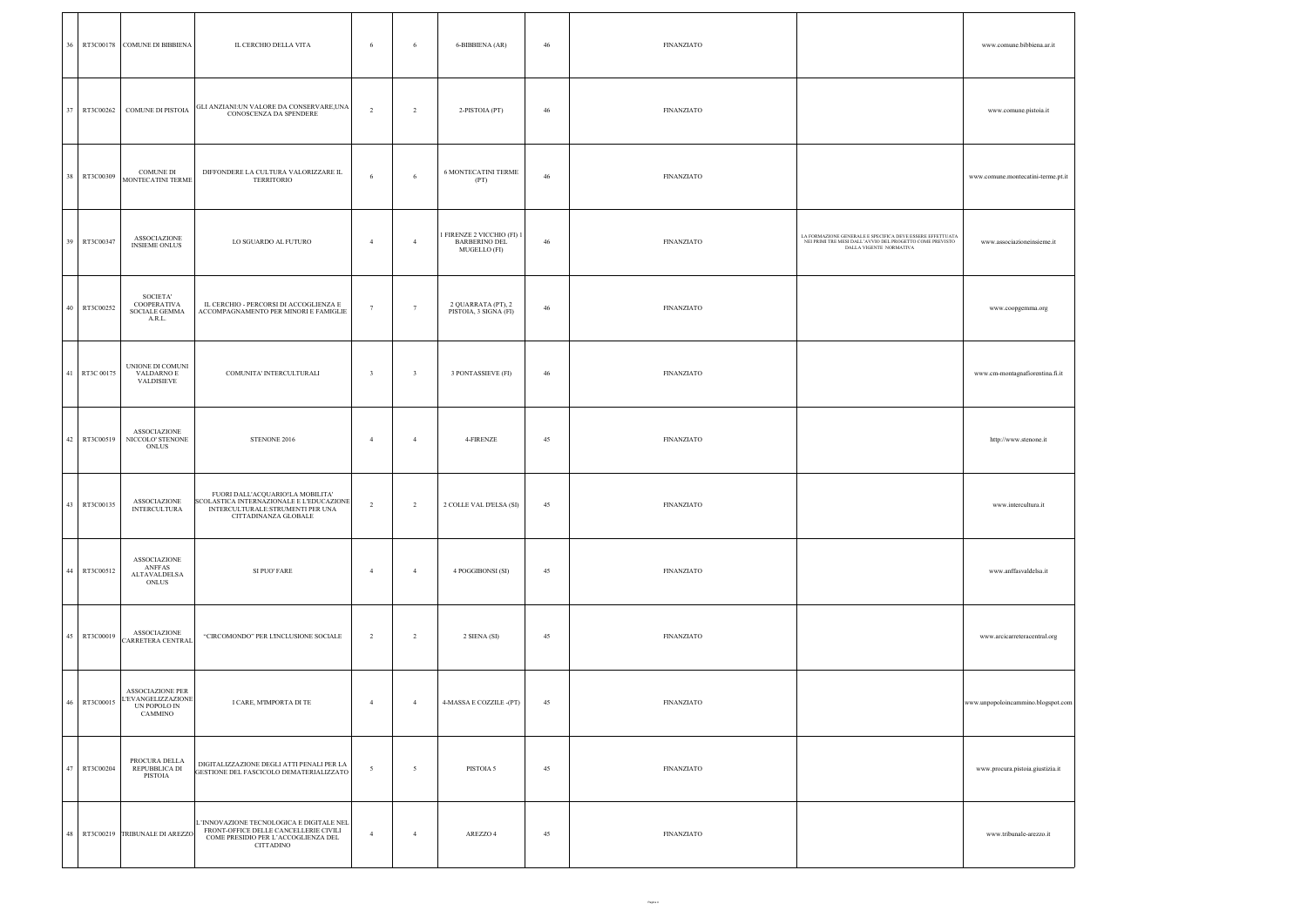|                 | 36   RT3C00178   COMUNE DI BIBBIENA                                      | IL CERCHIO DELLA VITA                                                                                                                                                                                        | 6                       | 6                       | 6-BIBBIENA (AR)                                                    | 46 | <b>FINANZIATO</b> |                                                                                                                                                  | www.comune.bibbiena.ar.it          |
|-----------------|--------------------------------------------------------------------------|--------------------------------------------------------------------------------------------------------------------------------------------------------------------------------------------------------------|-------------------------|-------------------------|--------------------------------------------------------------------|----|-------------------|--------------------------------------------------------------------------------------------------------------------------------------------------|------------------------------------|
|                 | 37   RT3C00262   COMUNE DI PISTOIA                                       | GLI ANZIANI:UN VALORE DA CONSERVARE,UNA<br>CONOSCENZA DA SPENDERE                                                                                                                                            | $\overline{2}$          | $\overline{2}$          | 2-PISTOIA (PT)                                                     | 46 | FINANZIATO        |                                                                                                                                                  | www.comune.pistoia.it              |
| 38 RT3C00309    | COMUNE DI<br>MONTECATINI TERME                                           | DIFFONDERE LA CULTURA VALORIZZARE IL<br>TERRITORIO                                                                                                                                                           | 6                       | 6                       | <b>6 MONTECATINI TERME</b><br>(PT)                                 | 46 | FINANZIATO        |                                                                                                                                                  | www.comune.montecatini-terme.pt.it |
| 39 RT3C00347    | ASSOCIAZIONE<br><b>INSIEME ONLUS</b>                                     | LO SGUARDO AL FUTURO                                                                                                                                                                                         | $\overline{4}$          | $\overline{4}$          | 1 FIRENZE 2 VICCHIO (FI) 1<br><b>BARBERINO DEL</b><br>MUGELLO (FI) | 46 | <b>FINANZIATO</b> | LA FORMAZIONE GENERALE E SPECIFICA DEVE ESSERE EFFETTUATA<br>NEI PRIMI TRE MESI DALL'AVVIO DEL PROGETTO COME PREVISTO<br>DALLA VIGENTE NORMATIVA | www.associazioneinsieme.it         |
| 40 RT3C00252    | SOCIETA'<br>COOPERATIVA<br><b>SOCIALE GEMMA</b><br>A.R.L.                | IL CERCHIO - PERCORSI DI ACCOGLIENZA E<br>ACCOMPAGNAMENTO PER MINORI E FAMIGLIE                                                                                                                              | $7\phantom{.0}$         | $7\overline{ }$         | 2 QUARRATA (PT), 2<br>PISTOIA, 3 SIGNA (FI)                        | 46 | <b>FINANZIATO</b> |                                                                                                                                                  | www.coopgemma.org                  |
| 41   RT3C 00175 | UNIONE DI COMUNI<br>VALDARNO E<br>VALDISIEVE                             | COMUNITA' INTERCULTURALI                                                                                                                                                                                     | $\overline{\mathbf{3}}$ | $\overline{\mathbf{3}}$ | 3 PONTASSIEVE (FI)                                                 | 46 | FINANZIATO        |                                                                                                                                                  | www.cm-montagnafiorentina.fi.it    |
| 42 RT3C00519    | ASSOCIAZIONE<br>NICCOLO' STENONE<br>ONLUS                                | STENONE 2016                                                                                                                                                                                                 | $\overline{4}$          | $\overline{4}$          | 4-FIRENZE                                                          | 45 | FINANZIATO        |                                                                                                                                                  | http://www.stenone.it              |
| 43   RT3C00135  | <b>INTERCULTURA</b>                                                      | FUORI DALL'ACQUARIO!LA MOBILITA'<br>ASSOCIAZIONE SCOLASTICA INTERNAZIONALE E L'EDUCAZIONE<br>INTERCULTURALE:STRUMENTI PER UNA<br>CITTADINANZA GLOBALE                                                        | $\overline{2}$          | $\overline{2}$          | 2 COLLE VAL D'ELSA (SI)                                            | 45 | FINANZIATO        |                                                                                                                                                  | www.intercultura.it                |
| 44 RT3C00512    | ASSOCIAZIONE<br>ANFFAS<br>ALTAVALDELSA<br>ONLUS                          | SI PUO' FARE                                                                                                                                                                                                 | $\overline{4}$          | $\overline{4}$          | 4 POGGIBONSI (SI)                                                  | 45 | <b>FINANZIATO</b> |                                                                                                                                                  | www.anffasvaldelsa.it              |
| 45 RT3C00019    | ASSOCIAZIONE<br>CARRETERA CENTRAL                                        | "CIRCOMONDO" PER L'INCLUSIONE SOCIALE                                                                                                                                                                        | $\overline{2}$          | $\overline{2}$          | 2 SIENA (SI)                                                       | 45 | <b>FINANZIATO</b> |                                                                                                                                                  | www.arcicarreteracentral.org       |
| 46 RT3C00015    | ASSOCIAZIONE PER<br><b>L'EVANGELIZZAZIONE</b><br>UN POPOLO IN<br>CAMMINO | I CARE, M'IMPORTA DI TE                                                                                                                                                                                      | $\overline{4}$          | $\overline{4}$          | 4-MASSA E COZZILE -(PT)                                            | 45 | <b>FINANZIATO</b> |                                                                                                                                                  | www.unpopoloincammino.blogspot.com |
| 47 RT3C00204    | PROCURA DELLA<br>REPUBBLICA DI<br>PISTOIA                                | DIGITALIZZAZIONE DEGLI ATTI PENALI PER LA<br>GESTIONE DEL FASCICOLO DEMATERIALIZZATO                                                                                                                         | $5\overline{5}$         | $5\overline{5}$         | PISTOIA 5                                                          | 45 | <b>FINANZIATO</b> |                                                                                                                                                  | www.procura.pistoia.giustizia.it   |
|                 | 48   RT3C00219   TRIBUNALE DI AREZZO                                     | L'INNOVAZIONE TECNOLOGICA E DIGITALE NEL<br>FRONT-OFFICE DELLE CANCELLERIE CIVILI<br>$\begin{array}{lll} \textbf{COME} \textbf{ PRESIDIO} \textbf{ PER L'ACCOGLIENZA DEL} \\ \textbf{CITTADINO} \end{array}$ | $\overline{4}$          | $\overline{4}$          | AREZZO 4                                                           | 45 | <b>FINANZIATO</b> |                                                                                                                                                  | www.tribunale-arezzo.it            |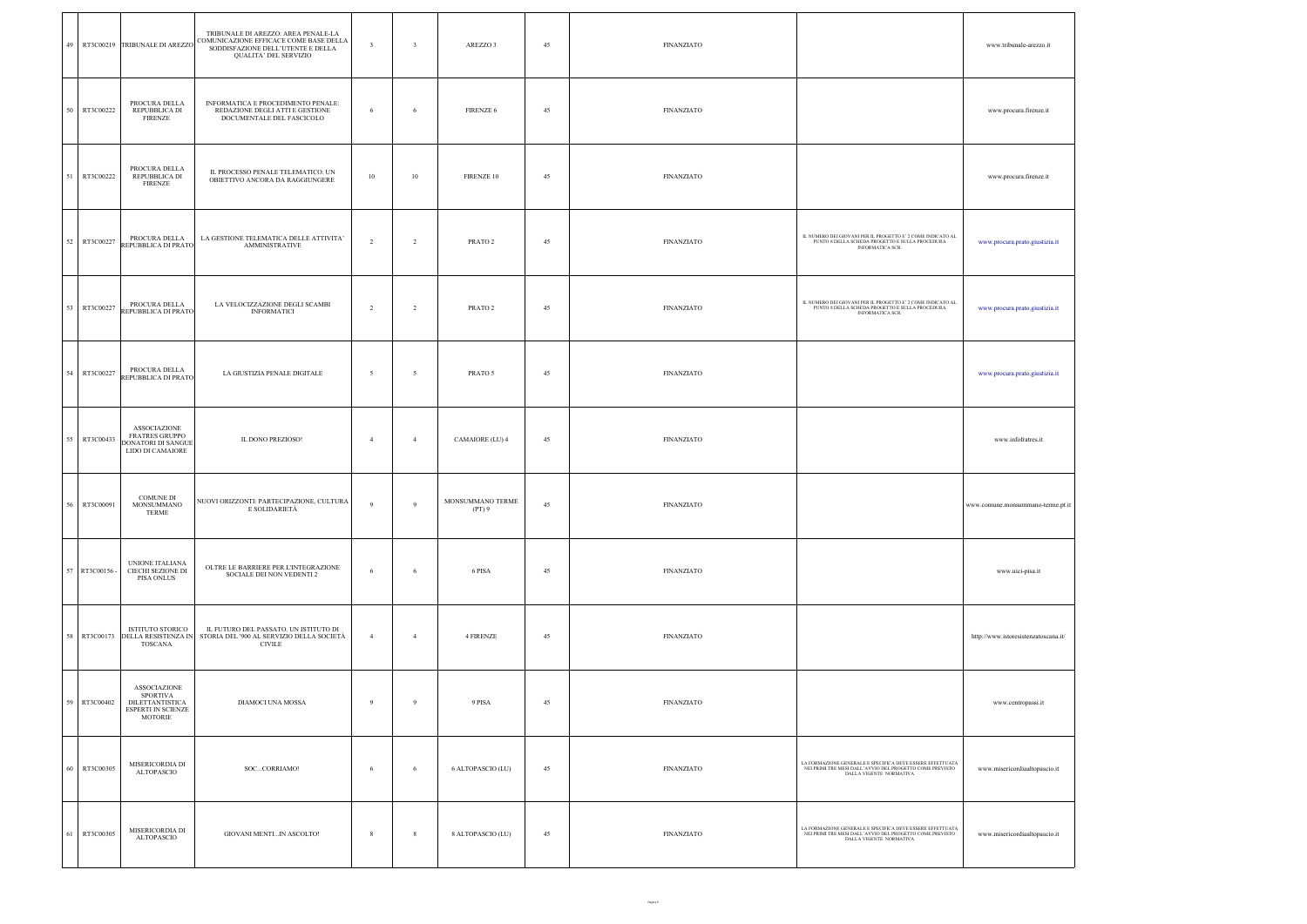|                    |                                                                              | TRIBUNALE DI AREZZO: AREA PENALE-LA<br>$\vert$ 49 $\vert$ RT3C00219 TRIBUNALE DI AREZZO COMUNICAZIONE SEFFICACE COME BASE DELLA<br>SODDISFAZIONE DELL'UTENTE E DELLA<br>QUALITA' DEL SERVIZIO | $\overline{\mathbf{3}}$ | $\overline{\mathbf{3}}$ | AREZZO 3                     | 45 | <b>FINANZIATO</b> |                                                                                                                                                    | www.tribunale-arezzo.it              |
|--------------------|------------------------------------------------------------------------------|-----------------------------------------------------------------------------------------------------------------------------------------------------------------------------------------------|-------------------------|-------------------------|------------------------------|----|-------------------|----------------------------------------------------------------------------------------------------------------------------------------------------|--------------------------------------|
| 50 RT3C00222       | PROCURA DELLA<br>REPUBBLICA DI<br><b>FIRENZE</b>                             | INFORMATICA E PROCEDIMENTO PENALE:<br>REDAZIONE DEGLI ATTI E GESTIONE<br>DOCUMENTALE DEL FASCICOLO                                                                                            | 6                       | 6                       | <b>FIRENZE 6</b>             | 45 | <b>FINANZIATO</b> |                                                                                                                                                    | www.procura.firenze.it               |
| 51   RT3C00222     | PROCURA DELLA<br>REPUBBLICA DI<br><b>FIRENZE</b>                             | IL PROCESSO PENALE TELEMATICO: UN<br>OBIETTIVO ANCORA DA RAGGIUNGERE                                                                                                                          | 10                      | 10                      | FIRENZE 10                   | 45 | <b>FINANZIATO</b> |                                                                                                                                                    | www.procura.firenze.it               |
| 52 RT3C00227       | PROCURA DELLA<br>REPUBBLICA DI PRATO                                         | LA GESTIONE TELEMATICA DELLE ATTIVITA'<br><b>AMMINISTRATIVE</b>                                                                                                                               | 2                       | 2                       | PRATO 2                      | 45 | <b>FINANZIATO</b> | IL NUMERO DEI GIOVANI PER IL PROGETTO E' 2 COME INDICATO AL<br>PUNTO 8 DELLA SCHEDA PROGETTO E SULLA PROCEDURA<br>INFORMATICA SCR.                 | www.procura.prato.giustizia.it       |
| 53 RT3C00227       | PROCURA DELLA<br>REPUBBLICA DI PRATO                                         | LA VELOCIZZAZIONE DEGLI SCAMBI<br><b>INFORMATICI</b>                                                                                                                                          | 2                       | 2                       | PRATO 2                      | 45 | <b>FINANZIATO</b> | IL NUMERO DEI GIOVANI PER IL PROGETTO E' 2 COME INDICATO AL<br>PUNTO 8 DELLA SCHEDA PROGETTO E SULLA PROCEDURA<br>INFORMATICA SCR.                 | www.procura.prato.giustizia.it       |
| 54 RT3C00227       | PROCURA DELLA<br>REPUBBLICA DI PRATO                                         | LA GIUSTIZIA PENALE DIGITALE                                                                                                                                                                  | 5 <sup>5</sup>          | 5                       | PRATO 5                      | 45 | <b>FINANZIATO</b> |                                                                                                                                                    | www.procura.prato.giustizia.it       |
| 55 RT3C00433       | ASSOCIAZIONE<br>FRATRES GRUPPO<br>DONATORI DI SANGUE<br>LIDO DI CAMAIORE     | IL DONO PREZIOSO!                                                                                                                                                                             | $\overline{4}$          | $\overline{4}$          | CAMAIORE (LU) 4              | 45 | <b>FINANZIATO</b> |                                                                                                                                                    | www.infofratres.it                   |
| 56 RT3C00091       | COMUNE DI<br>MONSUMMANO<br><b>TERME</b>                                      | NUOVI ORIZZONTI: PARTECIPAZIONE, CULTURA<br>E SOLIDARIETÀ                                                                                                                                     | - 9                     | 9                       | MONSUMMANO TERME<br>$(PT)$ 9 | 45 | <b>FINANZIATO</b> |                                                                                                                                                    | www.comune.monsummano-terme.pt.it    |
| $57   RT3C00156 -$ | UNIONE ITALIANA<br>CIECHI SEZIONE DI<br>PISA ONLUS                           | OLTRE LE BARRIERE PER L'INTEGRAZIONE<br>SOCIALE DEI NON VEDENTI 2                                                                                                                             | 6                       | 6                       | 6 PISA                       | 45 | <b>FINANZIATO</b> |                                                                                                                                                    | www.uici-pisa.it                     |
| 58 RT3C00173       | ISTITUTO STORICO<br>TOSCANA                                                  | IL FUTURO DEL PASSATO. UN ISTITUTO DI<br>DELLA RESISTENZA IN STORIA DEL '900 AL SERVIZIO DELLA SOCIETÀ<br><b>CIVILE</b>                                                                       | $\overline{4}$          | $\overline{4}$          | 4 FIRENZE                    | 45 | <b>FINANZIATO</b> |                                                                                                                                                    | http://www.istoresistenzatoscana.it/ |
| 59   RT3C00402     | ASSOCIAZIONE<br>SPORTIVA<br>DILETTANTISTICA<br>ESPERTI IN SCIENZE<br>MOTORIE | DIAMOCI UNA MOSSA                                                                                                                                                                             | - 9                     | 9                       | 9 PISA                       | 45 | <b>FINANZIATO</b> |                                                                                                                                                    | www.centropassi.it                   |
| 60   RT3C00305     | MISERICORDIA DI<br>ALTOPASCIO                                                | SOCCORRIAMO!                                                                                                                                                                                  | 6                       | 6                       | 6 ALTOPASCIO (LU)            | 45 | <b>FINANZIATO</b> | LA FORMAZIONE GENERALE E SPECIFICA DEVE ESSERE EFFETTUATA NEI PRIMI TRE MESI DALL'AVVIO DEL PROGETTO COME PREVISTO DALLA VIGENTE $\,$ NORMATIVA    | www.misericordiaaltopascio.it        |
| 61 RT3C00305       | MISERICORDIA DI<br>ALTOPASCIO                                                | GIOVANI MENTIIN ASCOLTO!                                                                                                                                                                      | 8                       | 8                       | 8 ALTOPASCIO (LU)            | 45 | <b>FINANZIATO</b> | LA FORMAZIONE GENERALE E SPECIFICA DEVE ESSERE EFFETTUATA $\,$ NEI PRIMI TRE MESI DALL'AVVIO DEL PROGETTO COME PREVISTO<br>DALLA VIGENTE NORMATIVA | www.misericordiaaltopascio.it        |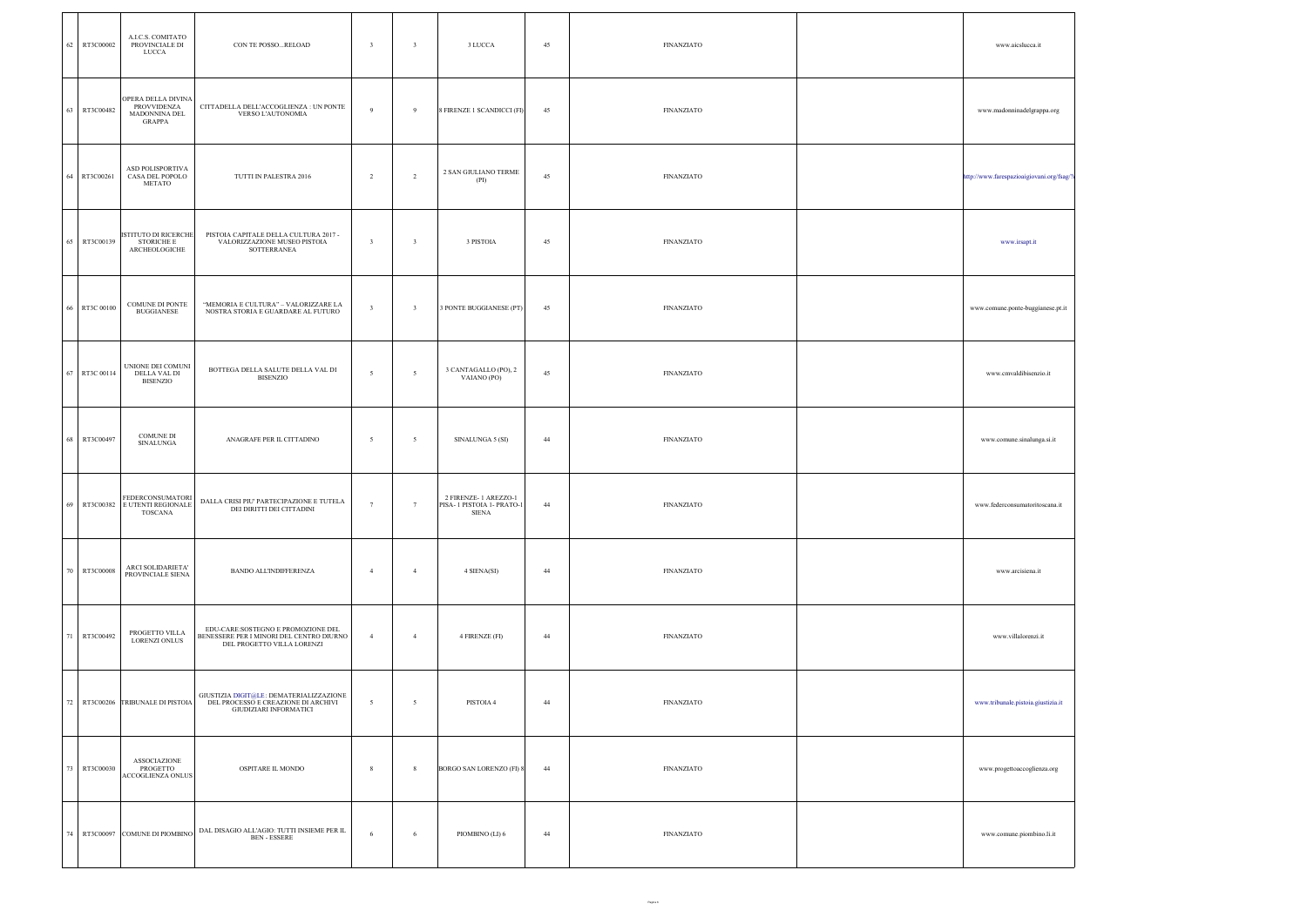| 62   RT3C00002  | A.I.C.S. COMITATO<br>PROVINCIALE DI<br>LUCCA                        | CON TE POSSORELOAD                                                                                           | $\overline{\mathbf{3}}$ | $\overline{\mathbf{3}}$ | 3 LUCCA                                                       | 45 | <b>FINANZIATO</b> | www.aicslucca.it                          |
|-----------------|---------------------------------------------------------------------|--------------------------------------------------------------------------------------------------------------|-------------------------|-------------------------|---------------------------------------------------------------|----|-------------------|-------------------------------------------|
| 63 RT3C00482    | OPERA DELLA DIVINA<br>PROVVIDENZA<br>MADONNINA DEL<br><b>GRAPPA</b> | CITTADELLA DELL'ACCOGLIENZA : UN PONTE<br>VERSO L'AUTONOMIA                                                  | - 9                     | 9                       | 8 FIRENZE 1 SCANDICCI (FI)                                    | 45 | <b>FINANZIATO</b> | www.madonninadelgrappa.org                |
| 64 RT3C00261    | ASD POLISPORTIVA<br>CASA DEL POPOLO<br>METATO                       | TUTTI IN PALESTRA 2016                                                                                       | 2                       | 2                       | 2 SAN GIULIANO TERME<br>(PI)                                  | 45 | <b>FINANZIATO</b> | http://www.farespazioaigiovani.org/fsag/? |
| 65   RT3C00139  | ISTITUTO DI RICERCHE<br>STORICHE E<br>ARCHEOLOGICHE                 | PISTOIA CAPITALE DELLA CULTURA 2017 -<br>VALORIZZAZIONE MUSEO PISTOIA<br>SOTTERRANEA                         | $\overline{\mathbf{3}}$ | $\overline{\mathbf{3}}$ | 3 PISTOIA                                                     | 45 | <b>FINANZIATO</b> | www.irsapt.it                             |
| 66   RT3C 00100 | COMUNE DI PONTE<br><b>BUGGIANESE</b>                                | "MEMORIA E CULTURA" - VALORIZZARE LA<br>NOSTRA STORIA E GUARDARE AL FUTURO                                   | $\overline{\mathbf{3}}$ | $\overline{\mathbf{3}}$ | 3 PONTE BUGGIANESE (PT)                                       | 45 | <b>FINANZIATO</b> | www.comune.ponte-buggianese.pt.it         |
| 67 RT3C 00114   | UNIONE DEI COMUNI<br>DELLA VAL DI<br><b>BISENZIO</b>                | BOTTEGA DELLA SALUTE DELLA VAL DI<br><b>BISENZIO</b>                                                         | 5                       | $5\overline{5}$         | 3 CANTAGALLO (PO), 2<br>VAIANO (PO)                           | 45 | <b>FINANZIATO</b> | www.cmvaldibisenzio.it                    |
| 68   RT3C00497  | COMUNE DI<br>SINALUNGA                                              | ANAGRAFE PER IL CITTADINO                                                                                    | 5 <sup>5</sup>          | $5\overline{5}$         | SINALUNGA 5 (SI)                                              | 44 | <b>FINANZIATO</b> | www.comune.sinalunga.si.it                |
|                 | TOSCANA                                                             | 69   RT3C00382   FEDERCONSUMATORI   DALLA CRISI PIU' PARTECIPAZIONE E TUTELA<br>DEI DIRITTI DEI CITTADINI    | $7\overline{ }$         | $7\phantom{.0}$         | 2 FIRENZE- 1 AREZZO-1<br>PISA- 1 PISTOIA 1- PRATO-1 <br>SIENA | 44 | FINANZIATO        | www.federconsumatoritoscana.it            |
| 70   RT3C00008  | ARCI SOLIDARIETA'<br>PROVINCIALE SIENA                              | <b>BANDO ALL'INDIFFERENZA</b>                                                                                | $\overline{4}$          | $\overline{4}$          | 4 SIENA(SI)                                                   | 44 | FINANZIATO        | www.arcisiena.it                          |
| 71   RT3C00492  | PROGETTO VILLA<br>LORENZI ONLUS                                     | EDU-CARE:SOSTEGNO E PROMOZIONE DEL<br>BENESSERE PER I MINORI DEL CENTRO DIURNO<br>DEL PROGETTO VILLA LORENZI | $\overline{4}$          | $\overline{4}$          | 4 FIRENZE (FI)                                                | 44 | <b>FINANZIATO</b> | www.villalorenzi.it                       |
|                 | 72   RT3C00206 TRIBUNALE DI PISTOIA                                 | GIUSTIZIA DIGIT@LE: DEMATERIALIZZAZIONE<br>DEL PROCESSO E CREAZIONE DI ARCHIVI<br>GIUDIZIARI INFORMATICI     | 5                       | $\sqrt{5}$              | PISTOIA 4                                                     | 44 | FINANZIATO        | www.tribunale.pistoia.giustizia.it        |
| 73   RT3C00030  | ASSOCIAZIONE<br>PROGETTO<br><b>ACCOGLIENZA ONLUS</b>                | OSPITARE IL MONDO                                                                                            | 8                       | 8                       | <b>BORGO SAN LORENZO (FI) 8</b>                               | 44 | FINANZIATO        | www.progettoaccoglienza.org               |
|                 | 74   RT3C00097   COMUNE DI PIOMBINO                                 | DAL DISAGIO ALL'AGIO: TUTTI INSIEME PER IL<br>BEN - ESSERE                                                   | 6                       | 6                       | PIOMBINO (LI) 6                                               | 44 | FINANZIATO        | www.comune.piombino.li.it                 |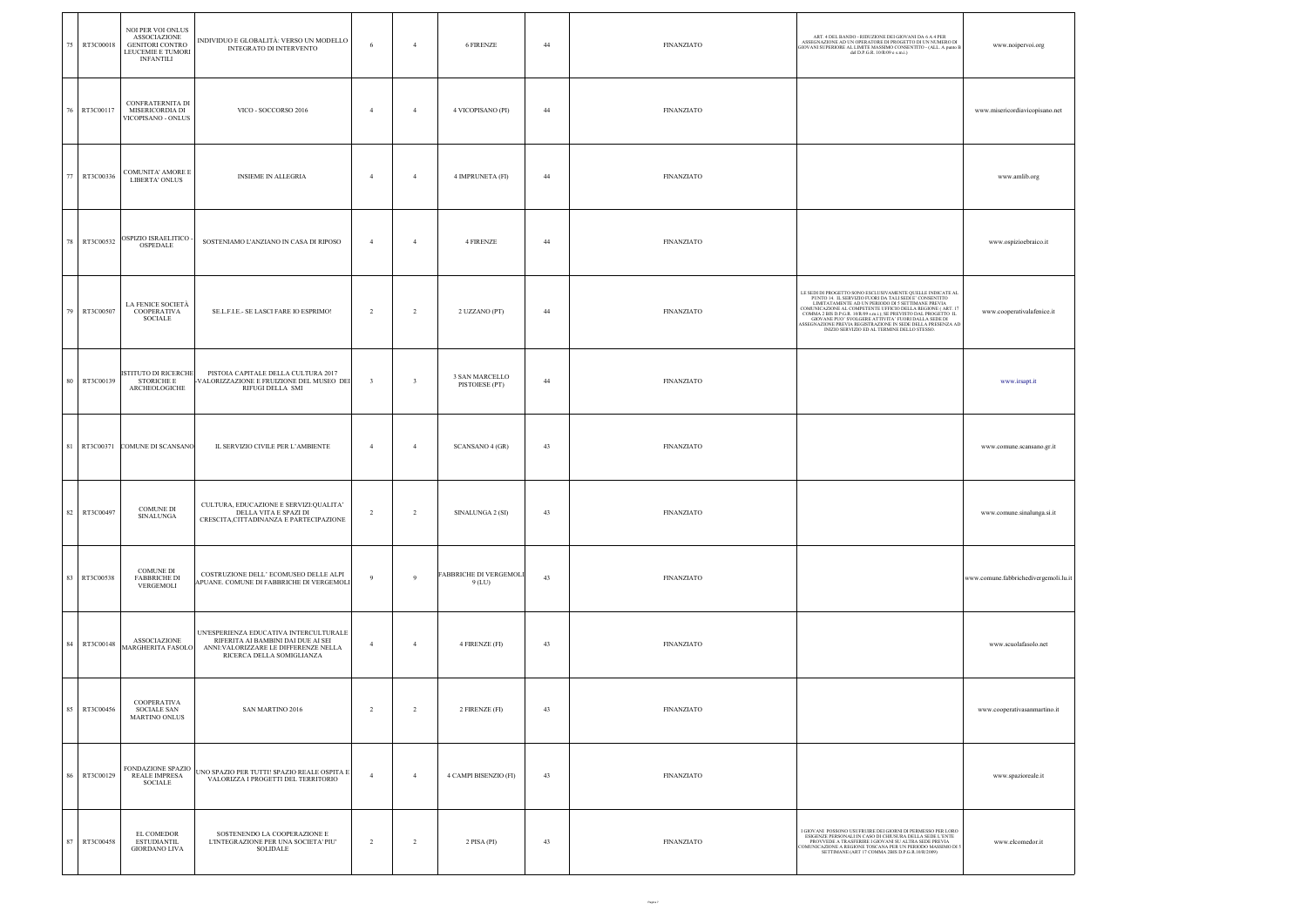| www.noipervoi.org                |
|----------------------------------|
| w.misericordiavicopisano.net     |
| www.amlib.org                    |
| www.ospizioebraico.it            |
| vww.cooperativalafenice.it       |
| www.irsapt.it                    |
| ww.comune.scansano.gr.it         |
| ww.comune.sinalunga.si.it        |
| omune.fabbrichedivergemoli.lu.it |
| www.scuolafasolo.net             |
| vw.cooperativasanmartino.it      |
| www.spazioreale.it               |
| www.elcomedor.it                 |

| 75 RT3C00018   | NOI PER VOI ONLUS<br>ASSOCIAZIONE<br><b>GENITORI CONTRO</b><br>LEUCEMIE E TUMORI<br><b>INFANTILI</b> | INDIVIDUO E GLOBALITÀ: VERSO UN MODELLO<br>INTEGRATO DI INTERVENTO                                                                                | 6                       | $\overline{4}$          | 6 FIRENZE                                 | 44 | FINANZIATO        | ART. 4 DEL BANDO - RIDUZIONE DEI GIOVANI DA 6 A 4 PER ASSEGNAZIONE AD UN OPERATORE DI PROGETTO DI UN NUMERO DI<br>www.noipervoi.org<br>GIOVANI SUPERIORE AL LIMITE MASSIMO CONSENTITO - (ALL. A punto B<br>del D.P.G.R. 10/R/09 e s.m.i.)                                                                                                                                                                                                                                                                  |
|----------------|------------------------------------------------------------------------------------------------------|---------------------------------------------------------------------------------------------------------------------------------------------------|-------------------------|-------------------------|-------------------------------------------|----|-------------------|------------------------------------------------------------------------------------------------------------------------------------------------------------------------------------------------------------------------------------------------------------------------------------------------------------------------------------------------------------------------------------------------------------------------------------------------------------------------------------------------------------|
| 76   RT3C00117 | CONFRATERNITA DI<br>MISERICORDIA DI<br>VICOPISANO - ONLUS                                            | VICO - SOCCORSO 2016                                                                                                                              | $\overline{4}$          | $\overline{4}$          | 4 VICOPISANO (PI)                         | 44 | FINANZIATO        | www.misericordiavicopisano.net                                                                                                                                                                                                                                                                                                                                                                                                                                                                             |
| 77   RT3C00336 | COMUNITA' AMORE E<br>LIBERTA' ONLUS                                                                  | <b>INSIEME IN ALLEGRIA</b>                                                                                                                        | $\overline{4}$          | $\overline{4}$          | 4 IMPRUNETA (FI)                          | 44 | FINANZIATO        | www.amlib.org                                                                                                                                                                                                                                                                                                                                                                                                                                                                                              |
| 78   RT3C00532 | OSPIZIO ISRAELITICO -<br>OSPEDALE                                                                    | SOSTENIAMO L'ANZIANO IN CASA DI RIPOSO                                                                                                            | $\overline{4}$          | $\overline{4}$          | 4 FIRENZE                                 | 44 | <b>FINANZIATO</b> | www.ospizioebraico.it                                                                                                                                                                                                                                                                                                                                                                                                                                                                                      |
| 79   RT3C00507 | LA FENICE SOCIETÀ<br>COOPERATIVA<br>SOCIALE                                                          | SE.L.F.I.E.- SE LASCI FARE IO ESPRIMO!                                                                                                            | $\overline{2}$          | $\overline{2}$          | 2 UZZANO (PT)                             | 44 | <b>FINANZIATO</b> | LE SEDI DI PROGETTO SONO ESCLUSIVAMENTE QUELLE INDICATE AL PUNTO 14. IL SERVIZIO FUORI DA TALI SEDI E' CONSENTITO LIMITATAMENTE AD UN PERIODO DI 5 SETTIMANE PREVIA<br>COMUNICAZIONE AL COMPETENTE UFFICIO DELLA REGIONE ( ART. 17<br>www.cooperativalafenice.it<br>COMMA 2 BIS D.P.G.R. 10/R/09 s.m.i.); SE PREVISTO DAL PROGETTO IL<br>GIOVANE PUO' SVOLGERE ATTIVITA' FUORI DALLA SEDE DI<br>ASSEGNAZIONE PREVIA REGISTRAZIONE IN SEDE DELLA PRESENZA AD<br>INIZIO SERVIZIO ED AL TERMINE DELLO STESSO. |
| 80   RT3C00139 | ISTITUTO DI RICERCHE<br><b>STORICHE E</b><br>ARCHEOLOGICHE                                           | PISTOIA CAPITALE DELLA CULTURA 2017<br>-VALORIZZAZIONE E FRUIZIONE DEL MUSEO DEI<br>RIFUGI DELLA SMI                                              | $\overline{\mathbf{3}}$ | $\overline{\mathbf{3}}$ | 3 SAN MARCELLO<br>PISTOIESE (PT)          | 44 | <b>FINANZIATO</b> | www.irsapt.it                                                                                                                                                                                                                                                                                                                                                                                                                                                                                              |
|                | 81   RT3C00371 COMUNE DI SCANSANO                                                                    | IL SERVIZIO CIVILE PER L'AMBIENTE                                                                                                                 | $\overline{4}$          | $\overline{4}$          | SCANSANO 4 (GR)                           | 43 | <b>FINANZIATO</b> | www.comune.scansano.gr.it                                                                                                                                                                                                                                                                                                                                                                                                                                                                                  |
| 82   RT3C00497 | COMUNE DI<br>SINALUNGA                                                                               | CULTURA, EDUCAZIONE E SERVIZI: QUALITA'<br>DELLA VITA E SPAZI DI<br>CRESCITA, CITTADINANZA E PARTECIPAZIONE                                       | $\overline{2}$          | $\overline{2}$          | SINALUNGA 2 (SI)                          | 43 | <b>FINANZIATO</b> | www.comune.sinalunga.si.it                                                                                                                                                                                                                                                                                                                                                                                                                                                                                 |
| 83 RT3C00538   | COMUNE DI<br><b>FABBRICHE DI</b><br>VERGEMOLI                                                        | COSTRUZIONE DELL' ECOMUSEO DELLE ALPI<br>APUANE. COMUNE DI FABBRICHE DI VERGEMOLI                                                                 | 9                       | $\mathbf{Q}$            | <b>FABBRICHE DI VERGEMOLI</b><br>$9$ (LU) | 43 | <b>FINANZIATO</b> | www.comune.fabbrichedivergemoli.lu.i                                                                                                                                                                                                                                                                                                                                                                                                                                                                       |
| 84 RT3C00148   | ASSOCIAZIONE<br>MARGHERITA FASOLO                                                                    | UN'ESPERIENZA EDUCATIVA INTERCULTURALE<br>RIFERITA AI BAMBINI DAI DUE AI SEI<br>ANNI:VALORIZZARE LE DIFFERENZE NELLA<br>RICERCA DELLA SOMIGLIANZA | $\overline{4}$          | $\overline{4}$          | 4 FIRENZE (FI)                            | 43 | <b>FINANZIATO</b> | www.scuolafasolo.net                                                                                                                                                                                                                                                                                                                                                                                                                                                                                       |
| 85   RT3C00456 | COOPERATIVA<br><b>SOCIALE SAN</b><br><b>MARTINO ONLUS</b>                                            | SAN MARTINO 2016                                                                                                                                  | $\overline{2}$          | $\overline{2}$          | 2 FIRENZE (FI)                            | 43 | <b>FINANZIATO</b> | www.cooperativasanmartino.it                                                                                                                                                                                                                                                                                                                                                                                                                                                                               |
| 86   RT3C00129 | FONDAZIONE SPAZIO<br><b>REALE IMPRESA</b><br>SOCIALE                                                 | UNO SPAZIO PER TUTTI! SPAZIO REALE OSPITA E<br>VALORIZZA I PROGETTI DEL TERRITORIO                                                                | $\overline{4}$          | $\overline{4}$          | 4 CAMPI BISENZIO (FI)                     | 43 | <b>FINANZIATO</b> | www.spazioreale.it                                                                                                                                                                                                                                                                                                                                                                                                                                                                                         |
| 87   RT3C00458 | EL COMEDOR<br><b>ESTUDIANTIL</b><br><b>GIORDANO LIVA</b>                                             | SOSTENENDO LA COOPERAZIONE E<br>L'INTEGRAZIONE PER UNA SOCIETA' PIU'<br>SOLIDALE                                                                  | $\overline{2}$          | $\overline{2}$          | 2 PISA (PI)                               | 43 | FINANZIATO        | I GIOVANI POSSONO USUFRUIRE DEI GIORNI DI PERMESSO PER LORO ESIGENZE PERSONALL'IN CASO DI CHIUSURA DELLA SEDE PREVIA PROVVEDE A TRASFERIRE I GIOVANI SU ALTRA SEDE PREVIA<br>www.elcomedor.it<br>COMUNICAZIONE A REGIONE TOSCANA PER UN PERIODO MASSIMO DI 5<br>SETTIMANE (ART 17 COMMA 2BIS D.P.G.R.10/R/2009)                                                                                                                                                                                            |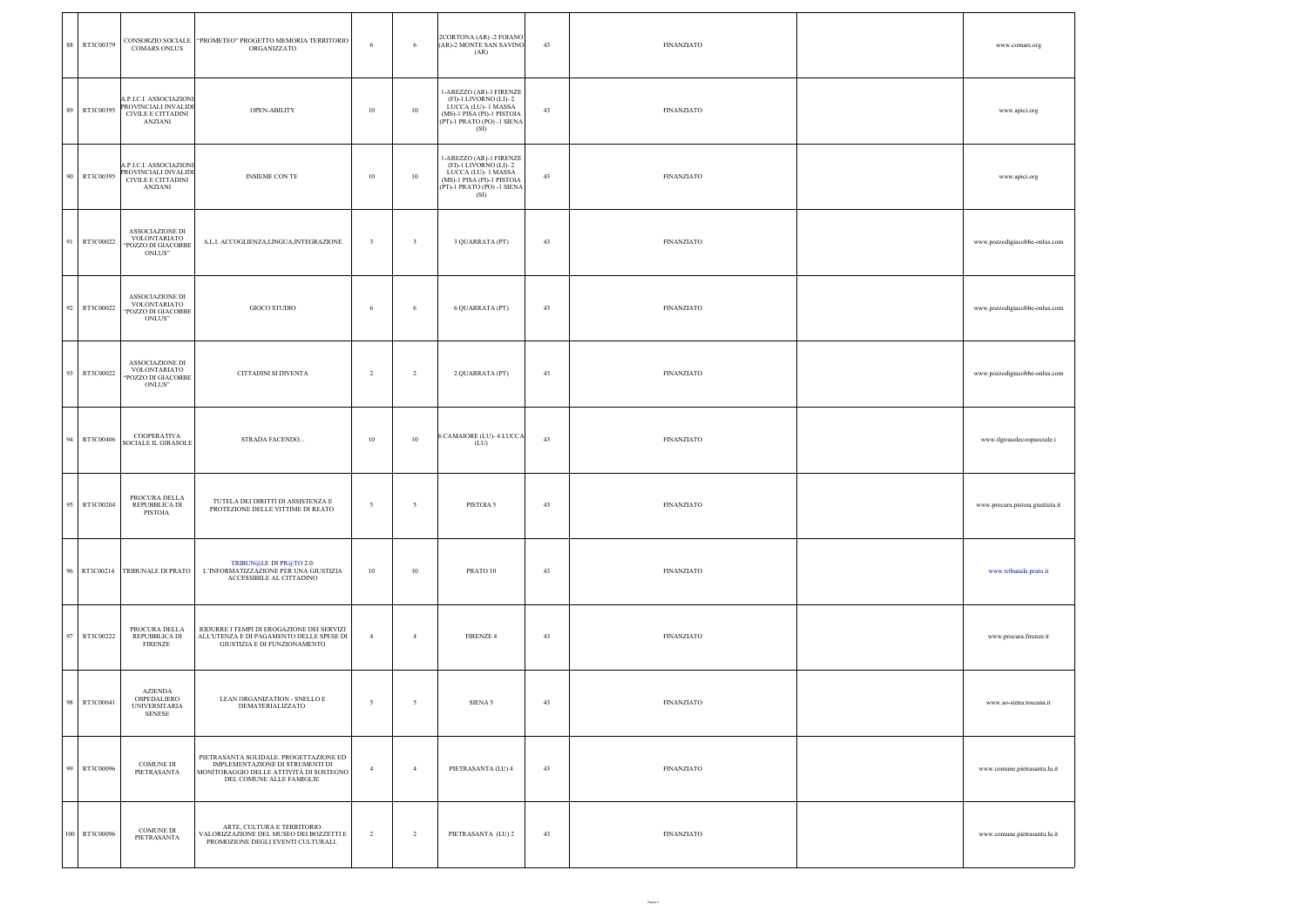|    | 88 RT3C00379   | <b>COMARS ONLUS</b>                                                              | CONSORZIO SOCIALE   "PROMETEO" PROGETTO MEMORIA TERRITORIO<br>ORGANIZZATO                                                                        | 6                       | 6                       | 2CORTONA (AR) -2 FOIANO<br>(AR)-2 MONTE SAN SAVINO<br>(AR)                                                                                   | 43 | <b>FINANZIATO</b> | www.comars.org                   |
|----|----------------|----------------------------------------------------------------------------------|--------------------------------------------------------------------------------------------------------------------------------------------------|-------------------------|-------------------------|----------------------------------------------------------------------------------------------------------------------------------------------|----|-------------------|----------------------------------|
|    | 89 RT3C00395   | A.P.I.C.I. ASSOCIAZIONI<br>PROVINCIALI INVALIDI<br>CIVILE E CITTADINI<br>ANZIANI | <b>OPEN-ABILITY</b>                                                                                                                              | 10                      | 10                      | 1-AREZZO (AR)-1 FIRENZE<br>(FI)-1 LIVORNO (LI)- 2<br>LUCCA (LU)- 1 MASSA<br>(MS)-1 PISA (PI)-1 PISTOIA<br>(PT)-1 PRATO (PO) -1 SIENA<br>(SI) | 43 | <b>FINANZIATO</b> | www.apici.org                    |
|    | 90 RT3C00395   | A.P.I.C.I. ASSOCIAZIONI<br>PROVINCIALI INVALIDI<br>CIVILE E CITTADINI<br>ANZIANI | <b>INSIEME CON TE</b>                                                                                                                            | 10                      | 10                      | 1-AREZZO (AR)-1 FIRENZE<br>(FI)-1 LIVORNO (LI)- 2<br>LUCCA (LU)- 1 MASSA<br>(MS)-1 PISA (PI)-1 PISTOIA<br>(PT)-1 PRATO (PO) -1 SIENA<br>(SI) | 43 | <b>FINANZIATO</b> | www.apici.org                    |
| 91 | RT3C00022      | ASSOCIAZIONE DI<br>VOLONTARIATO<br>"POZZO DI GIACOBBE<br>ONLUS"                  | A.L.I. ACCOGLIENZA, LINGUA, INTEGRAZIONE                                                                                                         | $\overline{\mathbf{3}}$ | $\overline{\mathbf{3}}$ | 3 QUARRATA (PT)                                                                                                                              | 43 | <b>FINANZIATO</b> | www.pozzodigiacobbe-onlus.com    |
|    | 92   RT3C00022 | ASSOCIAZIONE DI<br>VOLONTARIATO<br>"POZZO DI GIACOBBE<br>ONLUS"                  | GIOCO STUDIO                                                                                                                                     | -6                      | 6                       | 6 QUARRATA (PT)                                                                                                                              | 43 | <b>FINANZIATO</b> | www.pozzodigiacobbe-onlus.com    |
|    | 93   RT3C00022 | ASSOCIAZIONE DI<br>VOLONTARIATO<br>"POZZO DI GIACOBBE<br>ONLUS"                  | CITTADINI SI DIVENTA                                                                                                                             | 2                       | $\overline{2}$          | 2 QUARRATA (PT)                                                                                                                              | 43 | <b>FINANZIATO</b> | www.pozzodigiacobbe-onlus.com    |
|    | 94   RT3C00406 | COOPERATIVA<br>SOCIALE IL GIRASOLE                                               | STRADA FACENDO                                                                                                                                   | 10                      | 10                      | 6 CAMAIORE (LU)- 4 LUCCA<br>(LU)                                                                                                             | 43 | <b>FINANZIATO</b> | www.ilgirasolecoopsociale.i      |
|    | 95 RT3C00204   | PROCURA DELLA<br>REPUBBLICA DI<br>PISTOIA                                        | TUTELA DEI DIRITTI DI ASSISTENZA E<br>PROTEZIONE DELLE VITTIME DI REATO                                                                          | 5                       | 5                       | PISTOIA 5                                                                                                                                    | 43 | <b>FINANZIATO</b> | www.procura.pistoia.giustizia.it |
|    |                | 96   RT3C00214   TRIBUNALE DI PRATO                                              | TRIBUN@LE DI PR@TO 2.0:<br>L'INFORMATIZZAZIONE PER UNA GIUSTIZIA<br>ACCESSIBILE AL CITTADINO                                                     | 10                      | 10                      | PRATO 10                                                                                                                                     | 43 | <b>FINANZIATO</b> | www.tribunale.prato.it           |
|    | 97   RT3C00222 | PROCURA DELLA<br>REPUBBLICA DI<br>FIRENZE                                        | RIDURRE I TEMPI DI EROGAZIONE DEI SERVIZI<br>ALL'UTENZA E DI PAGAMENTO DELLE SPESE DI<br>GIUSTIZIA E DI FUNZIONAMENTO                            | $\overline{4}$          | $\overline{4}$          | <b>FIRENZE 4</b>                                                                                                                             | 43 | <b>FINANZIATO</b> | www.procura.firenze.it           |
|    | 98   RT3C00041 | AZIENDA<br>OSPEDALIERO<br><b>UNIVERSITARIA</b><br><b>SENESE</b>                  | LEAN ORGANIZATION - SNELLO E<br>DEMATERIALIZZATO                                                                                                 | $5\overline{)}$         | 5                       | SIENA 5                                                                                                                                      | 43 | <b>FINANZIATO</b> | www.ao-siena.toscana.it          |
|    | 99   RT3C00096 | COMUNE DI<br>PIETRASANTA                                                         | PIETRASANTA SOLIDALE. PROGETTAZIONE ED<br>IMPLEMENTAZIONE DI STRUMENTI DI<br>MONITORAGGIO DELLE ATTIVITÀ DI SOSTEGNO<br>DEL COMUNE ALLE FAMIGLIE | $\overline{4}$          | $\overline{4}$          | PIETRASANTA (LU) 4                                                                                                                           | 43 | <b>FINANZIATO</b> | www.comune.pietrasanta.lu.it     |
|    | 100 RT3C00096  | <b>COMUNE DI</b><br>PIETRASANTA                                                  | ARTE, CULTURA E TERRITORIO.<br>VALORIZZAZIONE DEL MUSEO DEI BOZZETTI E<br>PROMOZIONE DEGLI EVENTI CULTURALI.                                     | 2                       | $\overline{2}$          | PIETRASANTA (LU) 2                                                                                                                           | 43 | <b>FINANZIATO</b> | www.comune.pietrasanta.lu.it     |
|    |                |                                                                                  |                                                                                                                                                  |                         |                         |                                                                                                                                              |    |                   |                                  |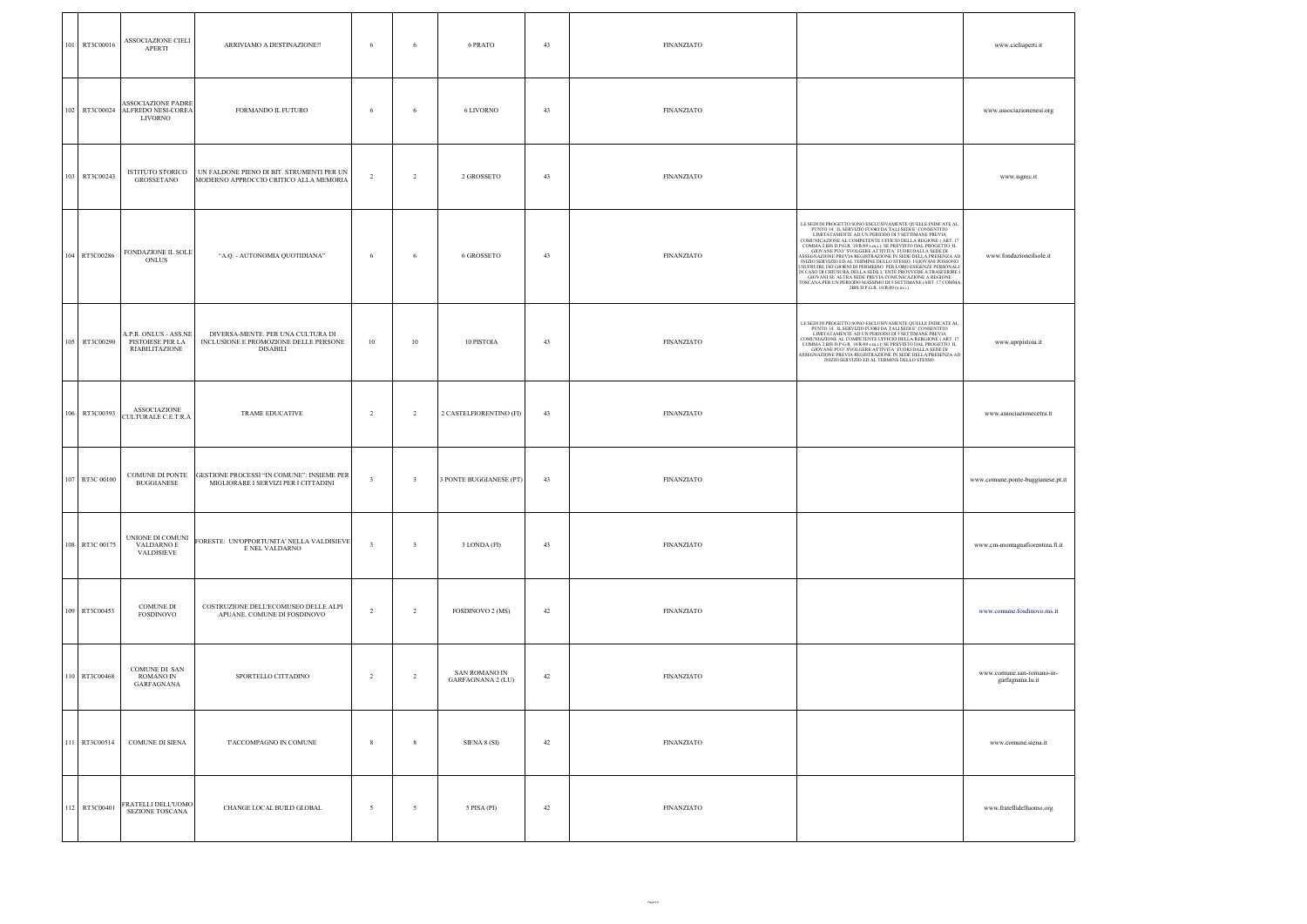| 101   RT3C00016 | $\operatorname{ASSOCIAZIONE}$ CIELI<br>APERTI                         | ARRIVIAMO A DESTINAZIONE !!                                                                        | 6                       | 6                       | 6 PRATO                            | 43 | <b>FINANZIATO</b> |                                                                                                                                                                                                                                                                                                                                                                                                                                                                                                                                                                                                                                                                                                                                                                                                                                            | www.cieliaperti.it                            |
|-----------------|-----------------------------------------------------------------------|----------------------------------------------------------------------------------------------------|-------------------------|-------------------------|------------------------------------|----|-------------------|--------------------------------------------------------------------------------------------------------------------------------------------------------------------------------------------------------------------------------------------------------------------------------------------------------------------------------------------------------------------------------------------------------------------------------------------------------------------------------------------------------------------------------------------------------------------------------------------------------------------------------------------------------------------------------------------------------------------------------------------------------------------------------------------------------------------------------------------|-----------------------------------------------|
|                 | ASSOCIAZIONE PADRE<br>102   RT3C00024   ALFREDO NESI-COREA<br>LIVORNO | FORMANDO IL FUTURO                                                                                 | 6                       | -6                      | 6 LIVORNO                          | 43 | <b>FINANZIATO</b> |                                                                                                                                                                                                                                                                                                                                                                                                                                                                                                                                                                                                                                                                                                                                                                                                                                            | www.associazionenesi.org                      |
| 103   RT3C00243 | ISTITUTO STORICO<br>GROSSETANO                                        | UN FALDONE PIENO DI BIT. STRUMENTI PER UN<br>MODERNO APPROCCIO CRITICO ALLA MEMORIA                | $\overline{2}$          | 2                       | 2 GROSSETO                         | 43 | <b>FINANZIATO</b> |                                                                                                                                                                                                                                                                                                                                                                                                                                                                                                                                                                                                                                                                                                                                                                                                                                            | www.isgrec.it                                 |
| 104   RT3C00286 | FONDAZIONE IL SOLE<br><b>ONLUS</b>                                    | "A.Q. - AUTONOMIA QUOTIDIANA"                                                                      | 6                       | 6                       | 6 GROSSETO                         | 43 | FINANZIATO        | LE SEDI DI PROGETTO SONO ESCLUSIVAMENTE QUELLE INDICATE AL PUNTO 14. IL SERVIZIO FUORI DA TALI SEDI E' CONSENTITO<br>LIMITATAMENTE AD UN PERIODO DI 5 SETTIMANE PREVIA<br>COMUNICAZIONE AL COMPETENTE UFFICIO DELLA REGIONE ( ART. 17<br>COMMA 2 BIS D.P.G.R. 10/R09 s.m.i.); SE PREVISTO DAL PROGETTO IL GIOVANE PUO' SVOLGERE ATTIVITA' FUORI DALLA SEDE DI<br>GIOVANE PUO' SVOLGERE ATTIVITA' FUORI DALLA SEDE DI<br>ASSEGNAZIONE PREVIA REGISTRAZIONE IN SEDE DELLA PRESE<br>INIZIO SERVIZIO ED AL TERMINE DELLO STESSO. I GIOVANI POSSONO<br>USUFRUIRE DEI GIORNI DI PERMESSO PER LORO ESIGENZE PERSONALI:<br>IN CASO DI CHIUSURA DELLA SEDE L'ENTE PROVVEDE A TRASFERIRE I<br>GIOVANI SU ALTRA SEDE PREVIA COMUNICAZIONE A REGIONE<br>TOSCANA PER UN PERIODO MASSIMO DI 5 SETTIMANE (ART. 17 COMMA<br>2BIS D.P.G.R. 10/R/09 (s.m.i.) | www.fondazioneilsole.it                       |
| 105   RT3C00290 | A.P.R. ONLUS - ASS.NE<br>PISTOIESE PER LA<br>RIABILITAZIONE           | DIVERSA-MENTE: PER UNA CULTURA DI<br>INCLUSIONE E PROMOZIONE DELLE PERSONE<br><b>DISABILI</b>      | 10                      | 10                      | 10 PISTOIA                         | 43 | FINANZIATO        | LE SEDI DI PROGETTO SONO ESCLUSIVAMENTE QUELLE INDICATE AL<br>PUNTO 14. IL SERVIZIO FUORI DA TALI SEDI E' CONSENTITO<br>LIMITATAMENTE AD UN PERIODO DI 5 SETTIMANE PREVIA<br>COMUNIAZIONE AL COMPETENTE UFFICIO DELLA RERGIONE ( ART. 17<br>COMMA 2 BIS D.P.G.R. 10/R/09 s.m.i.); SE PREVISTO DAL PROGETTO IL<br>GIOVANE PUO' SVOLGERE ATTIVITA' FUORI DALLA SEDE DI<br>ASSEGNAZIONE PREVIA REGISTRAZIONE IN SEDE DELLA PRESENZA AD<br>INIZIO SERVIZIO ED AL TERMINE DELLO STESSO.                                                                                                                                                                                                                                                                                                                                                         | www.aprpistoia.it                             |
| 106   RT3C00393 | ASSOCIAZIONE<br>CULTURALE C.E.T.R.A                                   | TRAME EDUCATIVE                                                                                    | $\overline{2}$          | $\overline{2}$          | 2 CASTELFIORENTINO (FI)            | 43 | FINANZIATO        |                                                                                                                                                                                                                                                                                                                                                                                                                                                                                                                                                                                                                                                                                                                                                                                                                                            | www.associazionecetra.it                      |
| 107 RT3C 00100  | <b>BUGGIANESE</b>                                                     | COMUNE DI PONTE GESTIONE PROCESSI "IN COMUNE": INSIEME PER<br>MIGLIORARE I SERVIZI PER I CITTADINI | $\overline{\mathbf{3}}$ | $\overline{\mathbf{3}}$ | 3 PONTE BUGGIANESE (PT)            | 43 | FINANZIATO        |                                                                                                                                                                                                                                                                                                                                                                                                                                                                                                                                                                                                                                                                                                                                                                                                                                            | www.comune.ponte-buggianese.pt.it             |
| 108 RT3C 00175  | UNIONE DI COMUNI<br>VALDARNO E<br>VALDISIEVE                          | FORESTE: UN'OPPORTUNITA' NELLA VALDISIEVE<br>E NEL VALDARNO                                        | $\overline{\mathbf{3}}$ | $\overline{\mathbf{3}}$ | 3 LONDA (FI)                       | 43 | <b>FINANZIATO</b> |                                                                                                                                                                                                                                                                                                                                                                                                                                                                                                                                                                                                                                                                                                                                                                                                                                            | www.cm-montagnafiorentina.fi.it               |
| 109 RT3C00453   | <b>COMUNE DI</b><br>FOSDINOVO                                         | COSTRUZIONE DELL'ECOMUSEO DELLE ALPI<br>APUANE. COMUNE DI FOSDINOVO                                | 2                       | $\overline{2}$          | FOSDINOVO 2 (MS)                   | 42 | <b>FINANZIATO</b> |                                                                                                                                                                                                                                                                                                                                                                                                                                                                                                                                                                                                                                                                                                                                                                                                                                            | www.comune.fosdinovo.ms.it                    |
| 110 RT3C00468   | COMUNE DI SAN<br>ROMANO IN<br>GARFAGNANA                              | SPORTELLO CITTADINO                                                                                | $\overline{2}$          | $\overline{2}$          | SAN ROMANO IN<br>GARFAGNANA 2 (LU) | 42 | <b>FINANZIATO</b> |                                                                                                                                                                                                                                                                                                                                                                                                                                                                                                                                                                                                                                                                                                                                                                                                                                            | www.comune.san-romano-in-<br>garfagnana.lu.it |
| 111   RT3C00514 | <b>COMUNE DI SIENA</b>                                                | TACCOMPAGNO IN COMUNE                                                                              | $8\phantom{.0}$         | 8                       | SIENA 8 (SI)                       | 42 | <b>FINANZIATO</b> |                                                                                                                                                                                                                                                                                                                                                                                                                                                                                                                                                                                                                                                                                                                                                                                                                                            | www.comune.siena.it                           |
| 112   RT3C00401 | FRATELLI DELL'UOMO<br><b>SEZIONE TOSCANA</b>                          | CHANGE LOCAL BUILD GLOBAL                                                                          | $5\overline{5}$         | 5                       | 5 PISA (PI)                        | 42 | <b>FINANZIATO</b> |                                                                                                                                                                                                                                                                                                                                                                                                                                                                                                                                                                                                                                                                                                                                                                                                                                            | www.fratellidelluomo.org                      |

| www.cieliaperti.it                            |
|-----------------------------------------------|
| www.associazionenesi.org                      |
| www.isgrec.it                                 |
| www.fondazioneilsole.it                       |
| www.aprpistoia.it                             |
| www.associazionecetra.it                      |
| w.comune.ponte-buggianese.pt.it               |
| ww.cm-montagnafiorentina.fi.it                |
| www.comune.fosdinovo.ms.it                    |
| www.comune.san-romano-in-<br>garfagnana.lu.it |
| www.comune.siena.it                           |
| www.fratellidelluomo.org                      |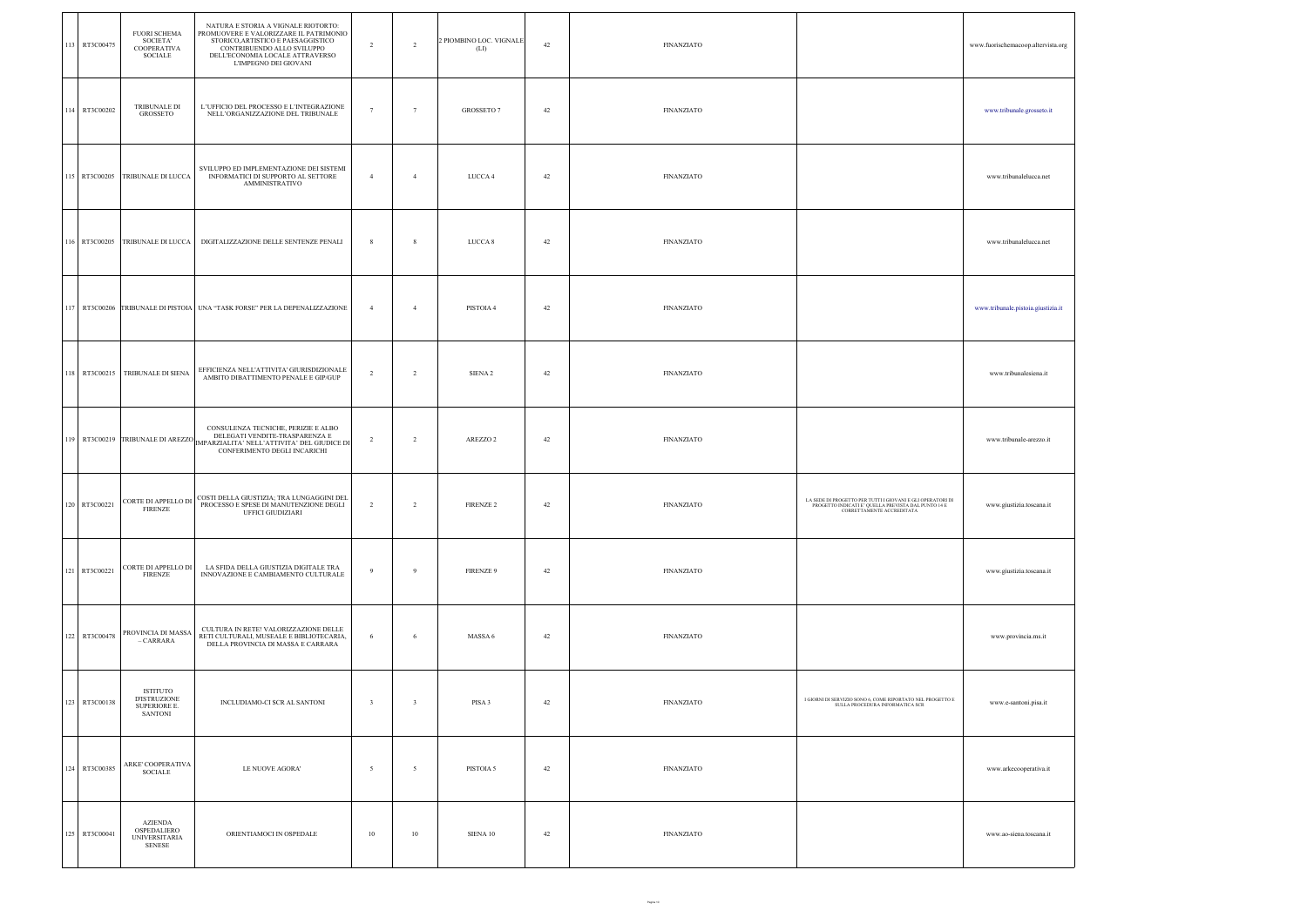| 113 RT3C00475 | <b>FUORI SCHEMA</b><br><b>SOCIETA</b><br>COOPERATIVA<br>SOCIALE | NATURA E STORIA A VIGNALE RIOTORTO:<br>PROMUOVERE E VALORIZZARE IL PATRIMONIO<br>STORICO, ARTISTICO E PAESAGGISTICO<br>CONTRIBUENDO ALLO SVILUPPO<br>DELL'ECONOMIA LOCALE ATTRAVERSO<br>L'IMPEGNO DEI GIOVANI | $\overline{2}$          | $\overline{2}$          | 2 PIOMBINO LOC. VIGNALE<br>(LI) | 42 | <b>FINANZIATO</b> |                                                                                                                                                                                                                             | www.fuorischemacoop.altervista.org |
|---------------|-----------------------------------------------------------------|---------------------------------------------------------------------------------------------------------------------------------------------------------------------------------------------------------------|-------------------------|-------------------------|---------------------------------|----|-------------------|-----------------------------------------------------------------------------------------------------------------------------------------------------------------------------------------------------------------------------|------------------------------------|
| 114 RT3C00202 | TRIBUNALE DI<br>GROSSETO                                        | L'UFFICIO DEL PROCESSO E L'INTEGRAZIONE<br>NELL'ORGANIZZAZIONE DEL TRIBUNALE                                                                                                                                  | $7\phantom{.0}$         | $7\phantom{.0}$         | <b>GROSSETO 7</b>               | 42 | <b>FINANZIATO</b> |                                                                                                                                                                                                                             | www.tribunale.grosseto.it          |
|               | 115   RT3C00205   TRIBUNALE DI LUCCA                            | SVILUPPO ED IMPLEMENTAZIONE DEI SISTEMI<br>INFORMATICI DI SUPPORTO AL SETTORE<br><b>AMMINISTRATIVO</b>                                                                                                        | $\overline{4}$          | $\overline{4}$          | LUCCA 4                         | 42 | <b>FINANZIATO</b> |                                                                                                                                                                                                                             | www.tribunalelucca.net             |
|               | 116   RT3C00205   TRIBUNALE DI LUCCA                            | DIGITALIZZAZIONE DELLE SENTENZE PENALI                                                                                                                                                                        | 8                       | 8                       | LUCCA 8                         | 42 | <b>FINANZIATO</b> |                                                                                                                                                                                                                             | www.tribunalelucca.net             |
|               |                                                                 | 117   RT3C00206 TRIBUNALE DI PISTOIA   UNA "TASK FORSE" PER LA DEPENALIZZAZIONE                                                                                                                               | $\overline{4}$          | $\overline{4}$          | PISTOIA 4                       | 42 | <b>FINANZIATO</b> |                                                                                                                                                                                                                             | www.tribunale.pistoia.giustizia.it |
| 118 RT3C00215 | TRIBUNALE DI SIENA                                              | EFFICIENZA NELL'ATTIVITA' GIURISDIZIONALE<br>AMBITO DIBATTIMENTO PENALE E GIP/GUP                                                                                                                             | $\overline{2}$          | $\overline{2}$          | SIENA <sub>2</sub>              | 42 | <b>FINANZIATO</b> |                                                                                                                                                                                                                             | www.tribunalesiena.it              |
|               |                                                                 | CONSULENZA TECNICHE, PERIZIE E ALBO<br> <br> 19    RT3C00219   TRIBUNALE DI AREZZO    MPARZIALITA' NELL'ATTIVITA' DEL GIUDICE DI   <br> -<br>CONFERIMENTO DEGLI INCARICHI                                     | $\overline{2}$          | $\overline{2}$          | AREZZO 2                        | 42 | <b>FINANZIATO</b> |                                                                                                                                                                                                                             | www.tribunale-arezzo.it            |
| 120 RT3C00221 | CORTE DI APPELLO DI<br><b>FIRENZE</b>                           | COSTI DELLA GIUSTIZIA; TRA LUNGAGGINI DEL<br>PROCESSO E SPESE DI MANUTENZIONE DEGLI<br>UFFICI GIUDIZIARI                                                                                                      | $\overline{2}$          | $\overline{2}$          | <b>FIRENZE 2</b>                | 42 | <b>FINANZIATO</b> | LA SEDE DI PROGETTO PER TUTTI I GIOVANI E GLI OPERATORI DI<br>$\begin{array}{ll} \textbf{PROGET} \textbf{TO} \textbf{ INDICATE'} \textbf{QUELLA PREVISTA DAL PUNTO 14 E} \\ \textbf{CORREITAMENTE ACCREDITATA} \end{array}$ | www.giustizia.toscana.it           |
| 121 RT3C00221 | CORTE DI APPELLO DI<br><b>FIRENZE</b>                           | LA SFIDA DELLA GIUSTIZIA DIGITALE TRA<br>INNOVAZIONE E CAMBIAMENTO CULTURALE                                                                                                                                  | 9                       | 9                       | FIRENZE 9                       | 42 | <b>FINANZIATO</b> |                                                                                                                                                                                                                             | www.giustizia.toscana.it           |
| 122 RT3C00478 | PROVINCIA DI MASSA<br>$-CARRARA$                                | CULTURA IN RETE! VALORIZZAZIONE DELLE<br>RETI CULTURALI, MUSEALE E BIBLIOTECARIA,<br>DELLA PROVINCIA DI MASSA E CARRARA                                                                                       | 6                       | -6                      | MASSA 6                         | 42 | <b>FINANZIATO</b> |                                                                                                                                                                                                                             | www.provincia.ms.it                |
| 123 RT3C00138 | ISTITUTO<br><b>D'ISTRUZIONE</b><br>SUPERIORE E.<br>SANTONI      | INCLUDIAMO-CI SCR AL SANTONI                                                                                                                                                                                  | $\overline{\mathbf{3}}$ | $\overline{\mathbf{3}}$ | PISA 3                          | 42 | <b>FINANZIATO</b> | I GIORNI DI SERVIZIO SONO 6, COME RIPORTATO NEL PROGETTO E SULLA PROCEDURA INFORMATICA SCR                                                                                                                                  | www.e-santoni.pisa.it              |
| 124 RT3C00385 | ARKE' COOPERATIVA<br>SOCIALE                                    | LE NUOVE AGORA'                                                                                                                                                                                               | $\mathfrak{S}$          | 5                       | PISTOIA 5                       | 42 | <b>FINANZIATO</b> |                                                                                                                                                                                                                             | www.arkecooperativa.it             |
| 125 RT3C00041 | AZIENDA<br>OSPEDALIERO<br><b>UNIVERSITARIA</b><br><b>SENESE</b> | ORIENTIAMOCI IN OSPEDALE                                                                                                                                                                                      | 10                      | 10                      | SIENA 10                        | 42 | <b>FINANZIATO</b> |                                                                                                                                                                                                                             | www.ao-siena.toscana.it            |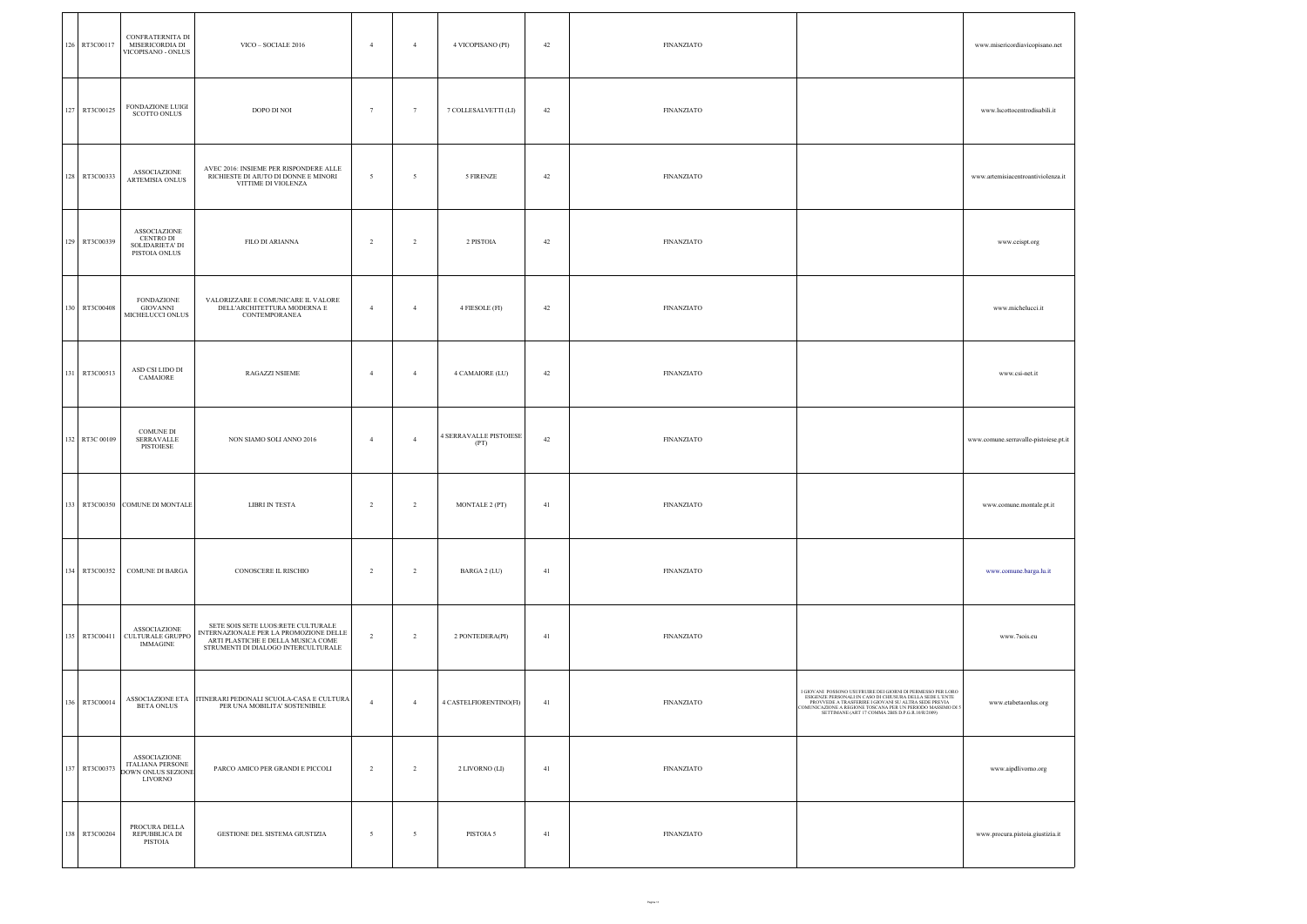| 126 RT3C00117   | CONFRATERNITA DI<br>MISERICORDIA DI<br>VICOPISANO - ONLUS                | VICO - SOCIALE 2016                                                                                                                                       | 4               | $\overline{4}$ | 4 VICOPISANO (PI)                     | 42 | <b>FINANZIATO</b> |                                                                                                                                                                                                                                                                                                   | www.misericordiavicopisano.net       |
|-----------------|--------------------------------------------------------------------------|-----------------------------------------------------------------------------------------------------------------------------------------------------------|-----------------|----------------|---------------------------------------|----|-------------------|---------------------------------------------------------------------------------------------------------------------------------------------------------------------------------------------------------------------------------------------------------------------------------------------------|--------------------------------------|
| 127 RT3C00125   | FONDAZIONE LUIGI<br>SCOTTO ONLUS                                         | DOPO DI NOI                                                                                                                                               | $7\overline{ }$ | $\overline{7}$ | 7 COLLESALVETTI (LI)                  | 42 | <b>FINANZIATO</b> |                                                                                                                                                                                                                                                                                                   | www.lscottocentrodisabili.it         |
| 128 RT3C00333   | ASSOCIAZIONE<br><b>ARTEMISIA ONLUS</b>                                   | AVEC 2016: INSIEME PER RISPONDERE ALLE<br>RICHIESTE DI AIUTO DI DONNE E MINORI<br>VITTIME DI VIOLENZA                                                     | $5\overline{ }$ | 5              | 5 FIRENZE                             | 42 | <b>FINANZIATO</b> |                                                                                                                                                                                                                                                                                                   | www.artemisiacentroantiviolenza.it   |
| 129 RT3C00339   | <b>ASSOCIAZIONE</b><br>CENTRO DI<br>SOLIDARIETA' DI<br>PISTOIA ONLUS     | FILO DI ARIANNA                                                                                                                                           | $\overline{2}$  | $\overline{2}$ | 2 PISTOIA                             | 42 | <b>FINANZIATO</b> |                                                                                                                                                                                                                                                                                                   | www.ceispt.org                       |
| 130 RT3C00408   | <b>FONDAZIONE</b><br>GIOVANNI<br>MICHELUCCI ONLUS                        | VALORIZZARE E COMUNICARE IL VALORE<br>DELL'ARCHITETTURA MODERNA E<br>CONTEMPORANEA                                                                        | $\overline{4}$  | $\overline{4}$ | 4 FIESOLE (FI)                        | 42 | <b>FINANZIATO</b> |                                                                                                                                                                                                                                                                                                   | www.michelucci.it                    |
| 131   RT3C00513 | ASD CSI LIDO DI<br>CAMAIORE                                              | <b>RAGAZZI NSIEME</b>                                                                                                                                     | $\overline{4}$  | $\overline{4}$ | 4 CAMAIORE (LU)                       | 42 | <b>FINANZIATO</b> |                                                                                                                                                                                                                                                                                                   | www.csi-net.it                       |
| 132 RT3C 00109  | COMUNE DI<br>SERRAVALLE<br>PISTOIESE                                     | NON SIAMO SOLI ANNO 2016                                                                                                                                  | $\overline{4}$  | $\overline{4}$ | <b>4 SERRAVALLE PISTOIESE</b><br>(PT) | 42 | <b>FINANZIATO</b> |                                                                                                                                                                                                                                                                                                   | www.comune.serravalle-pistoiese.pt.i |
|                 | 133   RT3C00350 COMUNE DI MONTALE                                        | LIBRI IN TESTA                                                                                                                                            | $\overline{2}$  | $\overline{2}$ | MONTALE 2 (PT)                        | 41 | FINANZIATO        |                                                                                                                                                                                                                                                                                                   | www.comune.montale.pt.it             |
| 134 RT3C00352   | COMUNE DI BARGA                                                          | CONOSCERE IL RISCHIO                                                                                                                                      | 2               | $\overline{2}$ | BARGA 2 (LU)                          | 41 | <b>FINANZIATO</b> |                                                                                                                                                                                                                                                                                                   | www.comune.barga.lu.it               |
| 135   RT3C00411 | <b>ASSOCIAZIONE</b><br><b>CULTURALE GRUPPO</b><br><b>IMMAGINE</b>        | SETE SOIS SETE LUOS:RETE CULTURALE<br>INTERNAZIONALE PER LA PROMOZIONE DELLE<br>ARTI PLASTICHE E DELLA MUSICA COME<br>STRUMENTI DI DIALOGO INTERCULTURALE | $\overline{2}$  | $\overline{2}$ | 2 PONTEDERA(PI)                       | 41 | <b>FINANZIATO</b> |                                                                                                                                                                                                                                                                                                   | www.7sois.eu                         |
| 136 RT3C00014   | <b>BETA ONLUS</b>                                                        | ASSOCIAZIONE ETA   ITINERARI PEDONALI SCUOLA-CASA E CULTURA  <br>PER UNA MOBILITA' SOSTENIBILE                                                            | $\overline{4}$  | $\overline{4}$ | 4 CASTELFIORENTINO(FI)                | 41 | <b>FINANZIATO</b> | I GIOVANI POSSONO USUFRUIRE DEI GIORNI DI PERMESSO PER LORO<br>ESIGENZE PERSONALI:IN CASO DI CHIUSURA DELLA SEDE L'ENTE<br>PROVVEDE A TRASFERIRE I GIOVANI SU ALTRA SEDE PREVIA<br>COMUNICAZIONE A REGIONE TOSCANA PER UN PERIODO MASSIMO DI 5<br>SETTIMANE (ART 17 COMMA 2BIS D.P.G.R.10/R/2009) | www.etabetaonlus.org                 |
| 137 RT3C00373   | ASSOCIAZIONE<br><b>ITALIANA PERSONE</b><br>DOWN ONLUS SEZIONE<br>LIVORNO | PARCO AMICO PER GRANDI E PICCOLI                                                                                                                          | 2               | $\overline{2}$ | 2 LIVORNO (LI)                        | 41 | <b>FINANZIATO</b> |                                                                                                                                                                                                                                                                                                   | www.aipdlivorno.org                  |
| 138 RT3C00204   | PROCURA DELLA<br>REPUBBLICA DI<br>PISTOIA                                | GESTIONE DEL SISTEMA GIUSTIZIA                                                                                                                            | $5\overline{ }$ | 5              | PISTOIA 5                             | 41 | <b>FINANZIATO</b> |                                                                                                                                                                                                                                                                                                   | www.procura.pistoia.giustizia.it     |

| w.misericordiavicopisano.net      |
|-----------------------------------|
| ww.lscottocentrodisabili.it       |
| .artemisiacentroantiviolenza.it   |
| www.ceispt.org                    |
| www.michelucci.it                 |
| www.csi-net.it                    |
| comune.serravalle-pistoiese.pt.it |
| www.comune.montale.pt.it          |
| www.comune.barga.lu.it            |
| www.7sois.eu                      |
| www.etabetaonlus.org              |
| www.aipdlivorno.org               |
| w.procura.pistoia.giustizia.it    |
|                                   |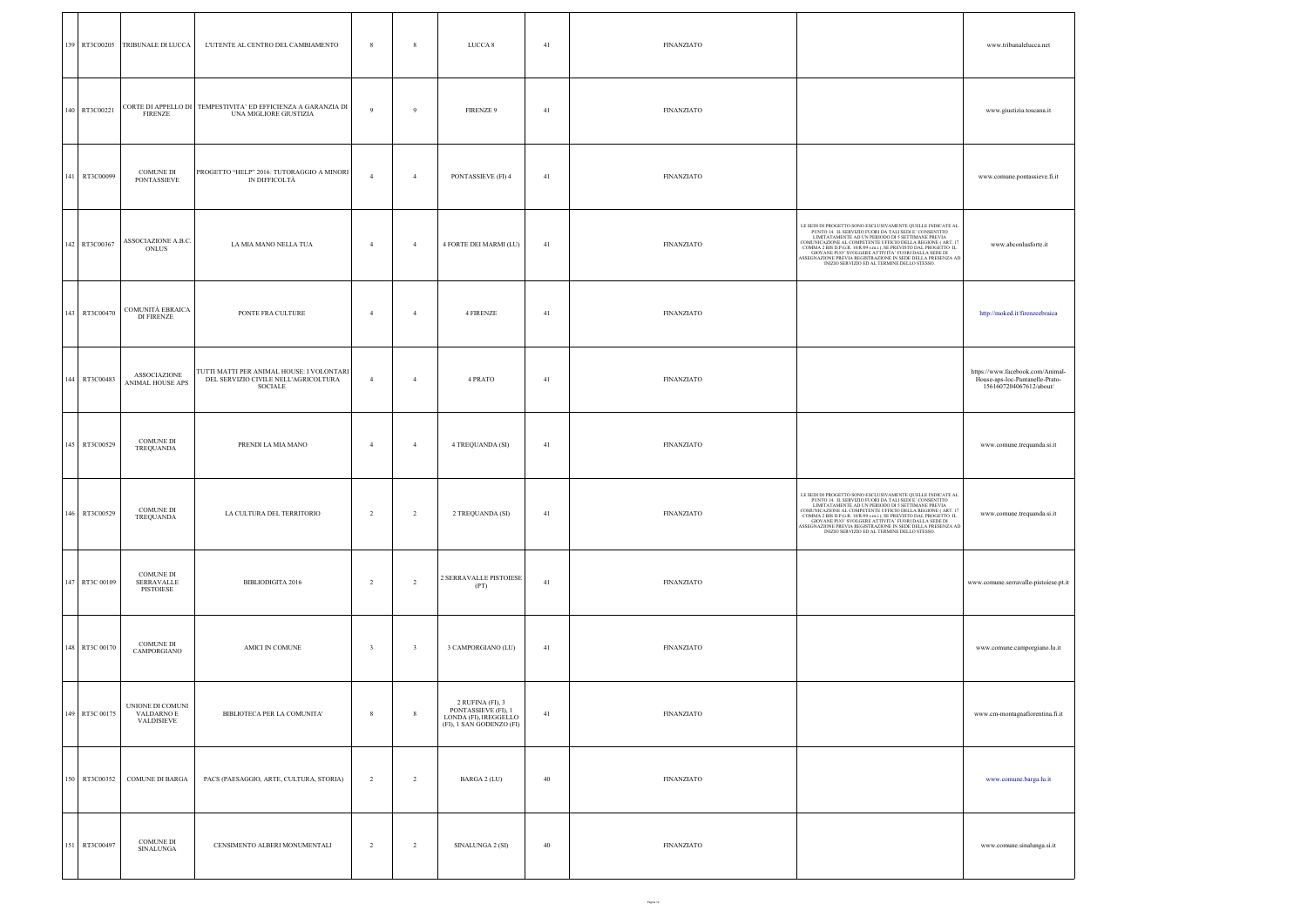|                  | 139   RT3C00205   TRIBUNALE DI LUCCA         | L'UTENTE AL CENTRO DEL CAMBIAMENTO                                                                  | 8                       | 8                       | LUCCA 8                                                                                     | 41 | <b>FINANZIATO</b> |                                                                                                                                                                                                                                                                                                                                                                                                                                                                                          | www.tribunalelucca.net                                                                         |
|------------------|----------------------------------------------|-----------------------------------------------------------------------------------------------------|-------------------------|-------------------------|---------------------------------------------------------------------------------------------|----|-------------------|------------------------------------------------------------------------------------------------------------------------------------------------------------------------------------------------------------------------------------------------------------------------------------------------------------------------------------------------------------------------------------------------------------------------------------------------------------------------------------------|------------------------------------------------------------------------------------------------|
| 140   RT3C00221  | <b>FIRENZE</b>                               | CORTE DI APPELLO DI TEMPESTIVITA' ED EFFICIENZA A GARANZIA DI<br>UNA MIGLIORE GIUSTIZIA             | 9                       | $\mathbf{Q}$            | <b>FIRENZE 9</b>                                                                            | 41 | <b>FINANZIATO</b> |                                                                                                                                                                                                                                                                                                                                                                                                                                                                                          | www.giustizia.toscana.it                                                                       |
| 141   RT3C00099  | <b>COMUNE DI</b><br>PONTASSIEVE              | PROGETTO "HELP" 2016: TUTORAGGIO A MINORI  <br>IN DIFFICOLTÀ                                        | $\overline{4}$          | $\overline{4}$          | PONTASSIEVE (FI) 4                                                                          | 41 | <b>FINANZIATO</b> |                                                                                                                                                                                                                                                                                                                                                                                                                                                                                          | www.comune.pontassieve.fi.it                                                                   |
| 142   RT3C00367  | ASSOCIAZIONE A.B.C.<br>ONLUS                 | LA MIA MANO NELLA TUA                                                                               | $\overline{4}$          | $\overline{4}$          | 4 FORTE DEI MARMI (LU)                                                                      | 41 | <b>FINANZIATO</b> | LE SEDI DI PROGETTO SONO ESCLUSIVAMENTE QUELLE INDICATE AL<br>PUNTO 14. IL SERVIZIO FUORI DA TALI SEDI E' CONSENTITO<br>LIMITATAMENTE AD UN PERIODO DI 5 SETTIMANE PREVIA<br>COMUNICAZIONE AL COMPETENTE UFFICIO DELLA REGIONE (ART. 17<br>COMMA 2 BIS D.P.G.R. 10/R/09 s.m.i.); SE PREVISTO DAL PROGETTO IL GIOVANE PUO' SVOLGERE ATTIVITA' FUORI DALLA SEDE DI<br>ASSEGNAZIONE PREVIA REGISTRAZIONE IN SEDE DELLA PRESENZA AD<br>INIZIO SERVIZIO ED AL TERMINE DELLO STESSO.           | www.abconlusforte.it                                                                           |
| 143   RT3C00470  | COMUNITÀ EBRAICA<br><b>DI FIRENZE</b>        | PONTE FRA CULTURE                                                                                   | $\overline{4}$          | $\overline{4}$          | 4 FIRENZE                                                                                   | 41 | <b>FINANZIATO</b> |                                                                                                                                                                                                                                                                                                                                                                                                                                                                                          | http://moked.it/firenzeebraica                                                                 |
| 144   RT3C00483  | ASSOCIAZIONE<br><b>ANIMAL HOUSE APS</b>      | TUTTI MATTI PER ANIMAL HOUSE: I VOLONTARI<br>DEL SERVIZIO CIVILE NELL'AGRICOLTURA<br><b>SOCIALE</b> | $\overline{4}$          | $\overline{4}$          | 4 PRATO                                                                                     | 41 | <b>FINANZIATO</b> |                                                                                                                                                                                                                                                                                                                                                                                                                                                                                          | https://www.facebook.com/Animal-<br>House-aps-loc-Pantanelle-Prato-<br>1561607204067612/about/ |
| 145   RT3C00529  | <b>COMUNE DI</b><br>TREQUANDA                | PRENDI LA MIA MANO                                                                                  | $\overline{4}$          | $\overline{4}$          | 4 TREQUANDA (SI)                                                                            | 41 | <b>FINANZIATO</b> |                                                                                                                                                                                                                                                                                                                                                                                                                                                                                          | www.comune.trequanda.si.it                                                                     |
| 146 RT3C00529    | COMUNE DI<br>TREQUANDA                       | LA CULTURA DEL TERRITORIO                                                                           | $\overline{2}$          | $\overline{2}$          | 2 TREQUANDA (SI)                                                                            | 41 | <b>FINANZIATO</b> | LE SEDI DI PROGETTO SONO ESCLUSIVAMENTE QUELLE INDICATE AL PUNTO 14. IL SERVIZIO FUORI DA TALI SEDI E' CONSENTITO<br><b>LIMITATAMENTE AD UN PERIODO DI 5 SETTIMANE PREVIA</b><br>COMUNICAZIONE AL COMPETENTE UFFICIO DELLA REGIONE ( ART. 17<br>COMMA 2 BIS D.P.G.R. 10/R/09 s.m.i.); SE PREVISTO DAL PROGETTO IL<br>CONARY 2 BO DATA SINCERE ATTIVITA FUORI DALLA SEDE DI<br>ASSEGNAZIONE PREVIA REGISTRAZIONE IN SEDE DELLA PRESENZA AD<br>INIZIO SERVIZIO ED AL TERMINE DELLO STESSO. | www.comune.trequanda.si.it                                                                     |
| 147 RT3C 00109   | <b>COMUNE DI</b><br>SERRAVALLE<br>PISTOIESE  | BIBLIODIGITA 2016                                                                                   | $\overline{2}$          | $\overline{2}$          | 2 SERRAVALLE PISTOIESE<br>(PT)                                                              | 41 | <b>FINANZIATO</b> |                                                                                                                                                                                                                                                                                                                                                                                                                                                                                          | www.comune.serravalle-pistoiese.pt.i                                                           |
| 148 RT3C 00170   | COMUNE DI<br>CAMPORGIANO                     | AMICI IN COMUNE                                                                                     | $\overline{\mathbf{3}}$ | $\overline{\mathbf{3}}$ | 3 CAMPORGIANO (LU)                                                                          | 41 | <b>FINANZIATO</b> |                                                                                                                                                                                                                                                                                                                                                                                                                                                                                          | www.comune.camporgiano.lu.it                                                                   |
| 149   RT3C 00175 | UNIONE DI COMUNI<br>VALDARNO E<br>VALDISIEVE | BIBLIOTECA PER LA COMUNITA'                                                                         | 8                       | 8                       | 2 RUFINA (FI), 3<br>PONTASSIEVE (FI), 1<br>LONDA (FI),1REGGELLO<br>(FI), 1 SAN GODENZO (FI) | 41 | <b>FINANZIATO</b> |                                                                                                                                                                                                                                                                                                                                                                                                                                                                                          | www.cm-montagnafiorentina.fi.it                                                                |
| 150   RT3C00352  | <b>COMUNE DI BARGA</b>                       | PACS (PAESAGGIO, ARTE, CULTURA, STORIA)                                                             | $\overline{2}$          | 2                       | BARGA 2 (LU)                                                                                | 40 | <b>FINANZIATO</b> |                                                                                                                                                                                                                                                                                                                                                                                                                                                                                          | www.comune.barga.lu.it                                                                         |
| 151 RT3C00497    | COMUNE DI<br>SINALUNGA                       | CENSIMENTO ALBERI MONUMENTALI                                                                       | 2                       | 2                       | SINALUNGA 2 (SI)                                                                            | 40 | <b>FINANZIATO</b> |                                                                                                                                                                                                                                                                                                                                                                                                                                                                                          | www.comune.sinalunga.si.it                                                                     |

| www.tribunalelucca.net                                                                         |
|------------------------------------------------------------------------------------------------|
| www.giustizia.toscana.it                                                                       |
| www.comune.pontassieve.fi.it                                                                   |
| www.abconlusforte.it                                                                           |
| http://moked.it/firenzeebraica                                                                 |
| https://www.facebook.com/Animal-<br>House-aps-loc-Pantanelle-Prato-<br>1561607204067612/about/ |
| www.comune.trequanda.si.it                                                                     |
| www.comune.trequanda.si.it                                                                     |
| ww.comune.serravalle-pistoiese.pt.it                                                           |
| www.comune.camporgiano.lu.it                                                                   |
| www.cm-montagnafiorentina.fi.it                                                                |
| www.comune.barga.lu.it                                                                         |
| www.comune.sinalunga.si.it                                                                     |
|                                                                                                |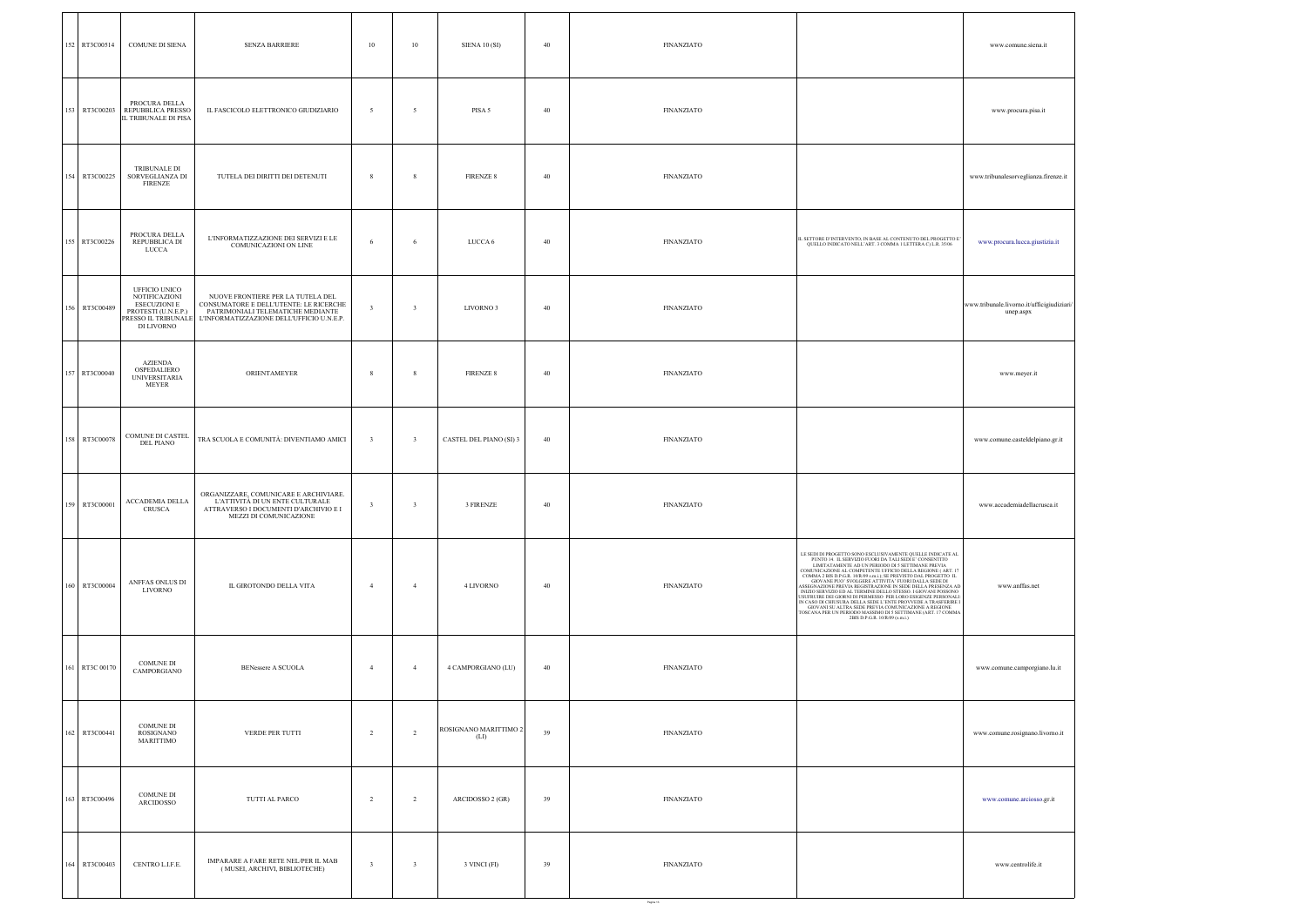Pagina 13

| 152   RT3C00514   | <b>COMUNE DI SIENA</b>                                                                     | <b>SENZA BARRIERE</b>                                                                                                                                                                                                                                          | 10                      | 10                                 | SIENA 10 (SI)                 | 40 | FINANZIATO        |                                                                                                                                                                                                                                                                                                                                                                                                                                                                                                                                                                                                                                                                                                                                                                                                | www.comune.siena.it                                  |
|-------------------|--------------------------------------------------------------------------------------------|----------------------------------------------------------------------------------------------------------------------------------------------------------------------------------------------------------------------------------------------------------------|-------------------------|------------------------------------|-------------------------------|----|-------------------|------------------------------------------------------------------------------------------------------------------------------------------------------------------------------------------------------------------------------------------------------------------------------------------------------------------------------------------------------------------------------------------------------------------------------------------------------------------------------------------------------------------------------------------------------------------------------------------------------------------------------------------------------------------------------------------------------------------------------------------------------------------------------------------------|------------------------------------------------------|
| 153   RT3C00203   | PROCURA DELLA<br>REPUBBLICA PRESSO<br>IL TRIBUNALE DI PISA                                 | IL FASCICOLO ELETTRONICO GIUDIZIARIO                                                                                                                                                                                                                           | $5\overline{5}$         | -5                                 | PISA 5                        | 40 | FINANZIATO        |                                                                                                                                                                                                                                                                                                                                                                                                                                                                                                                                                                                                                                                                                                                                                                                                | www.procura.pisa.it                                  |
| 154 RT3C00225     | TRIBUNALE DI<br>SORVEGLIANZA DI<br>FIRENZE                                                 | TUTELA DEI DIRITTI DEI DETENUTI                                                                                                                                                                                                                                | 8                       | -8                                 | <b>FIRENZE 8</b>              | 40 | FINANZIATO        |                                                                                                                                                                                                                                                                                                                                                                                                                                                                                                                                                                                                                                                                                                                                                                                                | www.tribunalesorveglianza.firenze.it                 |
| 155 RT3C00226     | PROCURA DELLA<br>REPUBBLICA DI<br>LUCCA                                                    | L'INFORMATIZZAZIONE DEI SERVIZI E LE<br>COMUNICAZIONI ON LINE                                                                                                                                                                                                  | 6                       | -6                                 | LUCCA 6                       | 40 | FINANZIATO        | IL SETTORE D'INTERVENTO, IN BASE AL CONTENUTO DEL PROGETTO E $\,$ QUELLO INDICATO NELL'ART. 3 COMMA I LETTERA C) L.R. 35/06                                                                                                                                                                                                                                                                                                                                                                                                                                                                                                                                                                                                                                                                    | www.procura.lucca.giustizia.it                       |
| 156 RT3C00489     | UFFICIO UNICO<br><b>NOTIFICAZIONI</b><br>ESECUZIONI E<br>PROTESTI (U.N.E.P.)<br>DI LIVORNO | NUOVE FRONTIERE PER LA TUTELA DEL<br>$\begin{array}{ll} \textbf{CONSUMATORE} \textbf{E} \textbf{ DELL'UTENTE:}\textbf{LE RICERCHE} \\ \textbf{PATHIMONIALI TELEMATICHE MEDIANTE} \end{array}$<br>PRESSO IL TRIBUNALE L'INFORMATIZZAZIONE DELL'UFFICIO U.N.E.P. | $\overline{\mathbf{3}}$ | -3                                 | LIVORNO 3                     | 40 | FINANZIATO        |                                                                                                                                                                                                                                                                                                                                                                                                                                                                                                                                                                                                                                                                                                                                                                                                | www.tribunale.livorno.it/ufficigiudizia<br>unep.aspx |
| 157   RT3C00040   | AZIENDA<br>OSPEDALIERO<br><b>UNIVERSITARIA</b><br>MEYER                                    | ORIENTAMEYER                                                                                                                                                                                                                                                   | 8                       | -8                                 | <b>FIRENZE 8</b>              | 40 | FINANZIATO        |                                                                                                                                                                                                                                                                                                                                                                                                                                                                                                                                                                                                                                                                                                                                                                                                | www.meyer.it                                         |
| 158   RT3C00078   | COMUNE DI CASTEL<br>DEL PIANO                                                              | TRA SCUOLA E COMUNITÀ: DIVENTIAMO AMICI                                                                                                                                                                                                                        | $\overline{\mathbf{3}}$ | $\overline{\mathbf{3}}$            | CASTEL DEL PIANO (SI) 3       | 40 | FINANZIATO        |                                                                                                                                                                                                                                                                                                                                                                                                                                                                                                                                                                                                                                                                                                                                                                                                | www.comune.casteldelpiano.gr.it                      |
|                   | 159   RT3C00001   ACCADEMIA DELLA<br>CRUSCA                                                | ORGANIZZARE, COMUNICARE E ARCHIVIARE.<br>L'ATTIVITÀ DI UN ENTE CULTURALE<br>ATTRAVERSO I DOCUMENTI D'ARCHIVIO E I<br>MEZZI DI COMUNICAZIONE                                                                                                                    | $3^{\circ}$             | $\begin{array}{ccc} \end{array}$ 3 | 3 FIRENZE                     | 40 | <b>FINANZIATO</b> |                                                                                                                                                                                                                                                                                                                                                                                                                                                                                                                                                                                                                                                                                                                                                                                                | www.accademiadellacrusca.it                          |
| 160   RT3C00004   | ANFFAS ONLUS DI<br>LIVORNO                                                                 | IL GIROTONDO DELLA VITA                                                                                                                                                                                                                                        | $\overline{4}$          | $\overline{4}$                     | 4 LIVORNO                     | 40 | FINANZIATO        | LE SEDI DI PROGETTO SONO ESCLUSIVAMENTE QUELLE INDICATE AL PUNTO 14. IL SERVIZIO FUORI DA TALI SEDI E' CONSENTITO<br>LIMITATAMENTE AD UN PERIODO DI 5 SETTIMANE PREVIA<br>COMUNICAZIONE AL COMPETENTE UFFICIO DELLA REGIONE ( ART. 17<br>COMMA 2 BIS D.P.G.R. 10/R/09 s.m.i.); SE PREVISTO DAL PROGETTO IL<br>GIOVANE PUO' SVOLGERE ATTIVITA' FUORI DALLA SEDE DI<br>ASSEGNAZIONE PREVIA REGISTRAZIONE IN SEDE DELLA PRESENZA AD<br>ASSEGUARDO SERVIZIO ED AL TERMINE DELLO STESSO. I GIOVANI POSSONO<br>USUFRUIRE DEI GIORNI DI PERMESSO PER LORO ESIGENZE PERSONALI:<br>IN CASO DI CHIUSURA DELLA SEDE L'ENTE PROVVEDE A TRASFERIRE I<br>GIOVANI SU ALTRA SEDE PREVIA COMUNICAZIONE A REGIONE<br>TOSCANA PER UN PERIODO MASSIMO DI 5 SETTIMANE (ART. 17 COMMA 2BIS D.P.G.R. 10/R/09 (s.m.i.) | www.anffas.net                                       |
| 161 RT3C 00170    | COMUNE DI<br>CAMPORGIANO                                                                   | <b>BENessere A SCUOLA</b>                                                                                                                                                                                                                                      | $\overline{4}$          | $\overline{4}$                     | 4 CAMPORGIANO (LU)            | 40 | <b>FINANZIATO</b> |                                                                                                                                                                                                                                                                                                                                                                                                                                                                                                                                                                                                                                                                                                                                                                                                | www.comune.camporgiano.lu.it                         |
| $162$ RT3C00441   | COMUNE DI<br>ROSIGNANO<br>MARITTIMO                                                        | VERDE PER TUTTI                                                                                                                                                                                                                                                | $\overline{2}$          | $\overline{2}$                     | ROSIGNANO MARITTIMO 2<br>(LI) | 39 | <b>FINANZIATO</b> |                                                                                                                                                                                                                                                                                                                                                                                                                                                                                                                                                                                                                                                                                                                                                                                                | www.comune.rosignano.livorno.it                      |
| 163 RT3C00496     | COMUNE DI<br>ARCIDOSSO                                                                     | TUTTI AL PARCO                                                                                                                                                                                                                                                 | $\overline{2}$          | $\overline{2}$                     | ARCIDOSSO 2 (GR)              | 39 | <b>FINANZIATO</b> |                                                                                                                                                                                                                                                                                                                                                                                                                                                                                                                                                                                                                                                                                                                                                                                                | www.comune.arciosso.gr.it                            |
| $ 164 $ RT3C00403 | CENTRO L.I.F.E.                                                                            | IMPARARE A FARE RETE NEL/PER IL MAB<br>(MUSEI, ARCHIVI, BIBLIOTECHE)                                                                                                                                                                                           | $\overline{\mathbf{3}}$ | $\overline{3}$                     | 3 VINCI (FI)                  | 39 | <b>FINANZIATO</b> |                                                                                                                                                                                                                                                                                                                                                                                                                                                                                                                                                                                                                                                                                                                                                                                                | www.centrolife.it                                    |

| www.comune.siena.it                                     |
|---------------------------------------------------------|
| www.procura.pisa.it                                     |
| www.tribunalesorveglianza.firenze.it                    |
| www.procura.lucca.giustizia.it                          |
| www.tribunale.livorno.it/ufficigiudiziari/<br>unep.aspx |
| www.meyer.it                                            |
| www.comune.casteldelpiano.gr.it                         |
| www.accademiadellacrusca.it                             |
| www.anffas.net                                          |
| www.comune.camporgiano.lu.it                            |
| www.comune.rosignano.livorno.it                         |
| www.comune.arciosso.gr.it                               |
| www.centrolife.it                                       |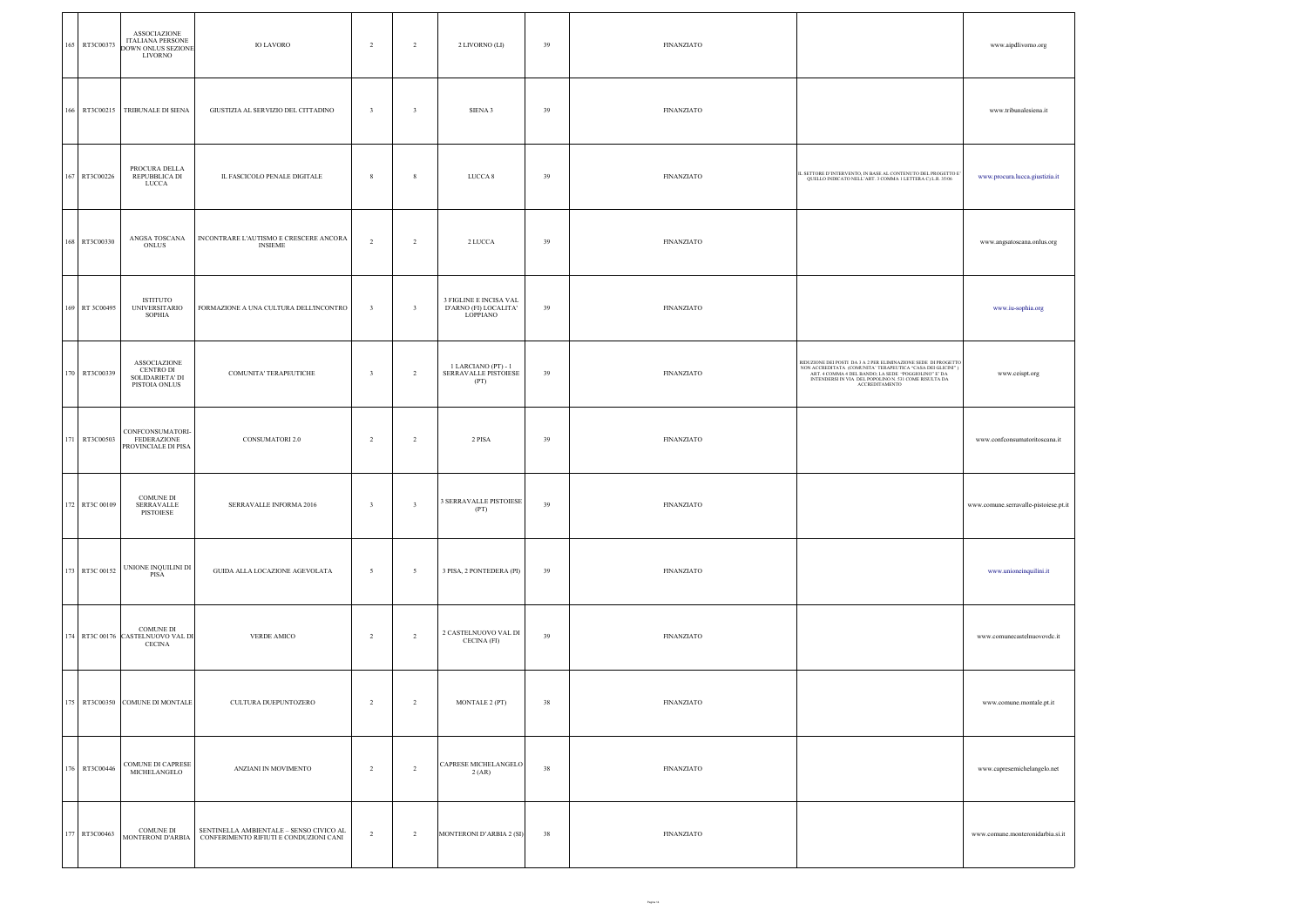| 165 RT3C00373    | ASSOCIAZIONE<br><b>ITALIANA PERSONE</b><br>DOWN ONLUS SEZIONE<br>LIVORNO | <b>IO LAVORO</b>                                                                                    | $\overline{2}$          | $\overline{2}$          | 2 LIVORNO (LI)                                              | 39 | <b>FINANZIATO</b> |                                                                                                                                                                                                                                                                  | www.aipdlivorno.org                   |
|------------------|--------------------------------------------------------------------------|-----------------------------------------------------------------------------------------------------|-------------------------|-------------------------|-------------------------------------------------------------|----|-------------------|------------------------------------------------------------------------------------------------------------------------------------------------------------------------------------------------------------------------------------------------------------------|---------------------------------------|
|                  | 166   RT3C00215   TRIBUNALE DI SIENA                                     | GIUSTIZIA AL SERVIZIO DEL CITTADINO                                                                 | $\overline{\mathbf{3}}$ | $\overline{\mathbf{3}}$ | SIENA 3                                                     | 39 | <b>FINANZIATO</b> |                                                                                                                                                                                                                                                                  | www.tribunalesiena.it                 |
| 167 RT3C00226    | PROCURA DELLA<br>REPUBBLICA DI<br>LUCCA                                  | IL FASCICOLO PENALE DIGITALE                                                                        | 8                       | 8                       | LUCCA 8                                                     | 39 | <b>FINANZIATO</b> | $\rm L$ SETTORE D'INTERVENTO, IN BASE AL CONTENUTO DEL PROGETTO E $\rm QUELLO$ INDICATO NELL'ART. 3 COMMA I LETTERA C) L.R. 35/06                                                                                                                                | www.procura.lucca.giustizia.it        |
| 168 RT3C00330    | ANGSA TOSCANA<br>ONLUS                                                   | INCONTRARE L'AUTISMO E CRESCERE ANCORA<br><b>INSIEME</b>                                            | $\overline{2}$          | $\overline{2}$          | 2 LUCCA                                                     | 39 | <b>FINANZIATO</b> |                                                                                                                                                                                                                                                                  | www.angsatoscana.onlus.org            |
| 169 RT 3C00495   | <b>ISTITUTO</b><br><b>UNIVERSITARIO</b><br>SOPHIA                        | FORMAZIONE A UNA CULTURA DELL'INCONTRO                                                              | $\overline{\mathbf{3}}$ | $\overline{\mathbf{3}}$ | 3 FIGLINE E INCISA VAL<br>D'ARNO (FI) LOCALITA'<br>LOPPIANO | 39 | <b>FINANZIATO</b> |                                                                                                                                                                                                                                                                  | www.iu-sophia.org                     |
| 170 RT3C00339    | ASSOCIAZIONE<br>CENTRO DI<br>SOLIDARIETA' DI<br>PISTOIA ONLUS            | COMUNITA' TERAPEUTICHE                                                                              | $\overline{\mathbf{3}}$ | $\overline{2}$          | 1 LARCIANO (PT) - 1<br>SERRAVALLE PISTOIESE<br>(PT)         | 39 | <b>FINANZIATO</b> | RIDUZIONE DEI POSTI DA 3 A 2 PER ELIMINAZIONE SEDE DI PROGETTO NON ACCREDITATA (COMUNITA' TERAPEUTICA "CASA DEI GLICINI") ART. 4 COMMA 4 DEL BANDO; LA SEDE "POGGIOLINO" E' DA<br>INTENDERSI IN VIA DEL POPOLINO N. 531 COME RISULTA DA<br><b>ACCREDITAMENTO</b> | www.ceispt.org                        |
| 171 RT3C00503    | CONFCONSUMATORI-<br>FEDERAZIONE<br>PROVINCIALE DI PISA                   | <b>CONSUMATORI 2.0</b>                                                                              | $\overline{2}$          | $\overline{2}$          | 2 PISA                                                      | 39 | <b>FINANZIATO</b> |                                                                                                                                                                                                                                                                  | www.confconsumatoritoscana.it         |
| 172 RT3C 00109   | COMUNE DI<br>SERRAVALLE<br>PISTOIESE                                     | SERRAVALLE INFORMA 2016                                                                             | $\overline{\mathbf{3}}$ | $\overline{\mathbf{3}}$ | 3 SERRAVALLE PISTOIESE<br>(PT)                              | 39 | <b>FINANZIATO</b> |                                                                                                                                                                                                                                                                  | www.comune.serravalle-pistoiese.pt.it |
| 173   RT3C 00152 | UNIONE INQUILINI DI<br>PISA                                              | GUIDA ALLA LOCAZIONE AGEVOLATA                                                                      | $5\overline{5}$         | $5\overline{5}$         | 3 PISA, 2 PONTEDERA (PI)                                    | 39 | <b>FINANZIATO</b> |                                                                                                                                                                                                                                                                  | www.unioneinquilini.it                |
|                  | COMUNE DI<br>174 RT3C 00176 CASTELNUOVO VAL DI<br>CECINA                 | <b>VERDE AMICO</b>                                                                                  | $\overline{2}$          | 2                       | 2 CASTELNUOVO VAL DI<br>CECINA (FI)                         | 39 | <b>FINANZIATO</b> |                                                                                                                                                                                                                                                                  | www.comunecastelnuovovdc.it           |
|                  | 175   RT3C00350   COMUNE DI MONTALE                                      | CULTURA DUEPUNTOZERO                                                                                | $\overline{2}$          | $\overline{2}$          | MONTALE 2 (PT)                                              | 38 | <b>FINANZIATO</b> |                                                                                                                                                                                                                                                                  | www.comune.montale.pt.it              |
| 176   RT3C00446  | COMUNE DI CAPRESE<br>MICHELANGELO                                        | ANZIANI IN MOVIMENTO                                                                                | $\overline{2}$          | $\overline{2}$          | CAPRESE MICHELANGELO<br>2 (AR)                              | 38 | <b>FINANZIATO</b> |                                                                                                                                                                                                                                                                  | www.capresemichelangelo.net           |
| 177 RT3C00463    | COMUNE DI                                                                | SENTINELLA AMBIENTALE - SENSO CIVICO AL<br>MONTERONI D'ARBIA CONFERIMENTO RIFIUTI E CONDUZIONI CANI | $\overline{2}$          | 2                       | MONTERONI D'ARBIA 2 (SI)                                    | 38 | <b>FINANZIATO</b> |                                                                                                                                                                                                                                                                  | www.comune.monteronidarbia.si.it      |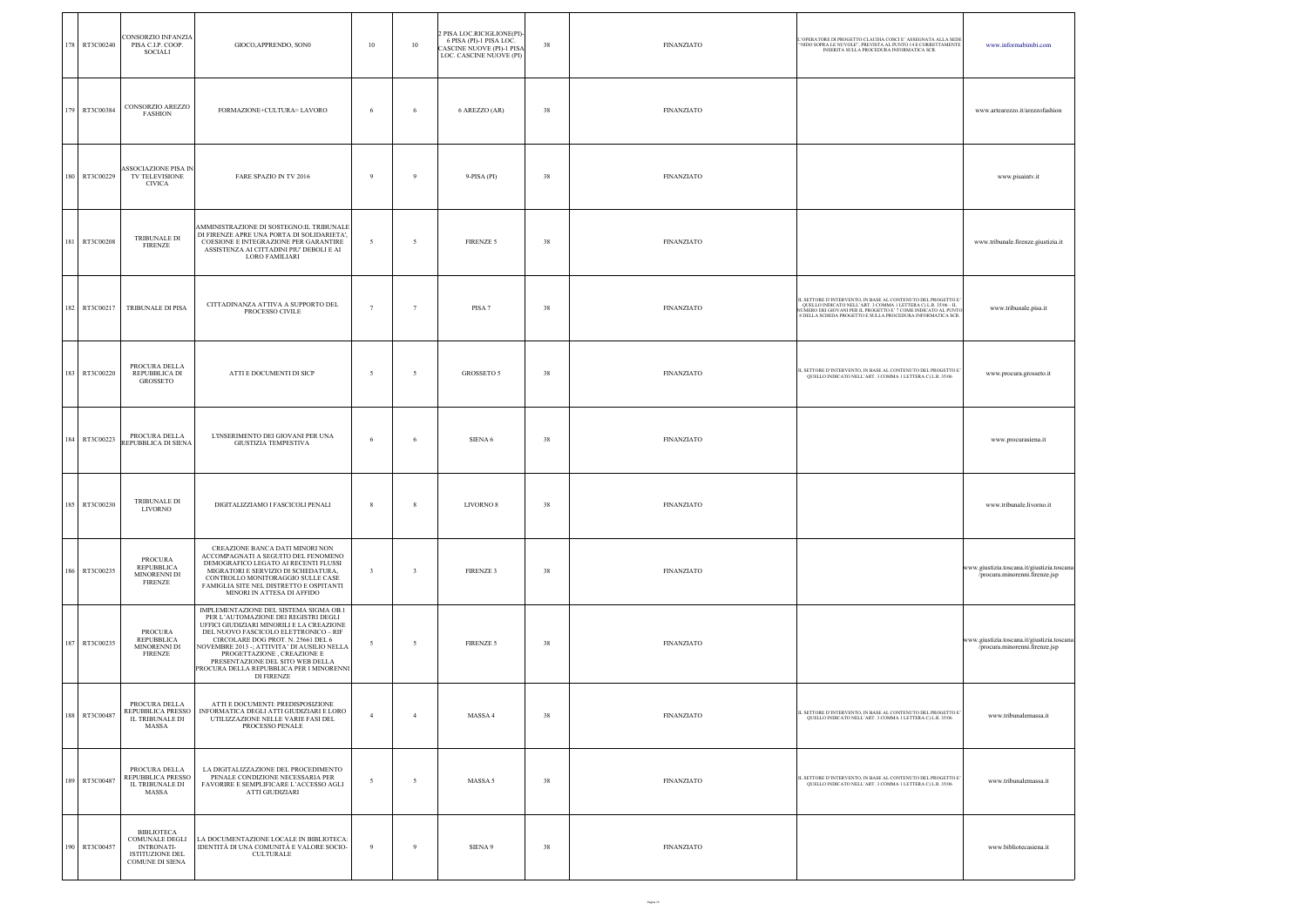|     | 178   RT3C00240 | CONSORZIO INFANZIA<br>PISA C.I.P. COOP.<br>SOCIALI                                             | GIOCO, APPRENDO, SONO                                                                                                                                                                                                                                                                                                                                                                        | 10                      | 10             | 2 PISA LOC.RICIGLIONE(PI)-<br>6 PISA (PI)-1 PISA LOC.<br>ASCINE NUOVE (PI)-1 PISA<br>LOC. CASCINE NUOVE (PI) | 38 | <b>FINANZIATO</b> | L'OPERATORE DI PROGETTO CLAUDIA COSCI E' ASSEGNATA ALLA SEDE<br>"NIDO SOPRA LE NUVOLE", PREVISTA AL PUNTO 14 E CORRETTAMENTE<br>INSERITA SULLA PROCEDURA INFORMATICA SCR. | www.informabimbi.com                                                     |
|-----|-----------------|------------------------------------------------------------------------------------------------|----------------------------------------------------------------------------------------------------------------------------------------------------------------------------------------------------------------------------------------------------------------------------------------------------------------------------------------------------------------------------------------------|-------------------------|----------------|--------------------------------------------------------------------------------------------------------------|----|-------------------|---------------------------------------------------------------------------------------------------------------------------------------------------------------------------|--------------------------------------------------------------------------|
| 179 | RT3C00384       | CONSORZIO AREZZO<br><b>FASHION</b>                                                             | FORMAZIONE+CULTURA= LAVORO                                                                                                                                                                                                                                                                                                                                                                   | 6                       | 6              | 6 AREZZO (AR)                                                                                                | 38 | <b>FINANZIATO</b> |                                                                                                                                                                           | www.artearezzo.it/arezzofashion                                          |
| 180 | RT3C00229       | <b>ASSOCIAZIONE PISA IN</b><br>TV TELEVISIONE<br>CIVICA                                        | FARE SPAZIO IN TV 2016                                                                                                                                                                                                                                                                                                                                                                       | - 9                     | $\mathbf Q$    | 9-PISA (PI)                                                                                                  | 38 | <b>FINANZIATO</b> |                                                                                                                                                                           | www.pisaintv.it                                                          |
|     | 181 RT3C00208   | <b>TRIBUNALE DI</b><br><b>FIRENZE</b>                                                          | AMMINISTRAZIONE DI SOSTEGNO:IL TRIBUNALE<br>DI FIRENZE APRE UNA PORTA DI SOLIDARIETA',<br>COESIONE E INTEGRAZIONE PER GARANTIRE<br>ASSISTENZA AI CITTADINI PIU' DEBOLI E AI<br>LORO FAMILIARI                                                                                                                                                                                                | 5                       | -5             | <b>FIRENZE 5</b>                                                                                             | 38 | <b>FINANZIATO</b> |                                                                                                                                                                           | www.tribunale.firenze.giustizia.it                                       |
|     | 182   RT3C00217 | TRIBUNALE DI PISA                                                                              | CITTADINANZA ATTIVA A SUPPORTO DEL<br>PROCESSO CIVILE                                                                                                                                                                                                                                                                                                                                        | $\overline{7}$          |                | PISA <sub>7</sub>                                                                                            | 38 | <b>FINANZIATO</b> | 8 DELLA SCHEDA PROGETTO E SULLA PROCEDURA INFORMATICA SCR.                                                                                                                | www.tribunale.pisa.it                                                    |
|     | 183 RT3C00220   | PROCURA DELLA<br>REPUBBLICA DI<br>GROSSETO                                                     | ATTI E DOCUMENTI DI SICP                                                                                                                                                                                                                                                                                                                                                                     | 5                       | -5             | <b>GROSSETO 5</b>                                                                                            | 38 | <b>FINANZIATO</b> | IL SETTORE D'INTERVENTO, IN BASE AL CONTENUTO DEL PROGETTO E<br>QUELLO INDICATO NELL'ART. 3 COMMA I LETTERA C) L.R. 35/06                                                 | www.procura.grosseto.it                                                  |
|     | 184 RT3C00223   | PROCURA DELLA<br>REPUBBLICA DI SIENA                                                           | L'INSERIMENTO DEI GIOVANI PER UNA<br><b>GIUSTIZIA TEMPESTIVA</b>                                                                                                                                                                                                                                                                                                                             | -6                      | 6              | SIENA 6                                                                                                      | 38 | <b>FINANZIATO</b> |                                                                                                                                                                           | www.procurasiena.it                                                      |
|     | 185 RT3C00230   | <b>TRIBUNALE DI</b><br>LIVORNO                                                                 | DIGITALIZZIAMO I FASCICOLI PENALI                                                                                                                                                                                                                                                                                                                                                            | $8 -$                   | 8              | <b>LIVORNO 8</b>                                                                                             | 38 | FINANZIATO        |                                                                                                                                                                           | www.tribunale.livorno.it                                                 |
|     | 186 RT3C00235   | PROCURA<br><b>REPUBBLICA</b><br>MINORENNI DI<br>FIRENZE                                        | CREAZIONE BANCA DATI MINORI NON<br>ACCOMPAGNATI A SEGUITO DEL FENOMENO<br>DEMOGRAFICO LEGATO AI RECENTI FLUSSI<br>MIGRATORI E SERVIZIO DI SCHEDATURA,<br>CONTROLLO MONITORAGGIO SULLE CASE<br>FAMIGLIA SITE NEL DISTRETTO E OSPITANTI<br>MINORI IN ATTESA DI AFFIDO                                                                                                                          | $\overline{\mathbf{3}}$ | $\mathbf{3}$   | FIRENZE 3                                                                                                    | 38 | <b>FINANZIATO</b> |                                                                                                                                                                           | www.giustizia.toscana.it/giustizia.tos<br>/procura.minorenni.firenze.jsp |
| 187 | RT3C00235       | PROCURA<br><b>REPUBBLICA</b><br>MINORENNI DI<br>FIRENZE                                        | IMPLEMENTAZIONE DEL SISTEMA SIGMA OB.1<br>PER L'AUTOMAZIONE DEI REGISTRI DEGLI<br>UFFICI GIUDIZIARI MINORILI E LA CREAZIONE<br>DEL NUOVO FASCICOLO ELETTRONICO – RIF<br>CIRCOLARE DOG PROT. N. 25661 DEL 6<br>NOVEMBRE 2013 -; ATTIVITA' DI AUSILIO NELLA<br>PROGETTAZIONE, CREAZIONE E<br>PRESENTAZIONE DEL SITO WEB DELLA<br>PROCURA DELLA REPUBBLICA PER I MINORENNI<br><b>DI FIRENZE</b> | 5                       | 5              | FIRENZE 5                                                                                                    | 38 | <b>FINANZIATO</b> |                                                                                                                                                                           | www.giustizia.toscana.it/giustizia.tos<br>/procura.minorenni.firenze.jsp |
| 188 | RT3C00487       | PROCURA DELLA<br>REPUBBLICA PRESSO<br>IL TRIBUNALE DI<br>MASSA                                 | ATTI E DOCUMENTI: PREDISPOSIZIONE<br>INFORMATICA DEGLI ATTI GIUDIZIARI E LORO<br>UTILIZZAZIONE NELLE VARIE FASI DEL<br>PROCESSO PENALE                                                                                                                                                                                                                                                       | $\overline{4}$          | $\overline{4}$ | MASSA 4                                                                                                      | 38 | <b>FINANZIATO</b> | IL SETTORE D'INTERVENTO, IN BASE AL CONTENUTO DEL PROGETTO E'<br>QUELLO INDICATO NELL'ART. 3 COMMA 1 LETTERA C) L.R. 35/06                                                | www.tribunalemassa.it                                                    |
| 189 | RT3C00487       | PROCURA DELLA<br>REPUBBLICA PRESSO<br>IL TRIBUNALE DI<br>MASSA                                 | LA DIGITALIZZAZIONE DEL PROCEDIMENTO<br>PENALE CONDIZIONE NECESSARIA PER<br>FAVORIRE E SEMPLIFICARE L'ACCESSO AGLI<br>ATTI GIUDIZIARI                                                                                                                                                                                                                                                        | 5                       | 5              | MASSA 5                                                                                                      | 38 | <b>FINANZIATO</b> | IL SETTORE D'INTERVENTO, IN BASE AL CONTENUTO DEL PROGETTO E'<br>QUELLO INDICATO NELL'ART. 3 COMMA I LETTERA C) L.R. 35/06                                                | www.tribunalemassa.it                                                    |
| 190 | RT3C00457       | <b>BIBLIOTECA</b><br><b>COMUNALE DEGLI</b><br>INTRONATI-<br>ISTITUZIONE DEL<br>COMUNE DI SIENA | LA DOCUMENTAZIONE LOCALE IN BIBLIOTECA:<br>IDENTITÀ DI UNA COMUNITÀ E VALORE SOCIO-<br><b>CULTURALE</b>                                                                                                                                                                                                                                                                                      | 9                       | -9             | SIENA 9                                                                                                      | 38 | <b>FINANZIATO</b> |                                                                                                                                                                           | www.bibliotecasiena.it                                                   |

| www.informabimbi.com                                                         |
|------------------------------------------------------------------------------|
| www.artearezzo.it/arezzofashion                                              |
| www.pisaintv.it                                                              |
| www.tribunale.firenze.giustizia.it                                           |
| www.tribunale.pisa.it                                                        |
| www.procura.grosseto.it                                                      |
| www.procurasiena.it                                                          |
| www.tribunale.livorno.it                                                     |
| www.giustizia.toscana.it/giustizia.toscana<br>/procura.minorenni.firenze.jsp |
| www.giustizia.toscana.it/giustizia.toscana<br>/procura.minorenni.firenze.jsp |
| www.tribunalemassa.it                                                        |
| www.tribunalemassa.it                                                        |
| www.bibliotecasiena.it                                                       |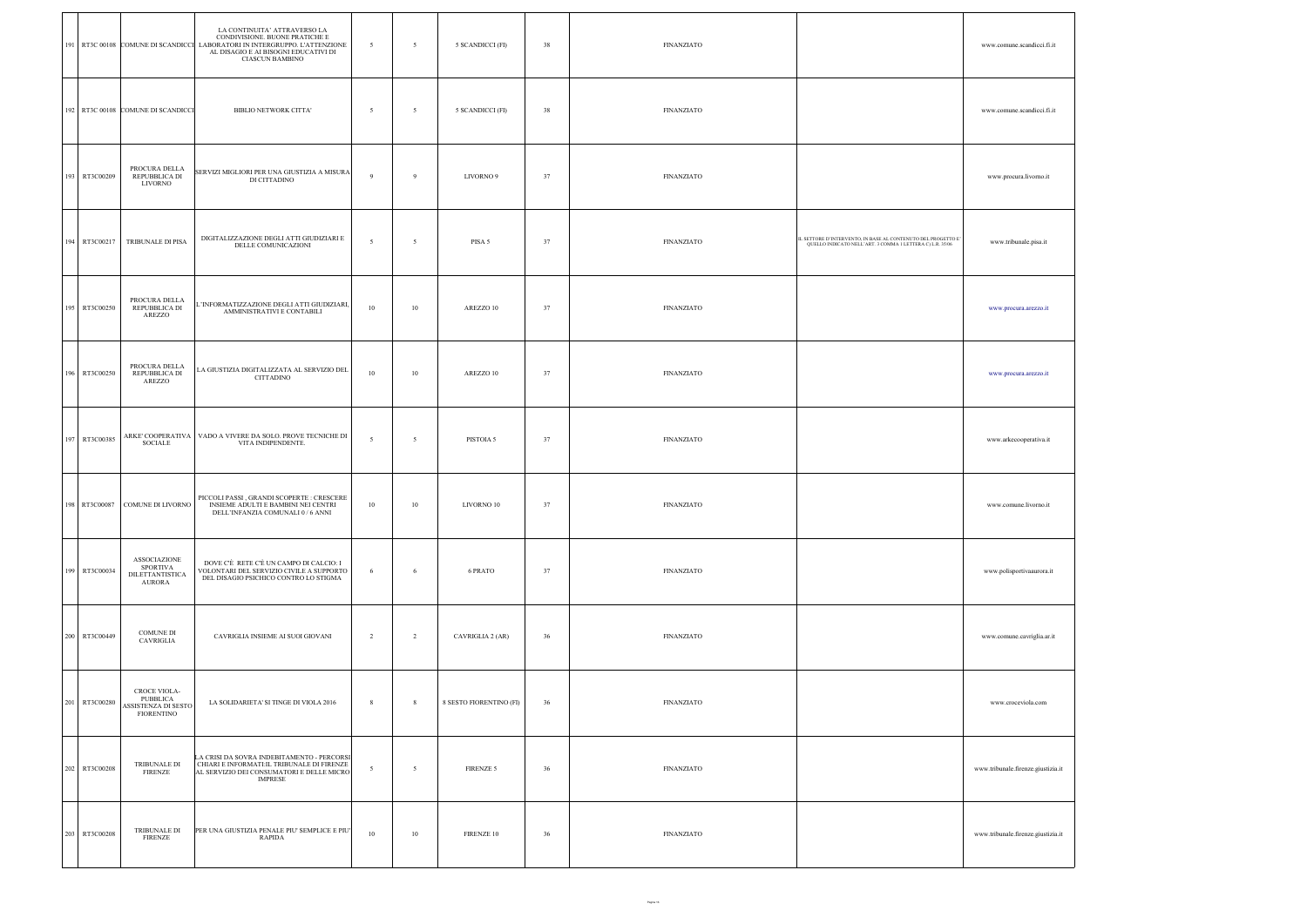|                 |                                                                      | LA CONTINUITA' ATTRAVERSO LA<br>CONDIVISIONE. BUONE PRATICHE E<br>  191   RT3C 00108 COMUNE DI SCANDICCI  LABORATORI IN INTERGRUPPO. L'ATTENZIONE<br>AL DISAGIO E AI BISOGNI EDUCATIVI DI<br><b>CIASCUN BAMBINO</b>                                           | 5 <sup>5</sup>  | $5\overline{5}$ | 5 SCANDICCI (FI)        | 38 | <b>FINANZIATO</b> |                                                                                                                         | www.comune.scandicci.fi.it         |
|-----------------|----------------------------------------------------------------------|---------------------------------------------------------------------------------------------------------------------------------------------------------------------------------------------------------------------------------------------------------------|-----------------|-----------------|-------------------------|----|-------------------|-------------------------------------------------------------------------------------------------------------------------|------------------------------------|
|                 | 192   RT3C 00108 COMUNE DI SCANDICCI                                 | BIBLIO NETWORK CITTA'                                                                                                                                                                                                                                         | $5\overline{5}$ | $5\overline{5}$ | 5 SCANDICCI (FI)        | 38 | <b>FINANZIATO</b> |                                                                                                                         | www.comune.scandicci.fi.it         |
| 193   RT3C00209 | PROCURA DELLA<br>REPUBBLICA DI<br>LIVORNO                            | SERVIZI MIGLIORI PER UNA GIUSTIZIA A MISURA<br>DI CITTADINO                                                                                                                                                                                                   | 9               | 9               | LIVORNO 9               | 37 | <b>FINANZIATO</b> |                                                                                                                         | www.procura.livorno.it             |
| 194   RT3C00217 | TRIBUNALE DI PISA                                                    | DIGITALIZZAZIONE DEGLI ATTI GIUDIZIARI E<br>DELLE COMUNICAZIONI                                                                                                                                                                                               | 5 <sup>5</sup>  | $\sqrt{5}$      | PISA 5                  | 37 | <b>FINANZIATO</b> | IL SETTORE D'INTERVENTO, IN BASE AL CONTENUTO DEL PROGETTO E' QUELLO INDICATO NELL'ART. 3 COMMA I LETTERA C) L.R. 35/06 | www.tribunale.pisa.it              |
| 195 RT3C00250   | PROCURA DELLA<br>REPUBBLICA DI<br>AREZZO                             | L'INFORMATIZZAZIONE DEGLI ATTI GIUDIZIARI,<br>AMMINISTRATIVI E CONTABILI                                                                                                                                                                                      | 10              | 10              | AREZZO 10               | 37 | <b>FINANZIATO</b> |                                                                                                                         | www.procura.arezzo.it              |
| 196 RT3C00250   | PROCURA DELLA<br>REPUBBLICA DI<br>AREZZO                             | LA GIUSTIZIA DIGITALIZZATA AL SERVIZIO DEL<br><b>CITTADINO</b>                                                                                                                                                                                                | 10              | 10              | AREZZO 10               | 37 | <b>FINANZIATO</b> |                                                                                                                         | www.procura.arezzo.it              |
| 197   RT3C00385 | <b>SOCIALE</b>                                                       | ARKE' COOPERATIVA VADO A VIVERE DA SOLO. PROVE TECNICHE DI<br>VITA INDIPENDENTE.                                                                                                                                                                              | $5\overline{5}$ | $\sqrt{5}$      | PISTOIA 5               | 37 | <b>FINANZIATO</b> |                                                                                                                         | www.arkecooperativa.it             |
|                 | 198   RT3C00087   COMUNE DI LIVORNO                                  | PICCOLI PASSI, GRANDI SCOPERTE : CRESCERE<br>INSIEME ADULTI E BAMBINI NEI CENTRI<br>DELL'INFANZIA COMUNALI 0 / 6 ANNI                                                                                                                                         | 10              | 10              | LIVORNO 10              | 37 | <b>FINANZIATO</b> |                                                                                                                         | www.comune.livorno.it              |
| 199 RT3C00034   | <b>ASSOCIAZIONE</b><br>SPORTIVA<br>DILETTANTISTICA<br><b>AURORA</b>  | DOVE C'È RETE C'È UN CAMPO DI CALCIO: I<br>VOLONTARI DEL SERVIZIO CIVILE A SUPPORTO<br>DEL DISAGIO PSICHICO CONTRO LO STIGMA                                                                                                                                  | 6               | 6               | 6 PRATO                 | 37 | <b>FINANZIATO</b> |                                                                                                                         | www.polisportivaaurora.it          |
| 200 RT3C00449   | COMUNE DI<br>CAVRIGLIA                                               | CAVRIGLIA INSIEME AI SUOI GIOVANI                                                                                                                                                                                                                             | 2               | $\overline{2}$  | CAVRIGLIA 2 (AR)        | 36 | <b>FINANZIATO</b> |                                                                                                                         | www.comune.cavriglia.ar.it         |
| 201 RT3C00280   | CROCE VIOLA-<br>PUBBLICA<br>ASSISTENZA DI SESTO<br><b>FIORENTINO</b> | LA SOLIDARIETA' SI TINGE DI VIOLA 2016                                                                                                                                                                                                                        | 8               | 8               | 8 SESTO FIORENTINO (FI) | 36 | <b>FINANZIATO</b> |                                                                                                                         | www.croceviola.com                 |
| 202 RT3C00208   | TRIBUNALE DI<br>FIRENZE                                              | LA CRISI DA SOVRA INDEBITAMENTO - PERCORSI<br>CHIARI E INFORMATI:IL TRIBUNALE DI FIRENZE<br>$\begin{array}{ l } \hline \texttt{AL} \texttt{SERVIZIO} \texttt{DEI} \texttt{CONSUMATORI} \texttt{E} \texttt{DELLE MICRO} \\ \hline \texttt{IMPREE} \end{array}$ | 5 <sup>5</sup>  | $\overline{5}$  | <b>FIRENZE 5</b>        | 36 | <b>FINANZIATO</b> |                                                                                                                         | www.tribunale.firenze.giustizia.it |
| 203 RT3C00208   | TRIBUNALE DI<br><b>FIRENZE</b>                                       | PER UNA GIUSTIZIA PENALE PIU' SEMPLICE E PIU'<br><b>RAPIDA</b>                                                                                                                                                                                                | 10              | 10              | FIRENZE 10              | 36 | <b>FINANZIATO</b> |                                                                                                                         | www.tribunale.firenze.giustizia.it |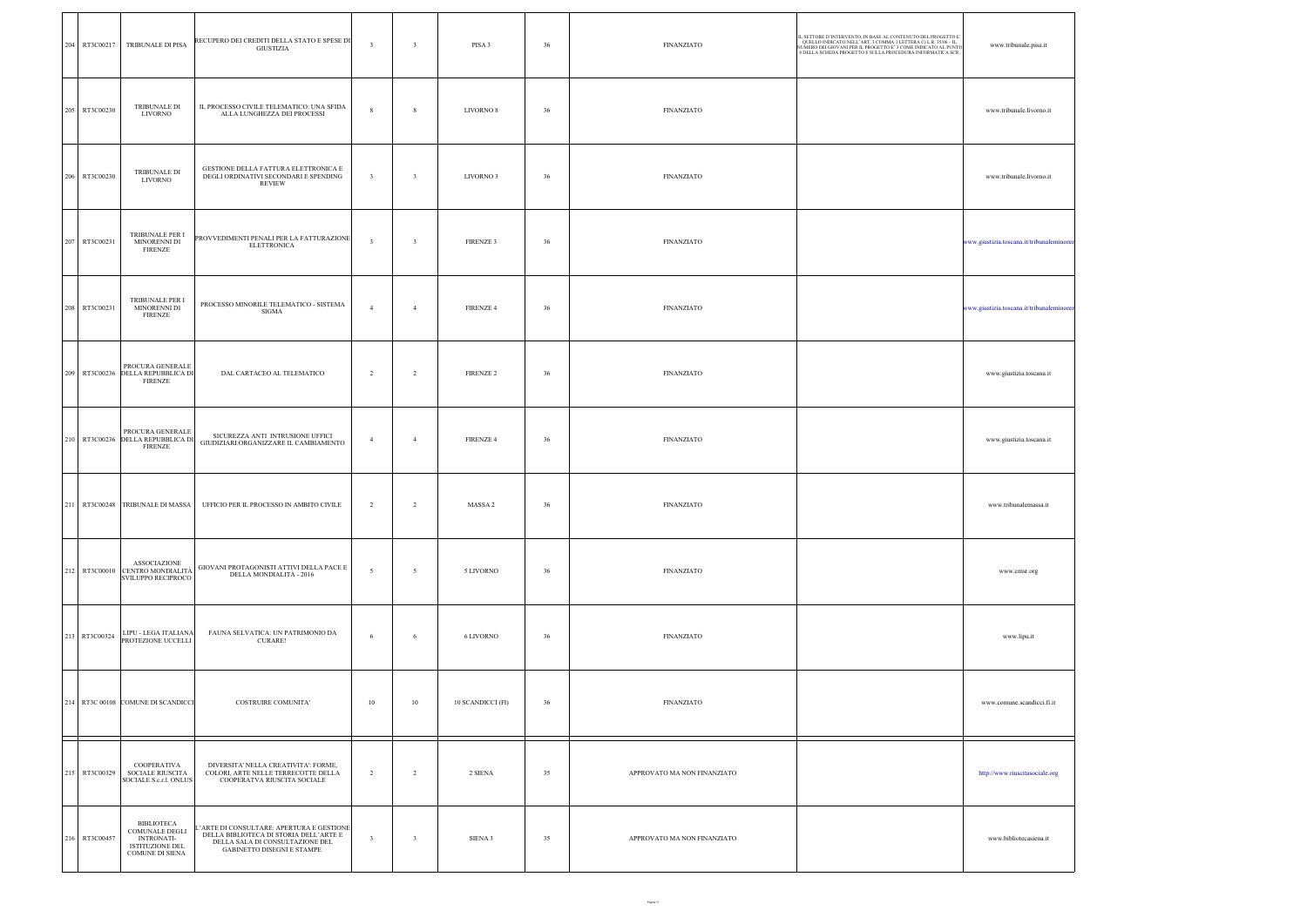|     | $204$ RT3C00217   | TRIBUNALE DI PISA                                                                                        | RECUPERO DEI CREDITI DELLA STATO E SPESE DI<br>GIUSTIZIA                                                                                             | $\overline{\mathbf{3}}$  | $\overline{\mathbf{3}}$ | PISA 3            | 36 | FINANZIATO                  | $\Big $ IL SETTORE D'INTERVENTO, IN BASE AL CONTENUTO DEL PROGETTO E QUELLO INDICATO NELL'ART. 3 COMMA I LETTERA C) L.R. 35/06 – IL<br>NUMERO DEI GIOVANI PER IL PROGETTO E' 3 COME INDICATO AL PUNTO<br>8 DELLA SCHEDA PROGETTO E SULLA PROCEDURA INFORMATICA SCR. | www.tribunale.pisa.it                     |
|-----|-------------------|----------------------------------------------------------------------------------------------------------|------------------------------------------------------------------------------------------------------------------------------------------------------|--------------------------|-------------------------|-------------------|----|-----------------------------|---------------------------------------------------------------------------------------------------------------------------------------------------------------------------------------------------------------------------------------------------------------------|-------------------------------------------|
|     | 205 RT3C00230     | TRIBUNALE DI<br>LIVORNO                                                                                  | IL PROCESSO CIVILE TELEMATICO: UNA SFIDA<br>ALLA LUNGHEZZA DEI PROCESSI                                                                              | 8                        | 8                       | LIVORNO 8         | 36 | FINANZIATO                  |                                                                                                                                                                                                                                                                     | www.tribunale.livorno.it                  |
|     | 206 RT3C00230     | TRIBUNALE DI<br>LIVORNO                                                                                  | GESTIONE DELLA FATTURA ELETTRONICA E<br>DEGLI ORDINATIVI SECONDARI E SPENDING<br><b>REVIEW</b>                                                       | $\overline{\mathbf{3}}$  | $\overline{\mathbf{3}}$ | LIVORNO 3         | 36 | FINANZIATO                  |                                                                                                                                                                                                                                                                     | www.tribunale.livorno.it                  |
|     | 207 RT3C00231     | TRIBUNALE PER I<br>MINORENNI DI<br>FIRENZE                                                               | PROVVEDIMENTI PENALI PER LA FATTURAZIONE<br><b>ELETTRONICA</b>                                                                                       | $\overline{\mathcal{E}}$ | $\overline{\mathbf{3}}$ | FIRENZE 3         | 36 | FINANZIATO                  |                                                                                                                                                                                                                                                                     | www.giustizia.toscana.it/tribunaleminorer |
|     | 208 RT3C00231     | TRIBUNALE PER I<br>MINORENNI DI<br>FIRENZE                                                               | PROCESSO MINORILE TELEMATICO - SISTEMA<br>SIGMA                                                                                                      | $\overline{4}$           | $\overline{4}$          | <b>FIRENZE 4</b>  | 36 | FINANZIATO                  |                                                                                                                                                                                                                                                                     | www.giustizia.toscana.it/tribunaleminorer |
| 209 |                   | PROCURA GENERALE<br>RT3C00236 DELLA REPUBBLICA DI<br><b>FIRENZE</b>                                      | DAL CARTACEO AL TELEMATICO                                                                                                                           | $\overline{2}$           | $\overline{2}$          | <b>FIRENZE 2</b>  | 36 | FINANZIATO                  |                                                                                                                                                                                                                                                                     | www.giustizia.toscana.it                  |
|     |                   | PROCURA GENERALE<br>210   RT3C00236 DELLA REPUBBLICA DI<br><b>FIRENZE</b>                                | SICUREZZA ANTI INTRUSIONE UFFICI<br>GIUDIZIARI:ORGANIZZARE IL CAMBIAMENTO                                                                            | $\overline{4}$           | $\overline{4}$          | <b>FIRENZE 4</b>  | 36 | FINANZIATO                  |                                                                                                                                                                                                                                                                     | www.giustizia.toscana.it                  |
|     |                   |                                                                                                          | 211   RT3C00248   TRIBUNALE DI MASSA   UFFICIO PER IL PROCESSO IN AMBITO CIVILE                                                                      | $\overline{2}$           | 2                       | MASSA 2           | 36 | FINANZIATO                  |                                                                                                                                                                                                                                                                     | www.tribunalemassa.it                     |
|     |                   | ASSOCIAZIONE<br>212 RT3C00010 CENTRO MONDIALITÀ<br>SVILUPPO RECIPROCO                                    | GIOVANI PROTAGONISTI ATTIVI DELLA PACE E<br>DELLA MONDIALITÀ - 2016                                                                                  | 5                        | 5 <sup>5</sup>          | 5 LIVORNO         | 36 | FINANZIATO                  |                                                                                                                                                                                                                                                                     | www.cmsr.org                              |
|     | $213$ RT3C00324   | LIPU - LEGA ITALIANA<br>PROTEZIONE UCCELLI                                                               | FAUNA SELVATICA: UN PATRIMONIO DA<br>CURARE!                                                                                                         | 6                        | 6                       | 6 LIVORNO         | 36 | FINANZIATO                  |                                                                                                                                                                                                                                                                     | www.lipu.it                               |
|     |                   | 214   RT3C 00108 COMUNE DI SCANDICCI                                                                     | COSTRUIRE COMUNITA'                                                                                                                                  | 10                       | 10                      | 10 SCANDICCI (FI) | 36 | FINANZIATO                  |                                                                                                                                                                                                                                                                     | www.comune.scandicci.fi.it                |
|     | $ 215 $ RT3C00329 | COOPERATIVA<br>SOCIALE RIUSCITA<br>SOCIALE S.c.r.l. ONLUS                                                | DIVERSITA' NELLA CREATIVITA': FORME,<br>COLORI, ARTE NELLE TERRECOTTE DELLA<br>COOPERATVA RIUSCITA SOCIALE                                           | $\overline{2}$           | 2                       | 2 SIENA           | 35 | APPROVATO MA NON FINANZIATO |                                                                                                                                                                                                                                                                     | http://www.riuscitasociale.org            |
|     | 216 RT3C00457     | BIBLIOTECA<br>$\operatorname{COMUNALE}$ DEGLI<br><b>INTRONATI-</b><br>ISTITUZIONE DEL<br>COMUNE DI SIENA | L'ARTE DI CONSULTARE: APERTURA E GESTIONE<br>DELLA BIBLIOTECA DI STORIA DELL'ARTE E<br>DELLA SALA DI CONSULTAZIONE DEL<br>GABINETTO DISEGNI E STAMPE | $\overline{\mathbf{3}}$  | $\overline{\mathbf{3}}$ | SIENA 3           | 35 | APPROVATO MA NON FINANZIATO |                                                                                                                                                                                                                                                                     | www.bibliotecasiena.it                    |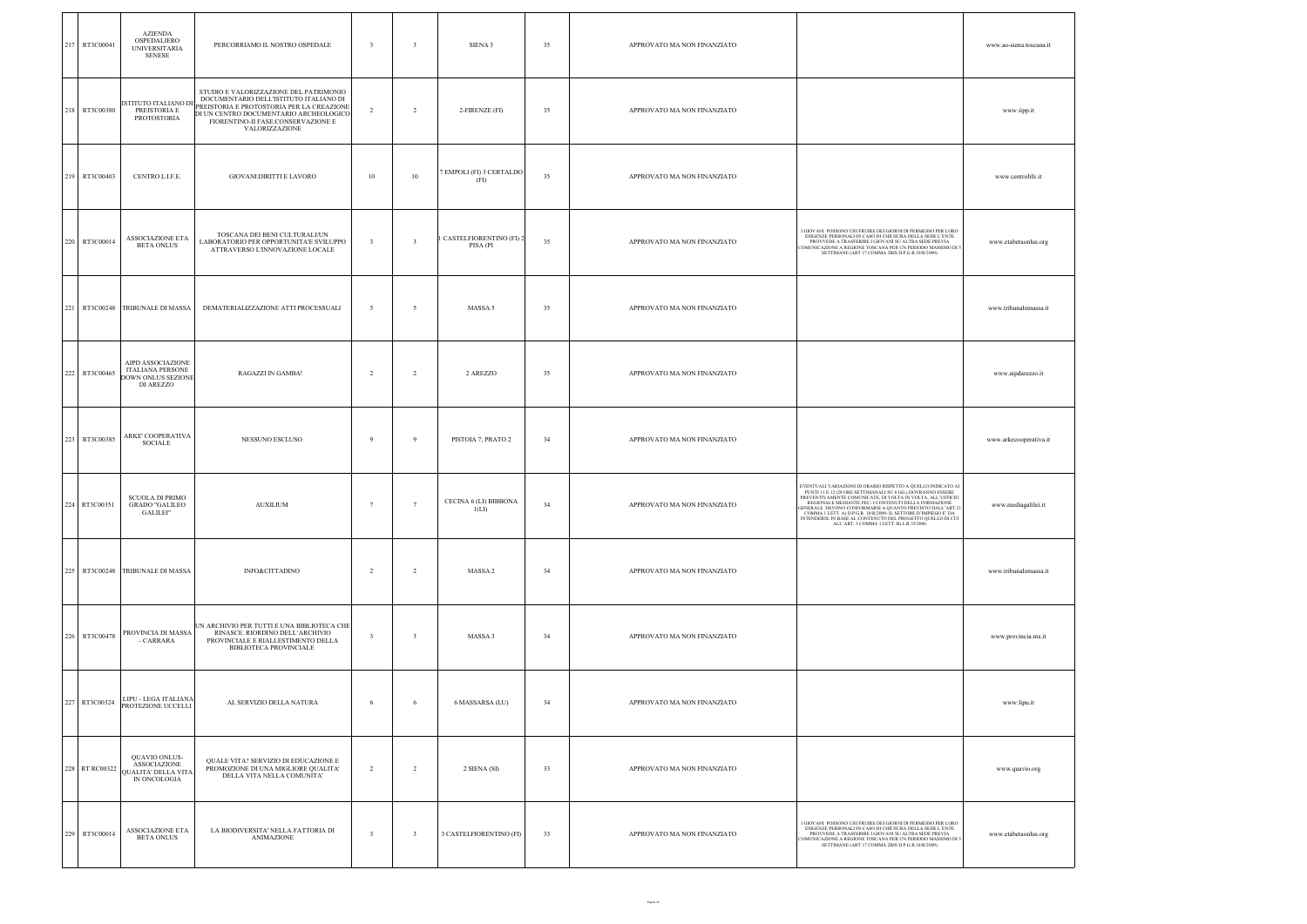| www.ao-siena.toscana.it |
|-------------------------|
| www.iipp.it             |
| www.centrolife.it       |
| www.etabetaonlus.org    |
| www.tribunalemassa.it   |
| www.aipdarezzo.it       |
| www.arkecooperativa.it  |
| www.mediagalilei.it     |
| www.tribunalemassa.it   |
| www.provincia.ms.it     |
| www.lipu.it             |
| www.quavio.org          |
| www.etabetaonlus.org    |

| 217 RT3C00041     | <b>AZIENDA</b><br>OSPEDALIERO<br><b>UNIVERSITARIA</b><br>SENESE                 | PERCORRIAMO IL NOSTRO OSPEDALE                                                                                                                                                                                                  | $\overline{\mathbf{3}}$ | $\overline{\mathbf{3}}$ | SIENA 3                               | 35 | APPROVATO MA NON FINANZIATO |                                                                                                                                                                                                                                                                                                                                                                                                                                                                                           | www.ao-siena.toscana.i        |
|-------------------|---------------------------------------------------------------------------------|---------------------------------------------------------------------------------------------------------------------------------------------------------------------------------------------------------------------------------|-------------------------|-------------------------|---------------------------------------|----|-----------------------------|-------------------------------------------------------------------------------------------------------------------------------------------------------------------------------------------------------------------------------------------------------------------------------------------------------------------------------------------------------------------------------------------------------------------------------------------------------------------------------------------|-------------------------------|
| 218 RT3C00380     | ISTITUTO ITALIANO DI<br>PREISTORIA E<br>PROTOSTORIA                             | STUDIO E VALORIZZAZIONE DEL PATRIMONIO<br>DOCUMENTARIO DELL'ISTITUTO ITALIANO DI<br>PREISTORIA E PROTOSTORIA PER LA CREAZIONE<br>DI UN CENTRO DOCUMENTARIO ARCHEOLOGICO<br>FIORENTINO-II FASE:CONSERVAZIONE E<br>VALORIZZAZIONE | $\overline{2}$          | $\overline{2}$          | 2-FIRENZE (FI)                        | 35 | APPROVATO MA NON FINANZIATO |                                                                                                                                                                                                                                                                                                                                                                                                                                                                                           | www.iipp.it                   |
| 219 RT3C00403     | CENTRO L.I.F.E.                                                                 | GIOVANI:DIRITTI E LAVORO                                                                                                                                                                                                        | 10                      | 10                      | 7 EMPOLI (FI) 3 CERTALDO<br>(FI)      | 35 | APPROVATO MA NON FINANZIATO |                                                                                                                                                                                                                                                                                                                                                                                                                                                                                           | www.centrolife.it             |
| 220 RT3C00014     | ASSOCIAZIONE ETA<br>BETA ONLUS                                                  | TOSCANA DEI BENI CULTURALI/UN<br>LABORATORIO PER OPPORTUNITA'E SVILUPPO<br>ATTRAVERSO L'INNOVAZIONE LOCALE                                                                                                                      | $\overline{\mathbf{3}}$ | 3                       | 1 CASTELFIORENTINO (FI) 2<br>PISA (PI | 35 | APPROVATO MA NON FINANZIATO | I GIOVANI POSSONO USUFRUIRE DEI GIORNI DI PERMESSO PER LORO<br>ESIGENZE PERSONALI:IN CASO DI CHIUSURA DELLA SEDE L'ENTE<br>PROVVEDE A TRASFERIRE I GIOVANI SU ALTRA SEDE PREVIA<br>COMUNICAZIONE A REGIONE TOSCANA PER UN PERIODO MASSIMO DI 5<br>SETTIMANE (ART 17 COMMA 2BIS D.P.G.R.10/R/2009)                                                                                                                                                                                         | ${\bf www. etabetaonlus.org}$ |
|                   | 221   RT3C00248   TRIBUNALE DI MASSA                                            | DEMATERIALIZZAZIONE ATTI PROCESSUALI                                                                                                                                                                                            | 5                       | 5                       | MASSA 5                               | 35 | APPROVATO MA NON FINANZIATO |                                                                                                                                                                                                                                                                                                                                                                                                                                                                                           | www.tribunalemassa.it         |
| 222 RT3C00465     | AIPD ASSOCIAZIONE<br><b>ITALIANA PERSONE</b><br>DOWN ONLUS SEZIONE<br>DI AREZZO | RAGAZZI IN GAMBA!                                                                                                                                                                                                               | $\overline{2}$          | $\overline{2}$          | 2 AREZZO                              | 35 | APPROVATO MA NON FINANZIATO |                                                                                                                                                                                                                                                                                                                                                                                                                                                                                           | www.aipdarezzo.it             |
| 223 RT3C00385     | ARKE' COOPERATIVA<br>SOCIALE                                                    | NESSUNO ESCLUSO                                                                                                                                                                                                                 | - 9                     | 9                       | PISTOIA 7; PRATO 2                    | 34 | APPROVATO MA NON FINANZIATO |                                                                                                                                                                                                                                                                                                                                                                                                                                                                                           | www.arkecooperativa.it        |
| $ 224 $ RT3C00351 | <b>SCUOLA DI PRIMO</b><br>GRADO "GALILEO<br>GALILEI"                            | AUXILIUM                                                                                                                                                                                                                        | 7                       | $7\phantom{.0}$         | CECINA 6 (LI) BIBBONA<br>1(L1)        | 34 | APPROVATO MA NON FINANZIATO | EVENTUALI VARIAZIONI DI ORARIO RISPETTO A QUELLO INDICATO AI<br>PUNTI 11 E 12 (28 ORE SETTIMANALI SU 6 GG.) DOVRANNO ESSERE<br>PREVENTIVAMENTE COMUNICATE, DI VOLTA IN VOLTA, ALL'UFFICIO<br>REGIONALE MEDIANTE PEC- I CONTENUTI DELLA FORMAZIONE<br>ENERALE DEVONO CONFORMARSI A QUANTO PREVISTO DALL'ART.2<br>COMMA 1 LETT. A) D.P.G.R. 10/R/2009- IL SETTORE D'IMPIEGO E' DA<br>INTENDERSI, IN BASE AL CONTENUTO DEL PROGETTO QUELLO DI CUI<br>ALL'ART. 3 COMMA 1 LETT. B) L.R.35/2006 | www.mediagalilei.it           |
|                   | 225   RT3C00248   TRIBUNALE DI MASSA                                            | INFO&CITTADINO                                                                                                                                                                                                                  | $\overline{2}$          | $\overline{2}$          | MASSA 2                               | 34 | APPROVATO MA NON FINANZIATO |                                                                                                                                                                                                                                                                                                                                                                                                                                                                                           | www.tribunalemassa.it         |
| 226   RT3C00478   | PROVINCIA DI MASSA<br>$-CARRARA$                                                | UN ARCHIVIO PER TUTTI E UNA BIBLIOTECA CHE<br>RINASCE. RIORDINO DELL'ARCHIVIO<br>PROVINCIALE E RIALLESTIMENTO DELLA<br>BIBLIOTECA PROVINCIALE                                                                                   | $\overline{\mathbf{3}}$ | 3                       | MASSA 3                               | 34 | APPROVATO MA NON FINANZIATO |                                                                                                                                                                                                                                                                                                                                                                                                                                                                                           | www.provincia.ms.it           |
| 227 RT3C00324     | LIPU - LEGA ITALIANA<br>PROTEZIONE UCCELLI                                      | AL SERVIZIO DELLA NATURA                                                                                                                                                                                                        | 6                       | -6                      | 6 MASSARSA (LU)                       | 34 | APPROVATO MA NON FINANZIATO |                                                                                                                                                                                                                                                                                                                                                                                                                                                                                           | www.lipu.it                   |
| 228 RT RC00322    | QUAVIO ONLUS-<br>ASSOCIAZIONE<br>QUALITA' DELLA VITA<br>IN ONCOLOGIA            | QUALE VITA? SERVIZIO DI EDUCAZIONE E<br>PROMOZIONE DI UNA MIGLIORE QUALITA'<br>DELLA VITA NELLA COMUNITA'                                                                                                                       | $\overline{2}$          | $\overline{2}$          | 2 SIENA (SI)                          | 33 | APPROVATO MA NON FINANZIATO |                                                                                                                                                                                                                                                                                                                                                                                                                                                                                           | www.quavio.org                |
| 229 RT3C00014     | ASSOCIAZIONE ETA<br><b>BETA ONLUS</b>                                           | LA BIODIVERSITA' NELLA FATTORIA DI<br><b>ANIMAZIONE</b>                                                                                                                                                                         | $\overline{\mathbf{3}}$ | $\overline{\mathbf{3}}$ | 3 CASTELFIORENTINO (FI)               | 33 | APPROVATO MA NON FINANZIATO | I GIOVANI POSSONO USUFRUIRE DEI GIORNI DI PERMESSO PER LORO<br>ESIGENZE PERSONALI:IN CASO DI CHIUSURA DELLA SEDE L'ENTE<br>PROVVEDE A TRASFERIRE I GIOVANI SU ALTRA SEDE PREVIA<br>COMUNICAZIONE A REGIONE TOSCANA PER UN PERIODO MASSIMO DI :<br>SETTIMANE (ART 17 COMMA 2BIS D.P.G.R.10/R/2009)                                                                                                                                                                                         | www.etabetaonlus.org          |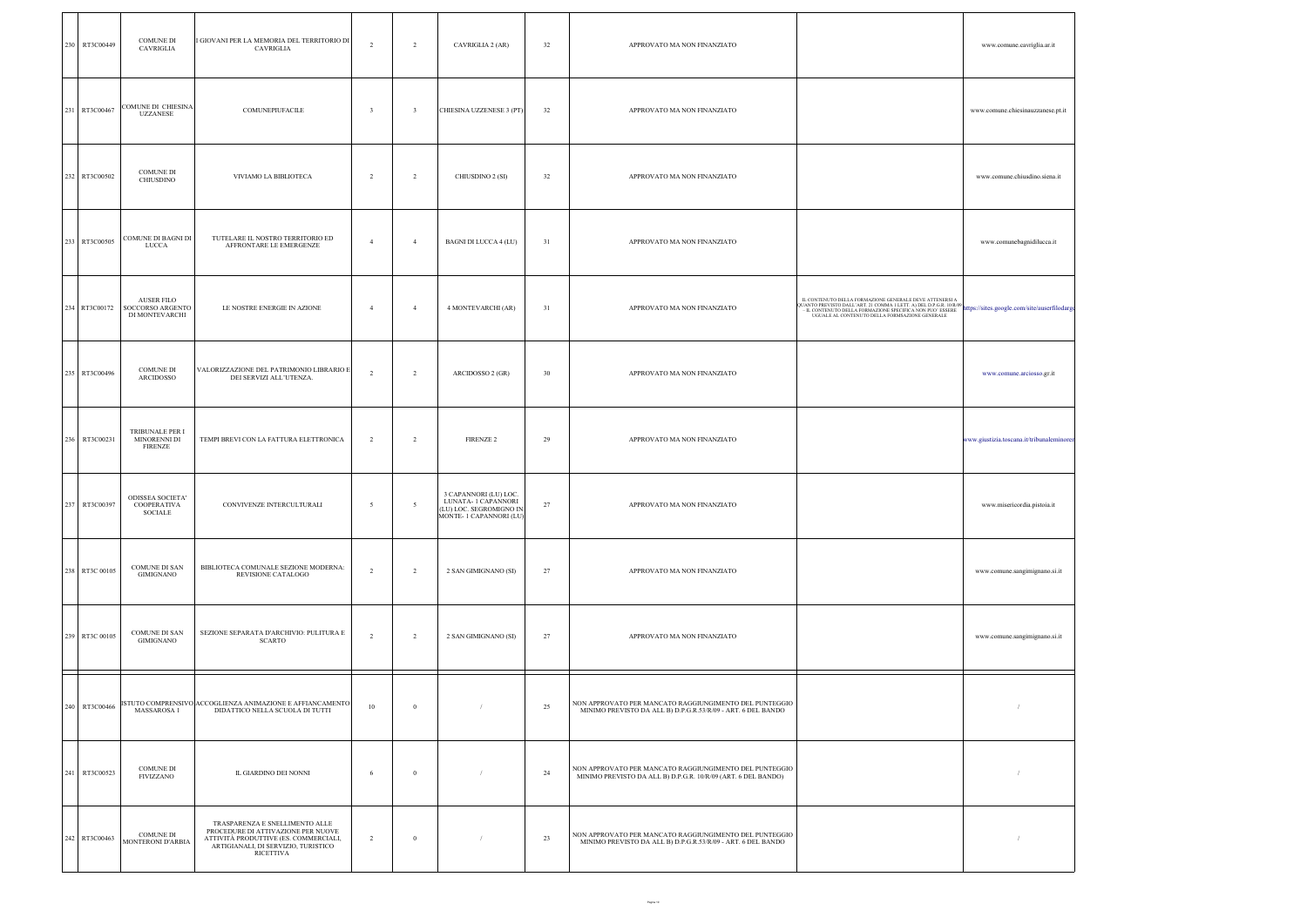| 230 RT3C00449     | <b>COMUNE DI</b><br>CAVRIGLIA                                      | I GIOVANI PER LA MEMORIA DEL TERRITORIO DI<br>CAVRIGLIA                                                                                                           | 2                       | 2                       | CAVRIGLIA 2 (AR)                                                                                  | 32 | APPROVATO MA NON FINANZIATO                                                                                             |                                                                                                                                                                                                                                                                                                    | www.comune.cavriglia.ar.it                |
|-------------------|--------------------------------------------------------------------|-------------------------------------------------------------------------------------------------------------------------------------------------------------------|-------------------------|-------------------------|---------------------------------------------------------------------------------------------------|----|-------------------------------------------------------------------------------------------------------------------------|----------------------------------------------------------------------------------------------------------------------------------------------------------------------------------------------------------------------------------------------------------------------------------------------------|-------------------------------------------|
| 231   RT3C00467   | COMUNE DI CHIESINA<br>UZZANESE                                     | COMUNEPIUFACILE                                                                                                                                                   | $\overline{\mathbf{3}}$ | $\overline{\mathbf{3}}$ | CHIESINA UZZENESE 3 (PT)                                                                          | 32 | APPROVATO MA NON FINANZIATO                                                                                             |                                                                                                                                                                                                                                                                                                    | www.comune.chiesinauzzanese.pt.it         |
| 232 RT3C00502     | <b>COMUNE DI</b><br>CHIUSDINO                                      | VIVIAMO LA BIBLIOTECA                                                                                                                                             | $\overline{2}$          | 2                       | CHIUSDINO 2 (SI)                                                                                  | 32 | APPROVATO MA NON FINANZIATO                                                                                             |                                                                                                                                                                                                                                                                                                    | www.comune.chiusdino.siena.it             |
| 233 RT3C00505     | COMUNE DI BAGNI DI<br>LUCCA                                        | TUTELARE IL NOSTRO TERRITORIO ED<br>AFFRONTARE LE EMERGENZE                                                                                                       | $\overline{4}$          | $\overline{4}$          | <b>BAGNI DI LUCCA 4 (LU)</b>                                                                      | 31 | APPROVATO MA NON FINANZIATO                                                                                             |                                                                                                                                                                                                                                                                                                    | www.comunebagnidilucca.it                 |
|                   | AUSER FILO<br>$ 234 $ RT3C00172 SOCCORSO ARGENTO<br>DI MONTEVARCHI | LE NOSTRE ENERGIE IN AZIONE                                                                                                                                       | $\overline{4}$          | $\overline{4}$          | 4 MONTEVARCHI (AR)                                                                                | 31 | APPROVATO MA NON FINANZIATO                                                                                             | IL CONTENUTO DELLA FORMAZIONE GENERALE DEVE ATTENERSI A<br>CONTROL DELLAR LOCAMA LETT AD DEL D P.G.R. 10000<br>- IL CONTROLLAR VIOLENCE SECURE A NORTRE LOCAMA LETT AD DEL D P.G.R. 10000<br>- IL CONTROLLAR VIOLENCE SPECIFICA NOR PUO ESSERE<br>- UGUALE AL CONTENUTO DELLA FORMSAZIONE GENERALE |                                           |
| 235 RT3C00496     | <b>COMUNE DI</b><br>ARCIDOSSO                                      | VALORIZZAZIONE DEL PATRIMONIO LIBRARIO E<br>DEI SERVIZI ALL'UTENZA.                                                                                               | 2                       | 2                       | ARCIDOSSO 2 (GR)                                                                                  | 30 | APPROVATO MA NON FINANZIATO                                                                                             |                                                                                                                                                                                                                                                                                                    | www.comune.arciosso.gr.it                 |
| 236 RT3C00231     | TRIBUNALE PER I<br>MINORENNI DI<br><b>FIRENZE</b>                  | TEMPI BREVI CON LA FATTURA ELETTRONICA                                                                                                                            | $\overline{2}$          | $\overline{2}$          | FIRENZE 2                                                                                         | 29 | APPROVATO MA NON FINANZIATO                                                                                             |                                                                                                                                                                                                                                                                                                    | www.giustizia.toscana.it/tribunaleminorer |
| $ 237 $ RT3C00397 | ODISSEA SOCIETA'<br>COOPERATIVA<br>SOCIALE                         | CONVIVENZE INTERCULTURALI                                                                                                                                         | 5                       | 5                       | 3 CAPANNORI (LU) LOC.<br>LUNATA-1 CAPANNORI<br>(LU) LOC. SEGROMIGNO IN<br>MONTE- 1 CAPANNORI (LU) | 27 | APPROVATO MA NON FINANZIATO                                                                                             |                                                                                                                                                                                                                                                                                                    | www.misericordia.pistoia.it               |
| 238 RT3C 00105    | COMUNE DI SAN<br>GIMIGNANO                                         | BIBLIOTECA COMUNALE SEZIONE MODERNA:<br>REVISIONE CATALOGO                                                                                                        | 2                       | 2                       | 2 SAN GIMIGNANO (SI)                                                                              | 27 | APPROVATO MA NON FINANZIATO                                                                                             |                                                                                                                                                                                                                                                                                                    | www.comune.sangimignano.si.it             |
| 239 RT3C 00105    | COMUNE DI SAN<br>GIMIGNANO                                         | SEZIONE SEPARATA D'ARCHIVIO: PULITURA E<br>SCARTO                                                                                                                 | $\overline{2}$          | 2                       | 2 SAN GIMIGNANO (SI)                                                                              | 27 | APPROVATO MA NON FINANZIATO                                                                                             |                                                                                                                                                                                                                                                                                                    | www.comune.sangimignano.si.it             |
| 240 RT3C00466     | MASSAROSA 1                                                        | ISTUTO COMPRENSIVO ACCOGLIENZA ANIMAZIONE E AFFIANCAMENTO<br>DIDATTICO NELLA SCUOLA DI TUTTI                                                                      | 10                      | $\overline{0}$          |                                                                                                   | 25 | NON APPROVATO PER MANCATO RAGGIUNGIMENTO DEL PUNTEGGIO<br>MINIMO PREVISTO DA ALL B) D.P.G.R.53/R/09 - ART. 6 DEL BANDO  |                                                                                                                                                                                                                                                                                                    |                                           |
| 241 RT3C00523     | COMUNE DI<br>FIVIZZANO                                             | IL GIARDINO DEI NONNI                                                                                                                                             | 6                       | $\overline{0}$          |                                                                                                   | 24 | NON APPROVATO PER MANCATO RAGGIUNGIMENTO DEL PUNTEGGIO<br>MINIMO PREVISTO DA ALL B) D.P.G.R. 10/R/09 (ART. 6 DEL BANDO) |                                                                                                                                                                                                                                                                                                    |                                           |
| 242   RT3C00463   | COMUNE DI<br>MONTERONI D'ARBIA                                     | TRASPARENZA E SNELLIMENTO ALLE<br>PROCEDURE DI ATTIVAZIONE PER NUOVE<br>ATTIVITÀ PRODUTTIVE (ES. COMMERCIALI,<br>ARTIGIANALI, DI SERVIZIO, TURISTICO<br>RICETTIVA | $\overline{2}$          | $\overline{0}$          |                                                                                                   | 23 | NON APPROVATO PER MANCATO RAGGIUNGIMENTO DEL PUNTEGGIO<br>MINIMO PREVISTO DA ALL B) D.P.G.R.53/R/09 - ART. 6 DEL BANDO  |                                                                                                                                                                                                                                                                                                    |                                           |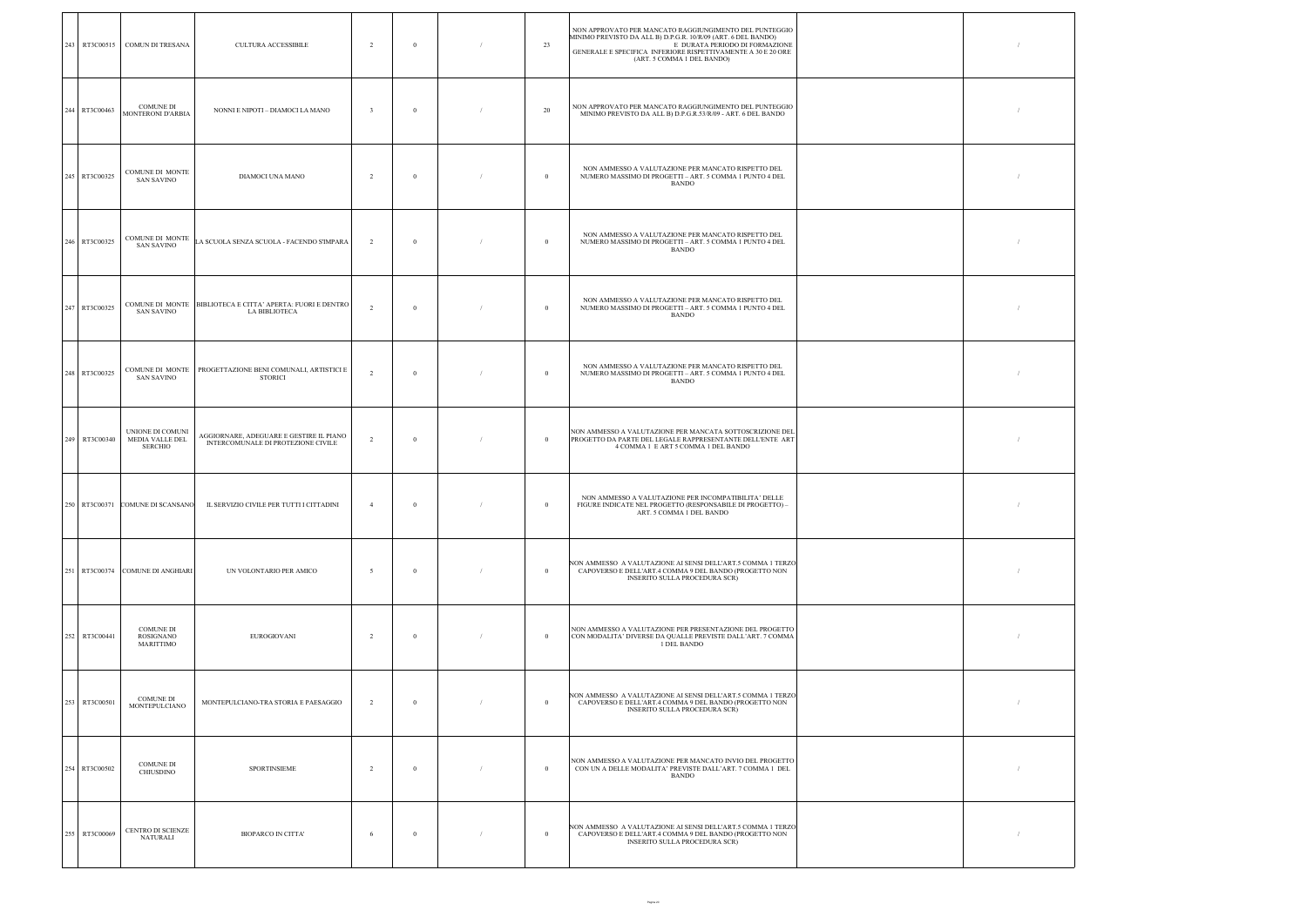| 243 RT3C00515 | COMUN DI TRESANA                                  | CULTURA ACCESSIBILE                                                                                             | 2                       | $\overline{0}$ | 23             | NON APPROVATO PER MANCATO RAGGIUNGIMENTO DEL PUNTEGGIO<br>MINIMO PREVISTO DA ALL B) D.P.G.R. 10/R/09 (ART. 6 DEL BANDO)<br>E DURATA PERIODO DI FORMAZIONE<br>GENERALE E SPECIFICA INFERIORE RISPETTIVAMENTE A 30 E 20 ORE<br>(ART. 5 COMMA 1 DEL BANDO) |  |
|---------------|---------------------------------------------------|-----------------------------------------------------------------------------------------------------------------|-------------------------|----------------|----------------|---------------------------------------------------------------------------------------------------------------------------------------------------------------------------------------------------------------------------------------------------------|--|
| 244 RT3C00463 | COMUNE DI<br>MONTERONI D'ARBIA                    | NONNI E NIPOTI - DIAMOCI LA MANO                                                                                | $\overline{\mathbf{3}}$ | $\overline{0}$ | 20             | NON APPROVATO PER MANCATO RAGGIUNGIMENTO DEL PUNTEGGIO<br>MINIMO PREVISTO DA ALL B) D.P.G.R.53/R/09 - ART. 6 DEL BANDO                                                                                                                                  |  |
| 245 RT3C00325 | <b>COMUNE DI MONTE</b><br>SAN SAVINO              | DIAMOCI UNA MANO                                                                                                | 2                       | $\overline{0}$ | $\overline{0}$ | NON AMMESSO A VALUTAZIONE PER MANCATO RISPETTO DEL<br>NUMERO MASSIMO DI PROGETTI - ART. 5 COMMA 1 PUNTO 4 DEL<br>BANDO                                                                                                                                  |  |
| 246 RT3C00325 | <b>SAN SAVINO</b>                                 | $\begin{tabular}{ll} COMUNE DI MONTE & \textbf{LA SCUOLA SENZA SCUOLA -FACENDO SIMPARA \\ \hline \end{tabular}$ | 2                       | $\overline{0}$ | $\overline{0}$ | NON AMMESSO A VALUTAZIONE PER MANCATO RISPETTO DEL<br>NUMERO MASSIMO DI PROGETTI - ART. 5 COMMA 1 PUNTO 4 DEL<br>BANDO                                                                                                                                  |  |
| 247 RT3C00325 | <b>SAN SAVINO</b>                                 | COMUNE DI MONTE   BIBLIOTECA E CITTA' APERTA: FUORI E DENTRO  <br>LA BIBLIOTECA                                 | 2                       | $\theta$       | $\overline{0}$ | NON AMMESSO A VALUTAZIONE PER MANCATO RISPETTO DEL<br>NUMERO MASSIMO DI PROGETTI - ART. 5 COMMA 1 PUNTO 4 DEL<br>BANDO                                                                                                                                  |  |
| 248 RT3C00325 | SAN SAVINO                                        | COMUNE DI MONTE   PROGETTAZIONE BENI COMUNALI, ARTISTICI E<br><b>STORICI</b>                                    | 2                       | $\theta$       | $\overline{0}$ | NON AMMESSO A VALUTAZIONE PER MANCATO RISPETTO DEL<br>NUMERO MASSIMO DI PROGETTI - ART. 5 COMMA 1 PUNTO 4 DEL<br><b>BANDO</b>                                                                                                                           |  |
| 249 RT3C00340 | UNIONE DI COMUNI<br>MEDIA VALLE DEL<br>SERCHIO    | AGGIORNARE, ADEGUARE E GESTIRE IL PIANO<br>INTERCOMUNALE DI PROTEZIONE CIVILE                                   | 2                       | $\overline{0}$ | $\overline{0}$ | NON AMMESSO A VALUTAZIONE PER MANCATA SOTTOSCRIZIONE DEL<br>PROGETTO DA PARTE DEL LEGALE RAPPRESENTANTE DELL'ENTE ART<br>4 COMMA 1 E ART 5 COMMA 1 DEL BANDO                                                                                            |  |
|               |                                                   | 250   RT3C00371 COMUNE DI SCANSANO LL SERVIZIO CIVILE PER TUTTI I CITTADINI                                     | $\overline{4}$          | $\bf{0}$       | $\overline{0}$ | NON AMMESSO A VALUTAZIONE PER INCOMPATIBILITA' DELLE<br>FIGURE INDICATE NEL PROGETTO (RESPONSABILE DI PROGETTO) -<br>ART. 5 COMMA 1 DEL BANDO                                                                                                           |  |
|               | 251   RT3C00374   COMUNE DI ANGHIARI              | UN VOLONTARIO PER AMICO                                                                                         | 5                       | $\overline{0}$ | $\bf{0}$       | NON AMMESSO A VALUTAZIONE AI SENSI DELL'ART.5 COMMA 1 TERZO<br>CAPOVERSO E DELL'ART.4 COMMA 9 DEL BANDO (PROGETTO NON<br><b>INSERITO SULLA PROCEDURA SCR)</b>                                                                                           |  |
| 252 RT3C00441 | <b>COMUNE DI</b><br>ROSIGNANO<br><b>MARITTIMO</b> | <b>EUROGIOVANI</b>                                                                                              | 2                       | $\overline{0}$ | $\bf{0}$       | NON AMMESSO A VALUTAZIONE PER PRESENTAZIONE DEL PROGETTO<br>CON MODALITA' DIVERSE DA QUALLE PREVISTE DALL'ART. 7 COMMA<br>1 DEL BANDO                                                                                                                   |  |
| 253 RT3C00501 | COMUNE DI<br>MONTEPULCIANO                        | MONTEPULCIANO-TRA STORIA E PAESAGGIO                                                                            | 2                       | $\overline{0}$ | $\bf{0}$       | NON AMMESSO A VALUTAZIONE AI SENSI DELL'ART.5 COMMA 1 TERZO<br>CAPOVERSO E DELL'ART.4 COMMA 9 DEL BANDO (PROGETTO NON<br><b>INSERITO SULLA PROCEDURA SCR)</b>                                                                                           |  |
| 254 RT3C00502 | COMUNE DI<br>CHIUSDINO                            | SPORTINSIEME                                                                                                    | $\overline{2}$          | $\overline{0}$ | $\bf{0}$       | NON AMMESSO A VALUTAZIONE PER MANCATO INVIO DEL PROGETTO<br>CON UN A DELLE MODALITA' PREVISTE DALL'ART. 7 COMMA 1 DEL<br><b>BANDO</b>                                                                                                                   |  |
| 255 RT3C00069 | CENTRO DI SCIENZE<br>NATURALI                     | <b>BIOPARCO IN CITTA'</b>                                                                                       | -6                      | $\overline{0}$ | $\bf{0}$       | NON AMMESSO A VALUTAZIONE AI SENSI DELL'ART.5 COMMA 1 TERZO<br>CAPOVERSO E DELL'ART.4 COMMA 9 DEL BANDO (PROGETTO NON<br><b>INSERITO SULLA PROCEDURA SCR)</b>                                                                                           |  |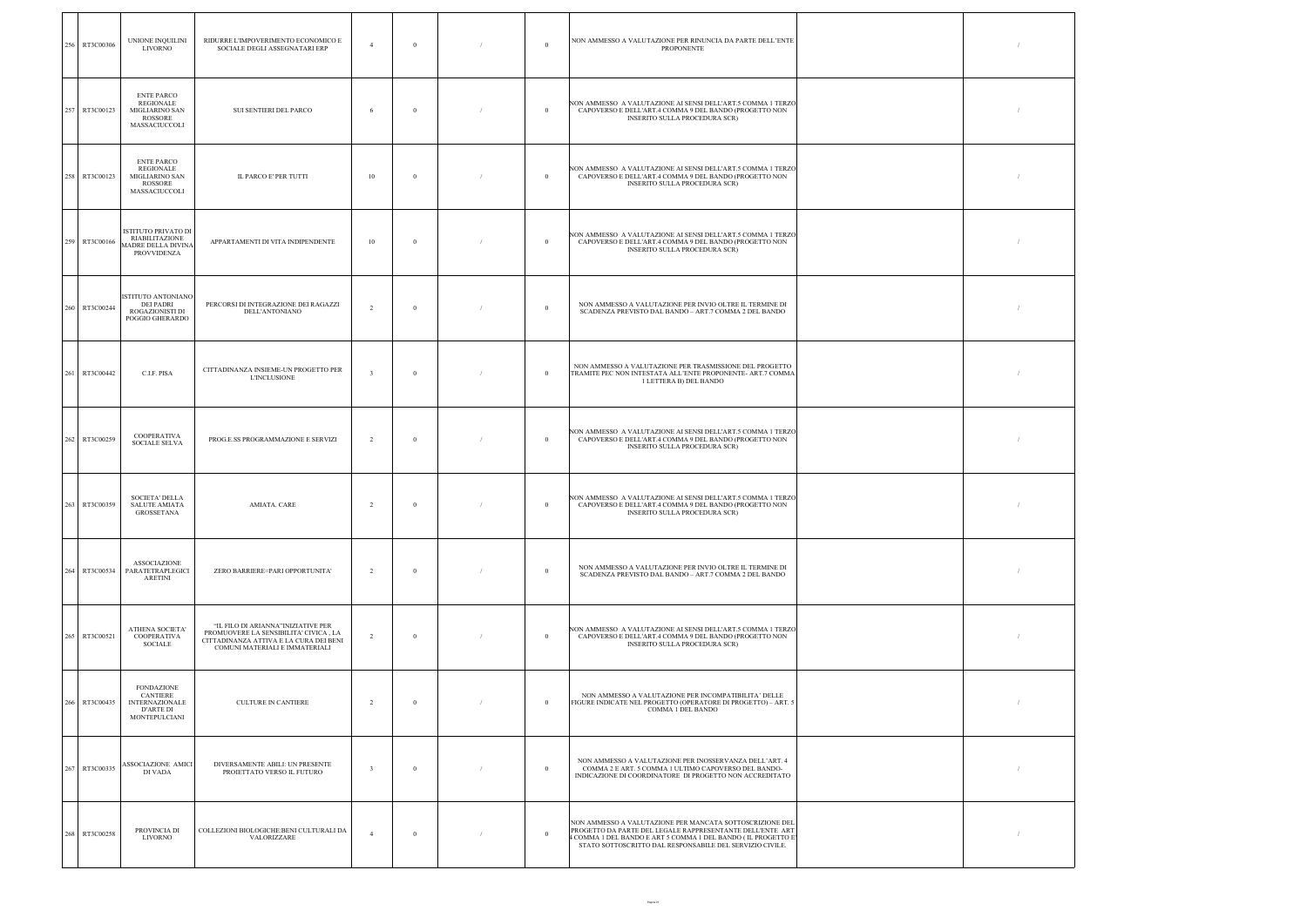| 256 RT3C00306     | UNIONE INQUILINI<br>LIVORNO                                                         | RIDURRE L'IMPOVERIMENTO ECONOMICO E<br>SOCIALE DEGLI ASSEGNATARI ERP                                                                                    |                | $\overline{0}$ | $\theta$       | NON AMMESSO A VALUTAZIONE PER RINUNCIA DA PARTE DELL'ENTE<br><b>PROPONENTE</b>                                                                                                                                                                     |  |
|-------------------|-------------------------------------------------------------------------------------|---------------------------------------------------------------------------------------------------------------------------------------------------------|----------------|----------------|----------------|----------------------------------------------------------------------------------------------------------------------------------------------------------------------------------------------------------------------------------------------------|--|
| 257 RT3C00123     | <b>ENTE PARCO</b><br>REGIONALE<br><b>MIGLIARINO SAN</b><br>ROSSORE<br>MASSACIUCCOLI | SUI SENTIERI DEL PARCO                                                                                                                                  | -6             | $\overline{0}$ | $\overline{0}$ | NON AMMESSO A VALUTAZIONE AI SENSI DELL'ART.5 COMMA 1 TERZO<br>CAPOVERSO E DELL'ART.4 COMMA 9 DEL BANDO (PROGETTO NON<br>INSERITO SULLA PROCEDURA SCR)                                                                                             |  |
| 258 RT3C00123     | <b>ENTE PARCO</b><br>REGIONALE<br><b>MIGLIARINO SAN</b><br>ROSSORE<br>MASSACIUCCOLI | IL PARCO E' PER TUTTI                                                                                                                                   | 10             | $\overline{0}$ | $\overline{0}$ | NON AMMESSO A VALUTAZIONE AI SENSI DELL'ART.5 COMMA 1 TERZO<br>CAPOVERSO E DELL'ART.4 COMMA 9 DEL BANDO (PROGETTO NON<br>INSERITO SULLA PROCEDURA SCR)                                                                                             |  |
| 259 RT3C00166     | ISTITUTO PRIVATO DI<br>RIABILITAZIONE<br><b>MADRE DELLA DIVINA</b><br>PROVVIDENZA   | APPARTAMENTI DI VITA INDIPENDENTE                                                                                                                       | 10             | $\overline{0}$ | $\overline{0}$ | NON AMMESSO A VALUTAZIONE AI SENSI DELL'ART.5 COMMA 1 TERZO<br>CAPOVERSO E DELL'ART.4 COMMA 9 DEL BANDO (PROGETTO NON<br><b>INSERITO SULLA PROCEDURA SCR)</b>                                                                                      |  |
| 260 RT3C00244     | ISTITUTO ANTONIANO<br>DEI PADRI<br>ROGAZIONISTI DI<br>POGGIO GHERARDO               | PERCORSI DI INTEGRAZIONE DEI RAGAZZI<br>DELL'ANTONIANO                                                                                                  | 2              | $\Omega$       | $\overline{0}$ | NON AMMESSO A VALUTAZIONE PER INVIO OLTRE IL TERMINE DI<br>SCADENZA PREVISTO DAL BANDO - ART.7 COMMA 2 DEL BANDO                                                                                                                                   |  |
| 261 RT3C00442     | C.I.F. PISA                                                                         | CITTADINANZA INSIEME-UN PROGETTO PER<br><b>L'INCLUSIONE</b>                                                                                             | $\mathcal{R}$  | $\Omega$       | $\overline{0}$ | NON AMMESSO A VALUTAZIONE PER TRASMISSIONE DEL PROGETTO<br>TRAMITE PEC NON INTESTATA ALL'ENTE PROPONENTE- ART.7 COMMA<br>1 LETTERA B) DEL BANDO                                                                                                    |  |
| 262 RT3C00259     | COOPERATIVA<br><b>SOCIALE SELVA</b>                                                 | PROG.E.SS PROGRAMMAZIONE E SERVIZI                                                                                                                      | 2              | $\overline{0}$ | $\overline{0}$ | NON AMMESSO A VALUTAZIONE AI SENSI DELL'ART.5 COMMA 1 TERZO<br>CAPOVERSO E DELL'ART.4 COMMA 9 DEL BANDO (PROGETTO NON<br><b>INSERITO SULLA PROCEDURA SCR)</b>                                                                                      |  |
| $ 263 $ RT3C00359 | <b>SOCIETA' DELLA</b><br>SALUTE AMIATA<br>GROSSETANA                                | AMIATA. CARE                                                                                                                                            | $\overline{2}$ | $\overline{0}$ | $\mathbf{0}$   | NON AMMESSO A VALUTAZIONE AI SENSI DELL'ART.5 COMMA 1 TERZO<br>CAPOVERSO E DELL'ART.4 COMMA 9 DEL BANDO (PROGETTO NON<br>INSERITO SULLA PROCEDURA SCR)                                                                                             |  |
| 264 RT3C00534     | ASSOCIAZIONE<br>PARATETRAPLEGICI<br>ARETINI                                         | ZERO BARRIERE=PARI OPPORTUNITA'                                                                                                                         | $\overline{2}$ | $\overline{0}$ | $\mathbf{0}$   | NON AMMESSO A VALUTAZIONE PER INVIO OLTRE IL TERMINE DI<br>SCADENZA PREVISTO DAL BANDO - ART.7 COMMA 2 DEL BANDO                                                                                                                                   |  |
| 265 RT3C00521     | <b>ATHENA SOCIETA'</b><br>COOPERATIVA<br>SOCIALE                                    | "IL FILO DI ARIANNA"INIZIATIVE PER<br>PROMUOVERE LA SENSIBILITA' CIVICA, LA<br>CITTADINANZA ATTIVA E LA CURA DEI BENI<br>COMUNI MATERIALI E IMMATERIALI | $\overline{2}$ | $\overline{0}$ | $\overline{0}$ | NON AMMESSO A VALUTAZIONE AI SENSI DELL'ART.5 COMMA 1 TERZO<br>CAPOVERSO E DELL'ART.4 COMMA 9 DEL BANDO (PROGETTO NON<br><b>INSERITO SULLA PROCEDURA SCR)</b>                                                                                      |  |
| 266 RT3C00435     | FONDAZIONE<br>CANTIERE<br><b>INTERNAZIONALE</b><br>D'ARTE DI<br>MONTEPULCIANI       | <b>CULTURE IN CANTIERE</b>                                                                                                                              | 2              | $\overline{0}$ | $\overline{0}$ | NON AMMESSO A VALUTAZIONE PER INCOMPATIBILITA' DELLE<br>FIGURE INDICATE NEL PROGETTO (OPERATORE DI PROGETTO) - ART. 5<br>COMMA 1 DEL BANDO                                                                                                         |  |
| 267 RT3C00335     | ASSOCIAZIONE AMICI<br>DI VADA                                                       | DIVERSAMENTE ABILI: UN PRESENTE<br>PROIETTATO VERSO IL FUTURO                                                                                           | $\overline{3}$ | $\overline{0}$ | $\mathbf{0}$   | NON AMMESSO A VALUTAZIONE PER INOSSERVANZA DELL'ART. 4<br>COMMA 2 E ART. 5 COMMA 1 ULTIMO CAPOVERSO DEL BANDO-<br>INDICAZIONE DI COORDINATORE DI PROGETTO NON ACCREDITATO                                                                          |  |
| 268 RT3C00258     | PROVINCIA DI<br>LIVORNO                                                             | COLLEZIONI BIOLOGICHE: BENI CULTURALI DA<br>VALORIZZARE                                                                                                 | $\overline{4}$ | $\overline{0}$ | $\mathbf{0}$   | NON AMMESSO A VALUTAZIONE PER MANCATA SOTTOSCRIZIONE DEL<br>PROGETTO DA PARTE DEL LEGALE RAPPRESENTANTE DELL'ENTE ART<br>4 COMMA 1 DEL BANDO E ART 5 COMMA 1 DEL BANDO (IL PROGETTO E'<br>STATO SOTTOSCRITTO DAL RESPONSABILE DEL SERVIZIO CIVILE. |  |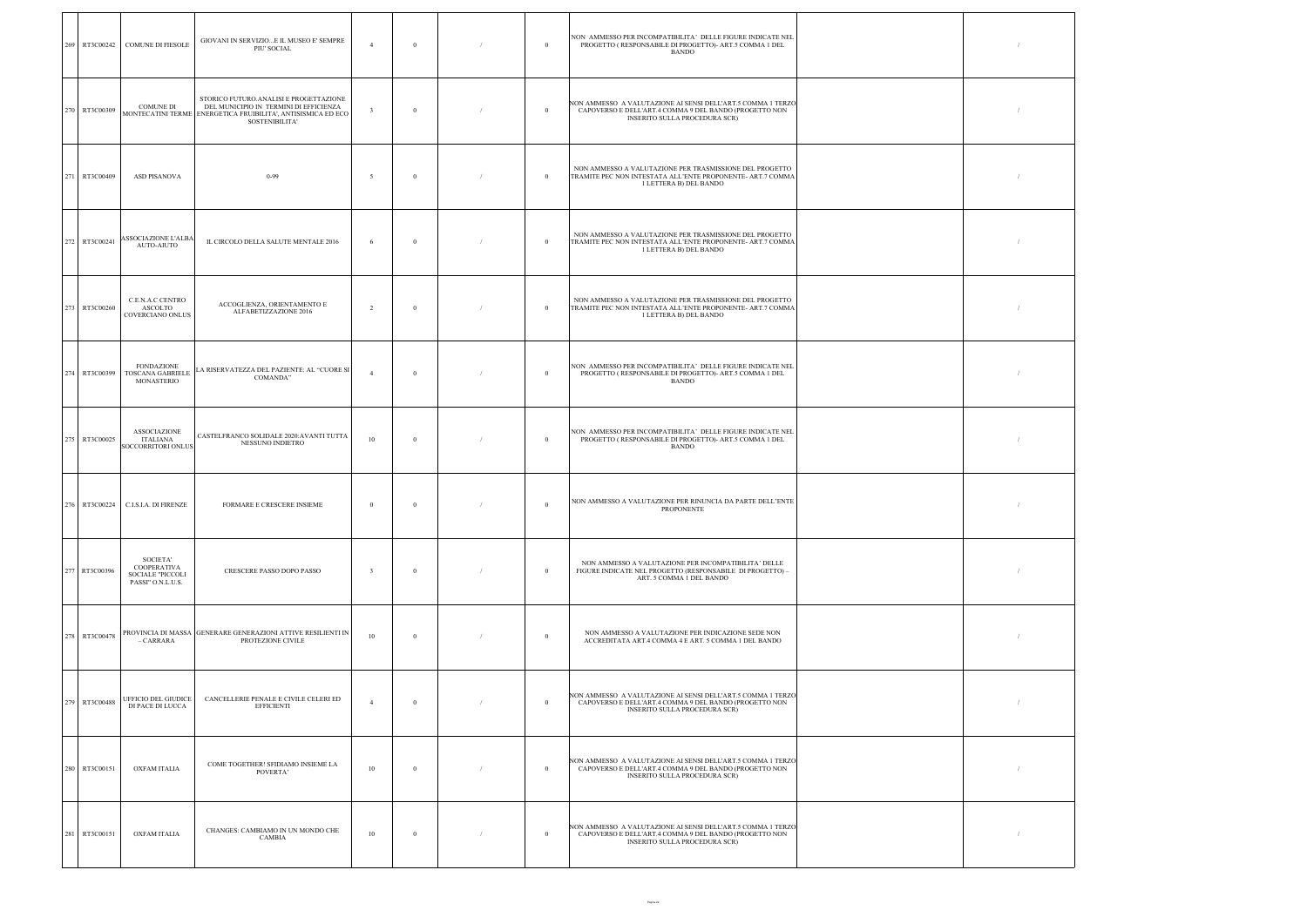| 269 RT3C00242 | GIOVANI IN SERVIZIOE IL MUSEO E' SEMPRE<br>COMUNE DI FIESOLE<br>PIU' SOCIAL                                                                                                     | $\overline{4}$          | $\overline{0}$ | NON AMMESSO PER INCOMPATIBILITA' DELLE FIGURE INDICATE NEL<br>PROGETTO (RESPONSABILE DI PROGETTO)- ART.5 COMMA 1 DEL<br>$\theta$<br><b>BANDO</b>                       |  |
|---------------|---------------------------------------------------------------------------------------------------------------------------------------------------------------------------------|-------------------------|----------------|------------------------------------------------------------------------------------------------------------------------------------------------------------------------|--|
| 270 RT3C00309 | STORICO FUTURO.ANALISI E PROGETTAZIONE<br>DEL MUNICIPIO IN TERMINI DI EFFICIENZA<br>COMUNE DI<br>MONTECATINI TERME ENERGETICA FRUIBILITA', ANTISISMICA ED ECO<br>SOSTENIBILITA' | $\overline{\mathbf{3}}$ | $\overline{0}$ | NON AMMESSO A VALUTAZIONE AI SENSI DELL'ART.5 COMMA 1 TERZO<br>CAPOVERSO E DELL'ART.4 COMMA 9 DEL BANDO (PROGETTO NON<br>$\theta$<br>INSERITO SULLA PROCEDURA SCR)     |  |
| 271 RT3C00409 | ASD PISANOVA<br>$0 - 99$                                                                                                                                                        | 5                       | $\overline{0}$ | NON AMMESSO A VALUTAZIONE PER TRASMISSIONE DEL PROGETTO<br>$\overline{0}$<br>TRAMITE PEC NON INTESTATA ALL'ENTE PROPONENTE-ART.7 COMMA<br>1 LETTERA B) DEL BANDO       |  |
| 272 RT3C00241 | <b>ASSOCIAZIONE L'ALBA</b><br>IL CIRCOLO DELLA SALUTE MENTALE 2016<br>AUTO-AIUTO                                                                                                | 6                       | $\overline{0}$ | NON AMMESSO A VALUTAZIONE PER TRASMISSIONE DEL PROGETTO<br>TRAMITE PEC NON INTESTATA ALL'ENTE PROPONENTE- ART.7 COMMA<br>$\mathbf{0}$<br>1 LETTERA B) DEL BANDO        |  |
| 273 RT3C00260 | C.E.N.A.C CENTRO<br>ACCOGLIENZA, ORIENTAMENTO E<br>ASCOLTO<br>ALFABETIZZAZIONE 2016<br><b>COVERCIANO ONLUS</b>                                                                  | $\overline{2}$          | $\overline{0}$ | NON AMMESSO A VALUTAZIONE PER TRASMISSIONE DEL PROGETTO<br>TRAMITE PEC NON INTESTATA ALL'ENTE PROPONENTE- ART.7 COMMA<br>$\overline{0}$<br>1 LETTERA B) DEL BANDO      |  |
| 274 RT3C00399 | <b>FONDAZIONE</b><br>LA RISERVATEZZA DEL PAZIENTE: AL "CUORE SI<br><b>TOSCANA GABRIELE</b><br>COMANDA"<br>MONASTERIO                                                            | $\overline{4}$          | $\overline{0}$ | NON AMMESSO PER INCOMPATIBILITA' DELLE FIGURE INDICATE NEL<br>PROGETTO (RESPONSABILE DI PROGETTO)- ART.5 COMMA 1 DEL<br>$\mathbf{0}$<br><b>BANDO</b>                   |  |
| 275 RT3C00025 | ASSOCIAZIONE<br>CASTELFRANCO SOLIDALE 2020:AVANTI TUTTA<br>ITALIANA<br>NESSUNO INDIETRO<br><b>SOCCORRITORI ONLUS</b>                                                            | 10                      | $\overline{0}$ | NON AMMESSO PER INCOMPATIBILITA' DELLE FIGURE INDICATE NEL<br>PROGETTO (RESPONSABILE DI PROGETTO)- ART.5 COMMA 1 DEL<br>$\mathbf{0}$<br><b>BANDO</b>                   |  |
|               | $276$ RT3C00224 C.I.S.I.A. DI FIRENZE<br>FORMARE E CRESCERE INSIEME                                                                                                             | $\overline{\mathbf{0}}$ | $\overline{0}$ | NON AMMESSO A VALUTAZIONE PER RINUNCIA DA PARTE DELL'ENTE<br>$\overline{0}$<br>PROPONENTE                                                                              |  |
| 277 RT3C00396 | SOCIETA'<br><b>COOPERATIVA</b><br>CRESCERE PASSO DOPO PASSO<br><b>SOCIALE "PICCOLI</b><br>PASSI" O.N.L.U.S.                                                                     | $\overline{\mathbf{3}}$ | $\overline{0}$ | NON AMMESSO A VALUTAZIONE PER INCOMPATIBILITA' DELLE<br>$\mathbf{0}$<br>FIGURE INDICATE NEL PROGETTO (RESPONSABILE DI PROGETTO) -<br>ART. 5 COMMA 1 DEL BANDO          |  |
| 278 RT3C00478 | PROVINCIA DI MASSA GENERARE GENERAZIONI ATTIVE RESILIENTI IN<br>- CARRARA<br>PROTEZIONE CIVILE                                                                                  | 10                      | $\overline{0}$ | NON AMMESSO A VALUTAZIONE PER INDICAZIONE SEDE NON<br>$\mathbf{0}$<br>ACCREDITATA ART.4 COMMA 4 E ART. 5 COMMA 1 DEL BANDO                                             |  |
| 279 RT3C00488 | UFFICIO DEL GIUDICE<br>CANCELLERIE PENALE E CIVILE CELERI ED<br>DI PACE DI LUCCA<br><b>EFFICIENTI</b>                                                                           | $\overline{4}$          | $\overline{0}$ | NON AMMESSO A VALUTAZIONE AI SENSI DELL'ART.5 COMMA 1 TERZO<br>CAPOVERSO E DELL'ART.4 COMMA 9 DEL BANDO (PROGETTO NON<br>$\mathbf{0}$<br>INSERITO SULLA PROCEDURA SCR) |  |
| 280 RT3C00151 | COME TOGETHER! SFIDIAMO INSIEME LA<br><b>OXFAM ITALIA</b><br>POVERTA'                                                                                                           | 10                      | $\overline{0}$ | NON AMMESSO A VALUTAZIONE AI SENSI DELL'ART.5 COMMA 1 TERZO<br>CAPOVERSO E DELL'ART.4 COMMA 9 DEL BANDO (PROGETTO NON<br>$\mathbf{0}$<br>INSERITO SULLA PROCEDURA SCR) |  |
| 281 RT3C00151 | CHANGES: CAMBIAMO IN UN MONDO CHE<br><b>OXFAM ITALIA</b><br><b>CAMBIA</b>                                                                                                       | 10                      | $\overline{0}$ | NON AMMESSO A VALUTAZIONE AI SENSI DELL'ART.5 COMMA 1 TERZO<br>CAPOVERSO E DELL'ART.4 COMMA 9 DEL BANDO (PROGETTO NON<br>$\mathbf{0}$<br>INSERITO SULLA PROCEDURA SCR) |  |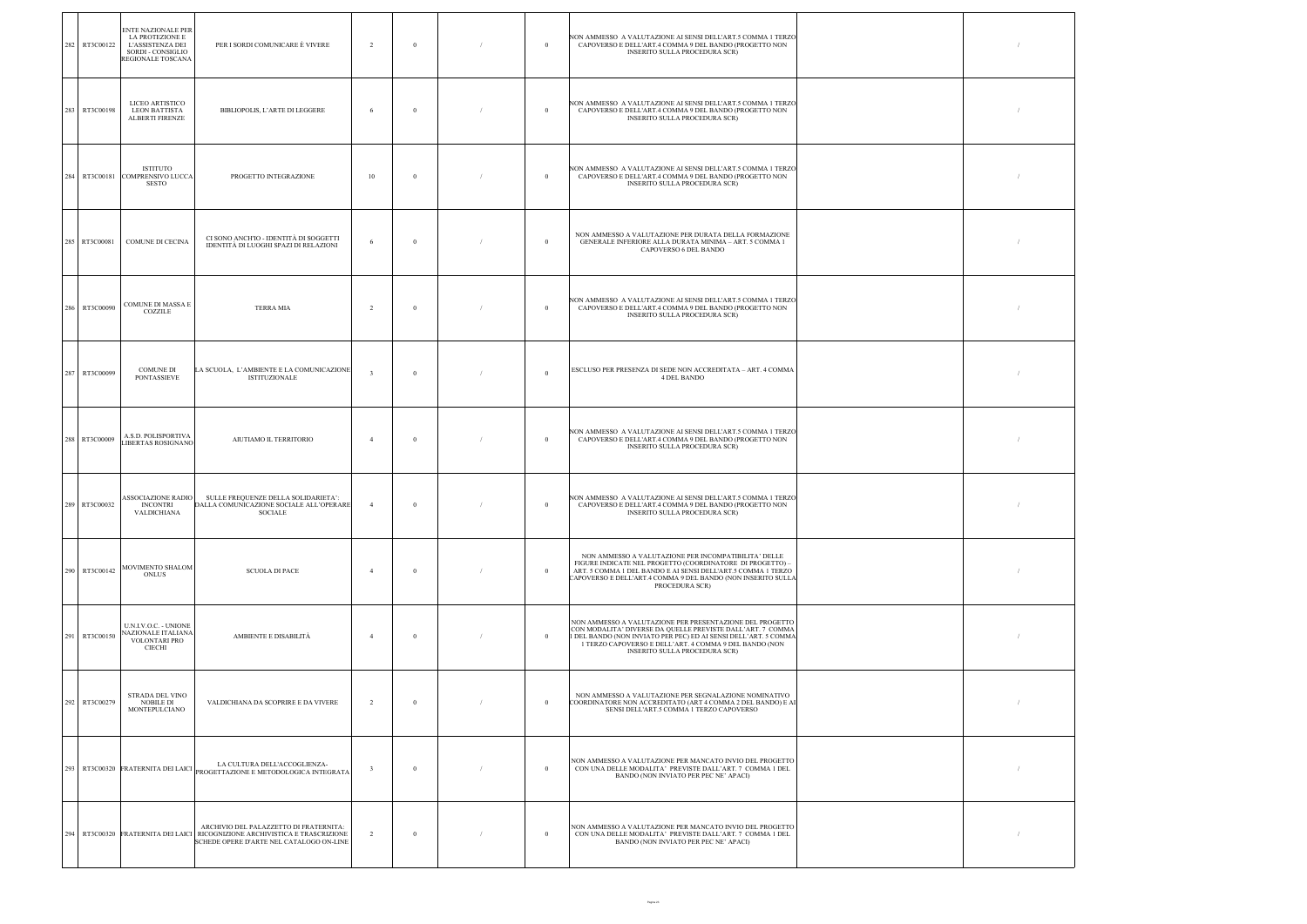| 282 RT3C00122   | <b>ENTE NAZIONALE PER</b><br>LA PROTEZIONE E<br>L'ASSISTENZA DEI<br>SORDI - CONSIGLIO<br>REGIONALE TOSCANA | PER I SORDI COMUNICARE È VIVERE                                                                                                | 2                       | $\overline{0}$ | NON AMMESSO A VALUTAZIONE AI SENSI DELL'ART.5 COMMA 1 TERZO<br>CAPOVERSO E DELL'ART.4 COMMA 9 DEL BANDO (PROGETTO NON<br>$\Omega$<br>INSERITO SULLA PROCEDURA SCR)                                                                                                                                   |  |
|-----------------|------------------------------------------------------------------------------------------------------------|--------------------------------------------------------------------------------------------------------------------------------|-------------------------|----------------|------------------------------------------------------------------------------------------------------------------------------------------------------------------------------------------------------------------------------------------------------------------------------------------------------|--|
| 283 RT3C00198   | LICEO ARTISTICO<br><b>LEON BATTISTA</b><br><b>ALBERTI FIRENZE</b>                                          | BIBLIOPOLIS, L'ARTE DI LEGGERE                                                                                                 | 6                       | $\overline{0}$ | NON AMMESSO A VALUTAZIONE AI SENSI DELL'ART.5 COMMA 1 TERZO<br>CAPOVERSO E DELL'ART.4 COMMA 9 DEL BANDO (PROGETTO NON<br>$\theta$<br><b>INSERITO SULLA PROCEDURA SCR)</b>                                                                                                                            |  |
|                 | <b>ISTITUTO</b><br>284   RT3C00181   COMPRENSIVO LUCCA<br>SESTO                                            | PROGETTO INTEGRAZIONE                                                                                                          | 10                      | $\overline{0}$ | NON AMMESSO A VALUTAZIONE AI SENSI DELL'ART.5 COMMA 1 TERZO<br>$\mathbf{0}$<br>CAPOVERSO E DELL'ART.4 COMMA 9 DEL BANDO (PROGETTO NON<br>INSERITO SULLA PROCEDURA SCR)                                                                                                                               |  |
| 285   RT3C00081 | COMUNE DI CECINA                                                                                           | CI SONO ANCH'IO - IDENTITÀ DI SOGGETTI<br>IDENTITÀ DI LUOGHI SPAZI DI RELAZIONI                                                | 6                       | $\overline{0}$ | NON AMMESSO A VALUTAZIONE PER DURATA DELLA FORMAZIONE<br>$\mathbf{0}$<br>GENERALE INFERIORE ALLA DURATA MINIMA - ART. 5 COMMA 1<br>CAPOVERSO 6 DEL BANDO                                                                                                                                             |  |
| 286   RT3C00090 | COMUNE DI MASSA E<br>COZZILE                                                                               | <b>TERRA MIA</b>                                                                                                               | 2                       | $\overline{0}$ | NON AMMESSO A VALUTAZIONE AI SENSI DELL'ART.5 COMMA 1 TERZO<br>$\mathbf{0}$<br>CAPOVERSO E DELL'ART.4 COMMA 9 DEL BANDO (PROGETTO NON<br>INSERITO SULLA PROCEDURA SCR)                                                                                                                               |  |
| 287   RT3C00099 | <b>COMUNE DI</b><br>PONTASSIEVE                                                                            | LA SCUOLA, L'AMBIENTE E LA COMUNICAZIONE<br><b>ISTITUZIONALE</b>                                                               | $\overline{\mathbf{3}}$ | $\overline{0}$ | ESCLUSO PER PRESENZA DI SEDE NON ACCREDITATA - ART. 4 COMMA<br>$\theta$<br>4 DEL BANDO                                                                                                                                                                                                               |  |
| 288 RT3C00009   | A.S.D. POLISPORTIVA<br>LIBERTAS ROSIGNANO                                                                  | AIUTIAMO IL TERRITORIO                                                                                                         | $\overline{4}$          | $\overline{0}$ | NON AMMESSO A VALUTAZIONE AI SENSI DELL'ART.5 COMMA 1 TERZO<br>CAPOVERSO E DELL'ART.4 COMMA 9 DEL BANDO (PROGETTO NON<br>$\Omega$<br>INSERITO SULLA PROCEDURA SCR)                                                                                                                                   |  |
| 289 RT3C00032   | INCONTRI<br>VALDICHIANA                                                                                    | ASSOCIAZIONE RADIO SULLE FREQUENZE DELLA SOLIDARIETA':<br>DALLA COMUNICAZIONE SOCIALE ALL'OPERARE<br>SOCIALE                   | $\overline{4}$          | $\overline{0}$ | NON AMMESSO A VALUTAZIONE AI SENSI DELL'ART.5 COMMA 1 TERZO<br>CAPOVERSO E DELL'ART.4 COMMA 9 DEL BANDO (PROGETTO NON<br>$\Omega$<br>INSERITO SULLA PROCEDURA SCR)                                                                                                                                   |  |
| 290 RT3C00142   | MOVIMENTO SHALOM<br><b>ONLUS</b>                                                                           | <b>SCUOLA DI PACE</b>                                                                                                          | $\overline{4}$          | $\overline{0}$ | NON AMMESSO A VALUTAZIONE PER INCOMPATIBILITA' DELLE<br>FIGURE INDICATE NEL PROGETTO (COORDINATORE DI PROGETTO) -<br>$\theta$<br>ART. 5 COMMA 1 DEL BANDO E AI SENSI DELL'ART.5 COMMA 1 TERZO<br>CAPOVERSO E DELL'ART.4 COMMA 9 DEL BANDO (NON INSERITO SULLA<br>PROCEDURA SCR)                      |  |
| 291   RT3C00150 | U.N.I.V.O.C. - UNIONE<br><b>NAZIONALE ITALIANA</b><br>VOLONTARI PRO<br><b>CIECHI</b>                       | AMBIENTE E DISABILITÀ                                                                                                          | $\overline{4}$          | $\overline{0}$ | NON AMMESSO A VALUTAZIONE PER PRESENTAZIONE DEL PROGETTO<br>CON MODALITA' DIVERSE DA QUELLE PREVISTE DALL'ART. 7 COMMA<br>1 DEL BANDO (NON INVIATO PER PEC) ED AI SENSI DELL'ART. 5 COMMA<br>$\mathbf{0}$<br>1 TERZO CAPOVERSO E DELL'ART. 4 COMMA 9 DEL BANDO (NON<br>INSERITO SULLA PROCEDURA SCR) |  |
| 292 RT3C00279   | STRADA DEL VINO<br>NOBILE DI<br>MONTEPULCIANO                                                              | VALDICHIANA DA SCOPRIRE E DA VIVERE                                                                                            | 2                       | $\overline{0}$ | NON AMMESSO A VALUTAZIONE PER SEGNALAZIONE NOMINATIVO<br>$\theta$<br>COORDINATORE NON ACCREDITATO (ART 4 COMMA 2 DEL BANDO) E AI<br>SENSI DELL'ART.5 COMMA 1 TERZO CAPOVERSO                                                                                                                         |  |
|                 |                                                                                                            | 293   RT3C00320   FRATERNITA DEI LAICI   PROGETTAZIONE E METODOLOGICA INTEGRATA                                                | $\overline{\mathbf{3}}$ | $\overline{0}$ | NON AMMESSO A VALUTAZIONE PER MANCATO INVIO DEL PROGETTO<br>CON UNA DELLE MODALITA' PREVISTE DALL'ART. 7 COMMA 1 DEL<br>$\mathbf{0}$<br>BANDO (NON INVIATO PER PEC NE' APACI)                                                                                                                        |  |
|                 | 294   RT3C00320 FRATERNITA DEI LAICI                                                                       | ARCHIVIO DEL PALAZZETTO DI FRATERNITA:<br>RICOGNIZIONE ARCHIVISTICA E TRASCRIZIONE<br>SCHEDE OPERE D'ARTE NEL CATALOGO ON-LINE | $\overline{2}$          | $\overline{0}$ | NON AMMESSO A VALUTAZIONE PER MANCATO INVIO DEL PROGETTO<br>CON UNA DELLE MODALITA' PREVISTE DALL'ART. 7 COMMA 1 DEL<br>$\mathbf{0}$<br>BANDO (NON INVIATO PER PEC NE' APACI)                                                                                                                        |  |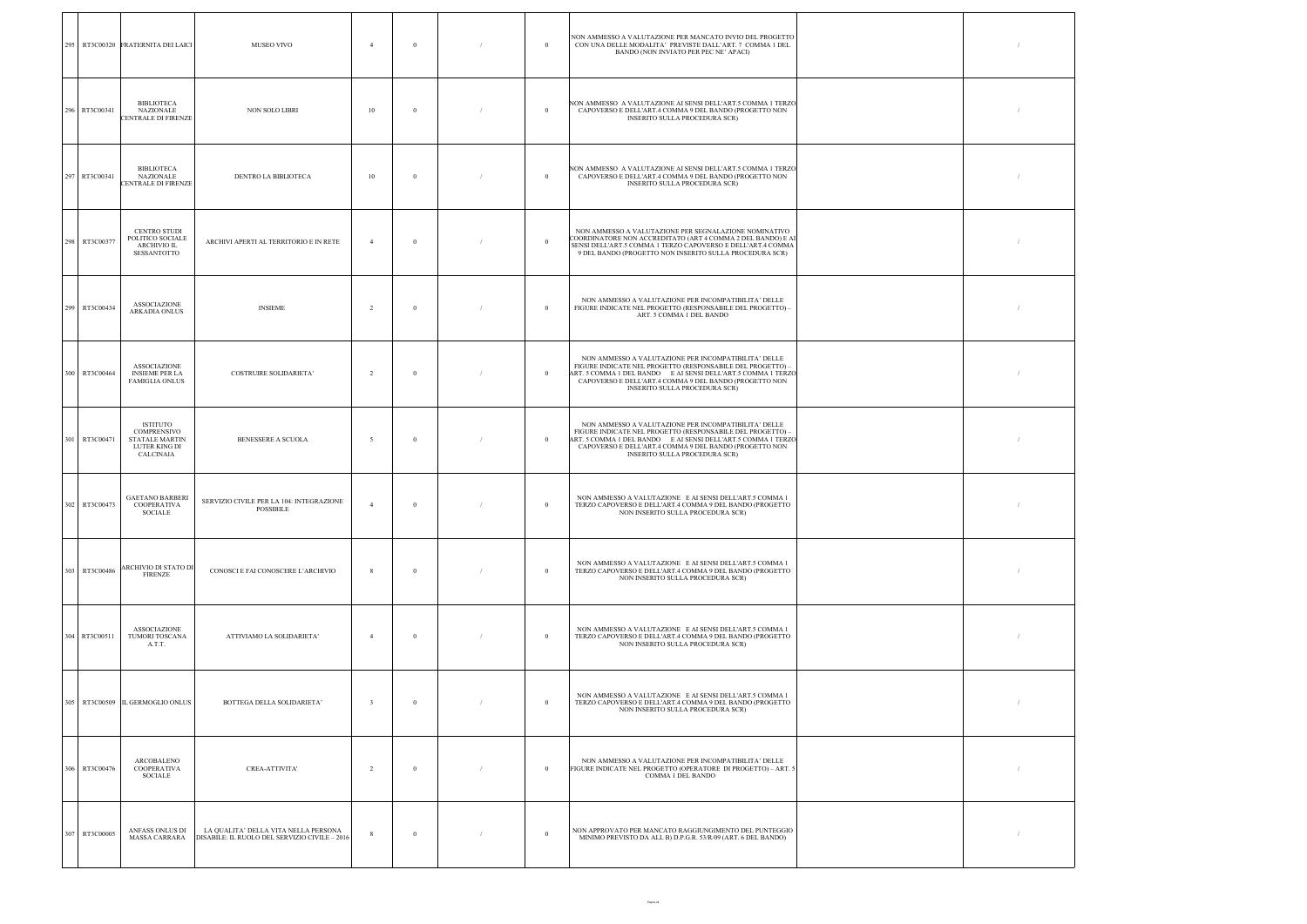|               | 295   RT3C00320 FRATERNITA DEI LAICI                                           | MUSEO VIVO                                                                            | $\overline{4}$          | $\overline{0}$ | $\bf{0}$       | NON AMMESSO A VALUTAZIONE PER MANCATO INVIO DEL PROGETTO<br>CON UNA DELLE MODALITA' PREVISTE DALL'ART. 7 COMMA 1 DEL<br>BANDO (NON INVIATO PER PEC NE' APACI)                                                                                                                        |  |
|---------------|--------------------------------------------------------------------------------|---------------------------------------------------------------------------------------|-------------------------|----------------|----------------|--------------------------------------------------------------------------------------------------------------------------------------------------------------------------------------------------------------------------------------------------------------------------------------|--|
| 296 RT3C00341 | <b>BIBLIOTECA</b><br>NAZIONALE<br>CENTRALE DI FIRENZE                          | NON SOLO LIBRI                                                                        | 10                      | $\overline{0}$ | $\bf{0}$       | NON AMMESSO A VALUTAZIONE AI SENSI DELL'ART.5 COMMA 1 TERZO<br>CAPOVERSO E DELL'ART.4 COMMA 9 DEL BANDO (PROGETTO NON<br>INSERITO SULLA PROCEDURA SCR)                                                                                                                               |  |
| 297 RT3C00341 | <b>BIBLIOTECA</b><br>NAZIONALE<br>CENTRALE DI FIRENZE                          | DENTRO LA BIBLIOTECA                                                                  | 10                      | $\overline{0}$ | $\bf{0}$       | NON AMMESSO A VALUTAZIONE AI SENSI DELL'ART.5 COMMA 1 TERZO<br>CAPOVERSO E DELL'ART.4 COMMA 9 DEL BANDO (PROGETTO NON<br>INSERITO SULLA PROCEDURA SCR)                                                                                                                               |  |
| 298 RT3C00377 | CENTRO STUDI<br>POLITICO SOCIALE<br>ARCHIVIO IL<br><b>SESSANTOTTO</b>          | ARCHIVI APERTI AL TERRITORIO E IN RETE                                                | $\overline{4}$          | $\overline{0}$ | $\overline{0}$ | NON AMMESSO A VALUTAZIONE PER SEGNALAZIONE NOMINATIVO<br>COORDINATORE NON ACCREDITATO (ART 4 COMMA 2 DEL BANDO) E AI<br>SENSI DELL'ART.5 COMMA 1 TERZO CAPOVERSO E DELL'ART.4 COMMA<br>9 DEL BANDO (PROGETTO NON INSERITO SULLA PROCEDURA SCR)                                       |  |
| 299 RT3C00434 | <b>ASSOCIAZIONE</b><br>ARKADIA ONLUS                                           | <b>INSIEME</b>                                                                        | 2                       | $\overline{0}$ | $\bf{0}$       | NON AMMESSO A VALUTAZIONE PER INCOMPATIBILITA' DELLE<br>FIGURE INDICATE NEL PROGETTO (RESPONSABILE DEL PROGETTO) -<br>ART. 5 COMMA 1 DEL BANDO                                                                                                                                       |  |
| 300 RT3C00464 | <b>ASSOCIAZIONE</b><br><b>INSIEME PER LA</b><br><b>FAMIGLIA ONLUS</b>          | COSTRUIRE SOLIDARIETA'                                                                | 2                       | $\theta$       | $\bf{0}$       | NON AMMESSO A VALUTAZIONE PER INCOMPATIBILITA' DELLE<br>FIGURE INDICATE NEL PROGETTO (RESPONSABILE DEL PROGETTO) -<br>ART. 5 COMMA 1 DEL BANDO E AI SENSI DELL'ART.5 COMMA 1 TERZO<br>CAPOVERSO E DELL'ART.4 COMMA 9 DEL BANDO (PROGETTO NON<br>INSERITO SULLA PROCEDURA SCR)        |  |
| 301 RT3C00471 | ISTITUTO<br>COMPRENSIVO<br><b>STATALE MARTIN</b><br>LUTER KING DI<br>CALCINAIA | BENESSERE A SCUOLA                                                                    | -5                      | $\theta$       | $\overline{0}$ | NON AMMESSO A VALUTAZIONE PER INCOMPATIBILITA' DELLE<br>FIGURE INDICATE NEL PROGETTO (RESPONSABILE DEL PROGETTO) -<br>ART. 5 COMMA 1 DEL BANDO E AI SENSI DELL'ART.5 COMMA 1 TERZO<br>CAPOVERSO E DELL'ART.4 COMMA 9 DEL BANDO (PROGETTO NON<br><b>INSERITO SULLA PROCEDURA SCR)</b> |  |
| 302 RT3C00473 | <b>GAETANO BARBERI</b><br>COOPERATIVA<br>SOCIALE                               | SERVIZIO CIVILE PER LA 104: INTEGRAZIONE<br><b>POSSIBILE</b>                          | $\overline{4}$          | $\bf{0}$       | $\bf{0}$       | NON AMMESSO A VALUTAZIONE E AI SENSI DELL'ART.5 COMMA 1<br>TERZO CAPOVERSO E DELL'ART.4 COMMA 9 DEL BANDO (PROGETTO<br>NON INSERITO SULLA PROCEDURA SCR)                                                                                                                             |  |
| 303 RT3C00486 | ARCHIVIO DI STATO DI<br><b>FIRENZE</b>                                         | CONOSCI E FAI CONOSCERE L'ARCHIVIO                                                    | 8                       | $\overline{0}$ | $\overline{0}$ | NON AMMESSO A VALUTAZIONE E AI SENSI DELL'ART.5 COMMA 1<br>TERZO CAPOVERSO E DELL'ART.4 COMMA 9 DEL BANDO (PROGETTO<br>NON INSERITO SULLA PROCEDURA SCR)                                                                                                                             |  |
| 304 RT3C00511 | ASSOCIAZIONE<br>TUMORI TOSCANA<br>A.T.T.                                       | ATTIVIAMO LA SOLIDARIETA'                                                             | $\overline{4}$          | $\overline{0}$ | $\overline{0}$ | NON AMMESSO A VALUTAZIONE $\,$ E AI SENSI DELL'ART.5 COMMA 1<br>TERZO CAPOVERSO E DELL'ART.4 COMMA 9 DEL BANDO (PROGETTO<br>NON INSERITO SULLA PROCEDURA SCR)                                                                                                                        |  |
|               | 305   RT3C00509   IL GERMOGLIO ONLUS                                           | BOTTEGA DELLA SOLIDARIETA'                                                            | $\overline{\mathbf{3}}$ | $\overline{0}$ | $\overline{0}$ | NON AMMESSO A VALUTAZIONE E AI SENSI DELL'ART.5 COMMA 1<br>TERZO CAPOVERSO E DELL'ART.4 COMMA 9 DEL BANDO (PROGETTO<br>NON INSERITO SULLA PROCEDURA SCR)                                                                                                                             |  |
| 306 RT3C00476 | ARCOBALENO<br>COOPERATIVA<br>SOCIALE                                           | <b>CREA-ATTIVITA'</b>                                                                 | 2                       | $\overline{0}$ | $\bf{0}$       | NON AMMESSO A VALUTAZIONE PER INCOMPATIBILITA' DELLE<br>FIGURE INDICATE NEL PROGETTO (OPERATORE DI PROGETTO) – ART. 5<br>COMMA 1 DEL BANDO                                                                                                                                           |  |
| 307 RT3C00005 | ANFASS ONLUS DI<br>MASSA CARRARA                                               | LA QUALITA' DELLA VITA NELLA PERSONA<br>DISABILE: IL RUOLO DEL SERVIZIO CIVILE - 2016 | $\mathbf{8}$            | $\theta$       | $\mathbf{0}$   | NON APPROVATO PER MANCATO RAGGIUNGIMENTO DEL PUNTEGGIO<br>MINIMO PREVISTO DA ALL B) D.P.G.R. 53/R/09 (ART. 6 DEL BANDO)                                                                                                                                                              |  |